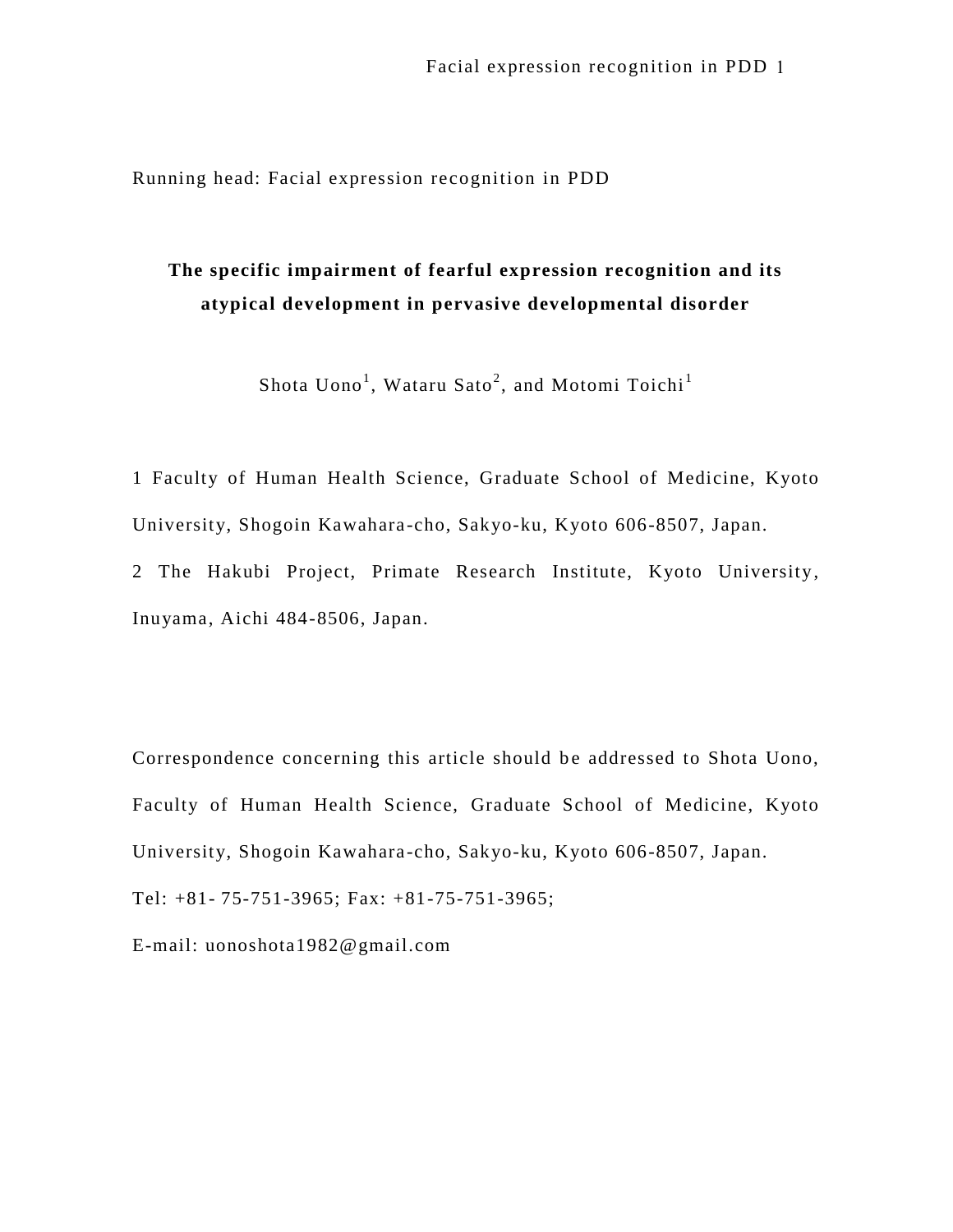Running head: Facial expression recognition in PDD

# **The specific impairment of fearful expression recognition and its atypical development in pervasive developmental disorder**

Shota Uono $^1$ , Wataru Sato $^2$ , and Motomi Toichi $^1$ 

1 Faculty of Human Health Science, Graduate School of Medicine, Kyoto University, Shogoin Kawahara -cho, Sakyo-ku, Kyoto 606-8507, Japan. 2 The Hakubi Project, Primate Research Institute, Kyoto University,

Inuyama, Aichi 484-8506, Japan.

Correspondence concerning this article should be addressed to Shota Uono, Faculty of Human Health Science, Graduate School of Medicine, Kyoto University, Shogoin Kawahara -cho, Sakyo-ku, Kyoto 606-8507, Japan. Tel: +81- 75-751-3965; Fax: +81-75-751-3965;

E-mail: uonoshota1982@gmail.com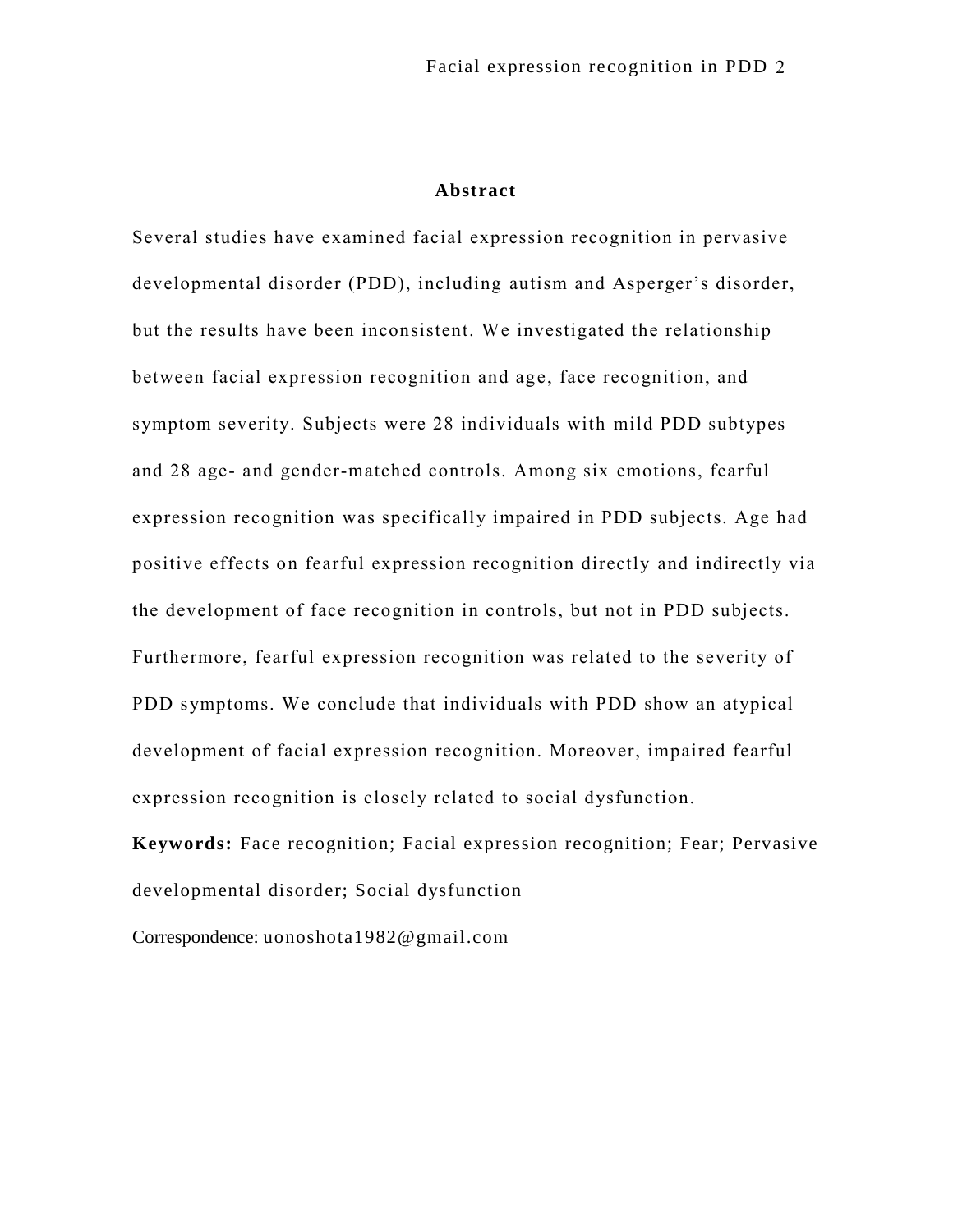## **Abstract**

Several studies have examined facial expression recognition in pervasive developmental disorder (PDD), including autism and Asperger's disorder, but the results have been inconsistent. We investigated the relationship between facial expression recognition and age, face recognition, and symptom severity. Subjects were 28 individuals with mild PDD subtypes and 28 age- and gender-matched controls. Among six emotions, fearful expression recognition was specifically impaired in PDD subjects. Age had positive effects on fearful expression recognition directly and indirectly via the development of face recognition in controls, but not in PDD subjects. Furthermore, fearful expression recognition was related to the severity of PDD symptoms. We conclude that individuals with PDD show an atypical development of facial expression recognition. Moreover, impaired fearful expression recognition is closely related to social dysfunction.

**Keywords:** Face recognition; Facial expression recognition; Fear; Pervasive developmental disorder; Social dysfunction

Correspondence: uonoshota1982@gmail.com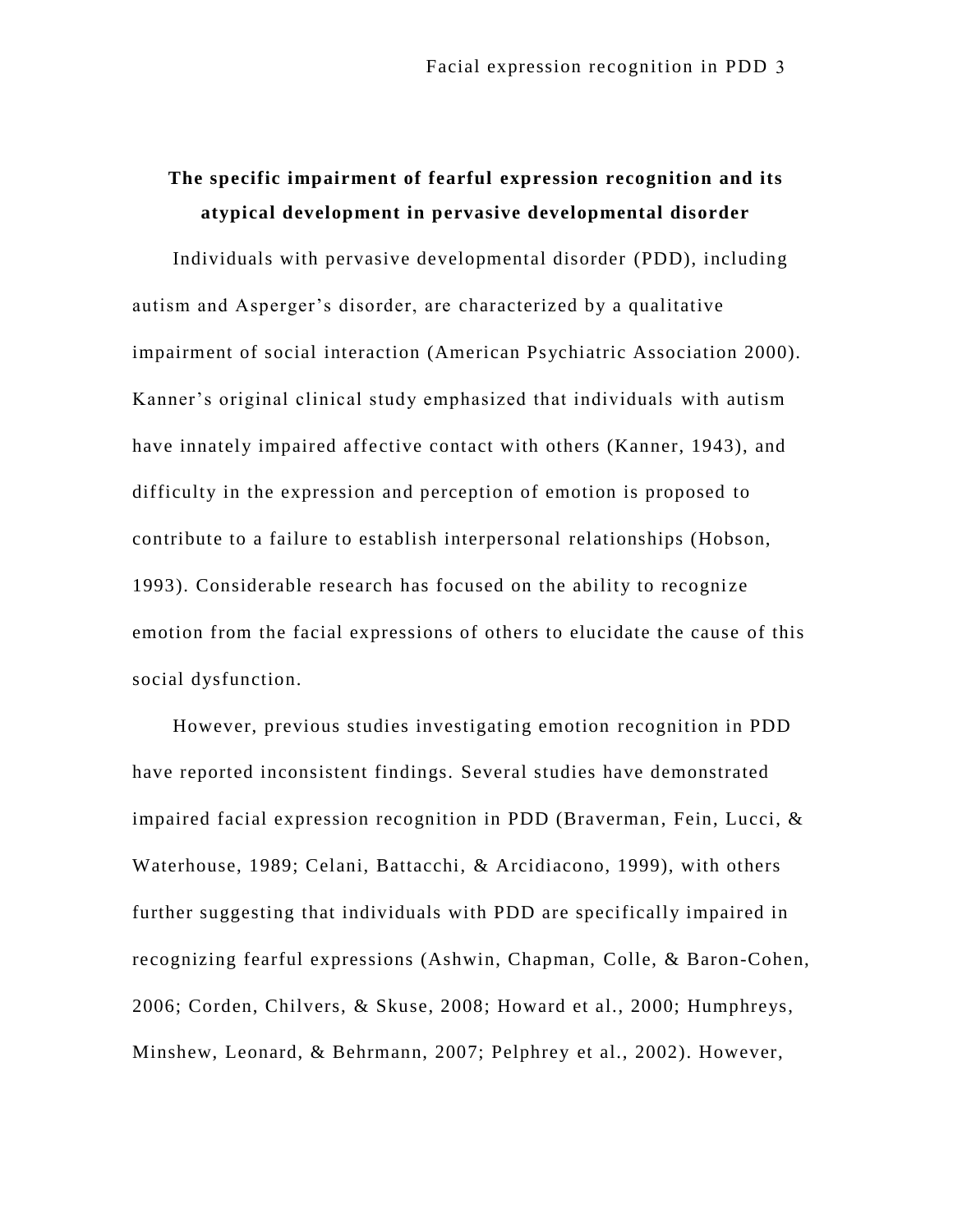# **The specific impairment of fearful expression recognition and its atypical development in pervasive developmental disorder**

Individuals with pervasive developmental disorder (PDD), including autism and Asperger's disorder, are characterized by a qualitative impairment of social interaction (American Psychiatric Association 2000). Kanner's original clinical study emphasized that individuals with autism have innately impaired affective contact with others (Kanner, 1943), and difficulty in the expression and perception of emotion is proposed to contribute to a failure to establish interpersonal relationships (Hobson, 1993). Considerable research has focused on the ability to recognize emotion from the facial expressions of others to elucidate the cause of this social dysfunction.

However, previous studies investigating emotion recognition in PDD have reported inconsistent findings. Several studies have demonstrated impaired facial expression recognition in PDD (Braverman, Fein, Lucci, & Waterhouse, 1989; Celani, Battacchi, & Arcidiacono, 1999), with others further suggesting that individuals with PDD are specifically impaired in recognizing fearful expressions (Ashwin, Chapman, Colle, & Baron-Cohen, 2006; Corden, Chilvers, & Skuse, 2008; Howard et al., 2000; Humphreys, Minshew, Leonard, & Behrmann, 2007; Pelphrey et al., 2002). However,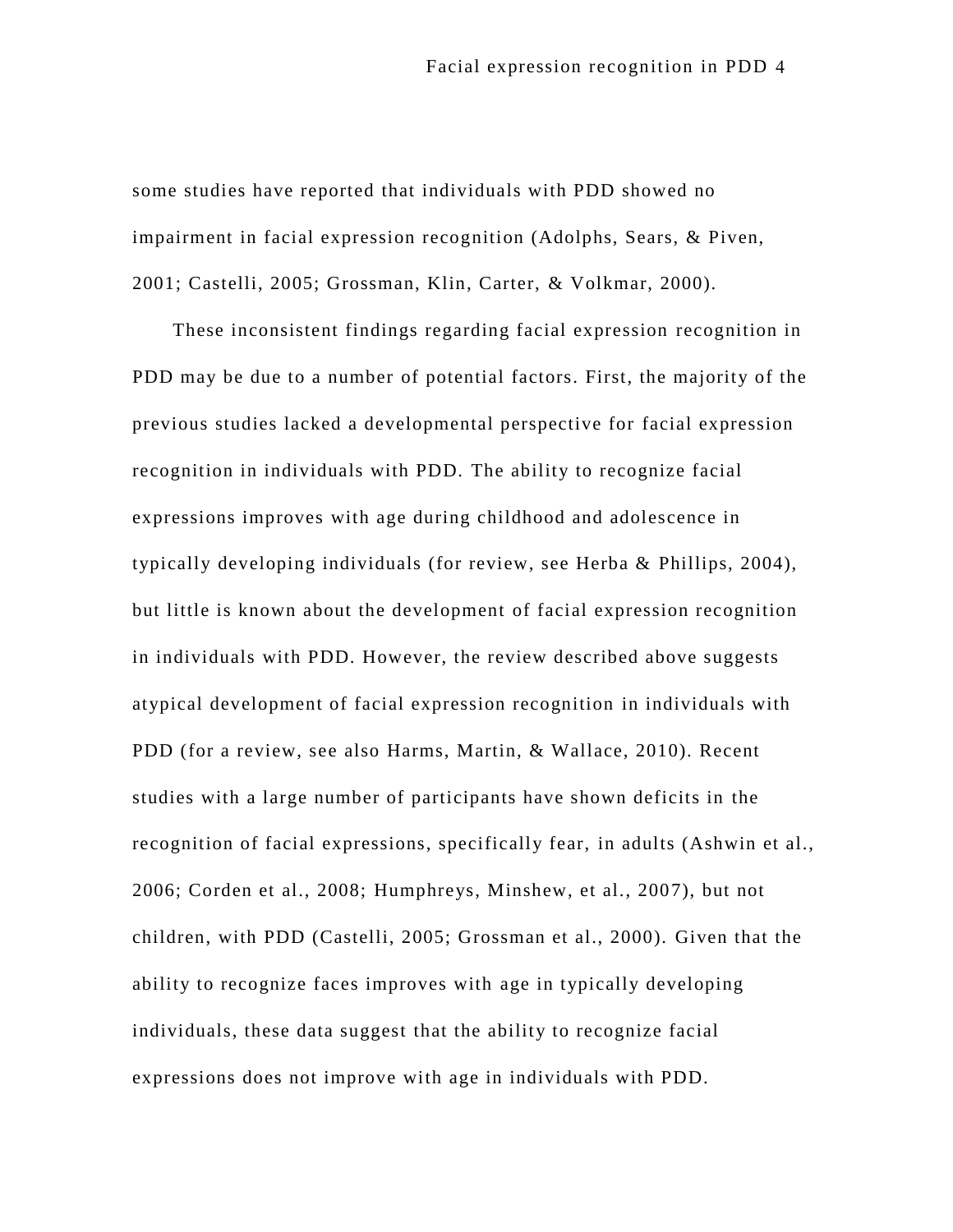some studies have reported that individuals with PDD showed no impairment in facial expression recognition (Adolphs, Sears, & Piven, 2001; Castelli, 2005; Grossman, Klin, Carter, & Volkmar, 2000).

These inconsistent findings regarding facial expression recognition in PDD may be due to a number of potential factors. First, the majority of the previous studies lacked a developmental perspective for facial expression recognition in individuals with PDD. The ability to recognize facial expressions improves with age during childhood and adolescence in typically developing individuals (for review, see Herba & Phillips, 2004), but little is known about the development of facial expression recognition in individuals with PDD. However, the review described above suggests atypical development of facial expression recognition in individuals with PDD (for a review, see also Harms, Martin, & Wallace, 2010). Recent studies with a large number of participants have shown deficits in the recognition of facial expressions, specifically fear, in adults (Ashwin et al., 2006; Corden et al., 2008; Humphreys, Minshew, et al., 2007), but not children, with PDD (Castelli, 2005; Grossman et al., 2000). Given that the ability to recognize faces improves with age in typically developing individuals, these data suggest that the ability to recognize facial expressions does not improve with age in individuals with PDD.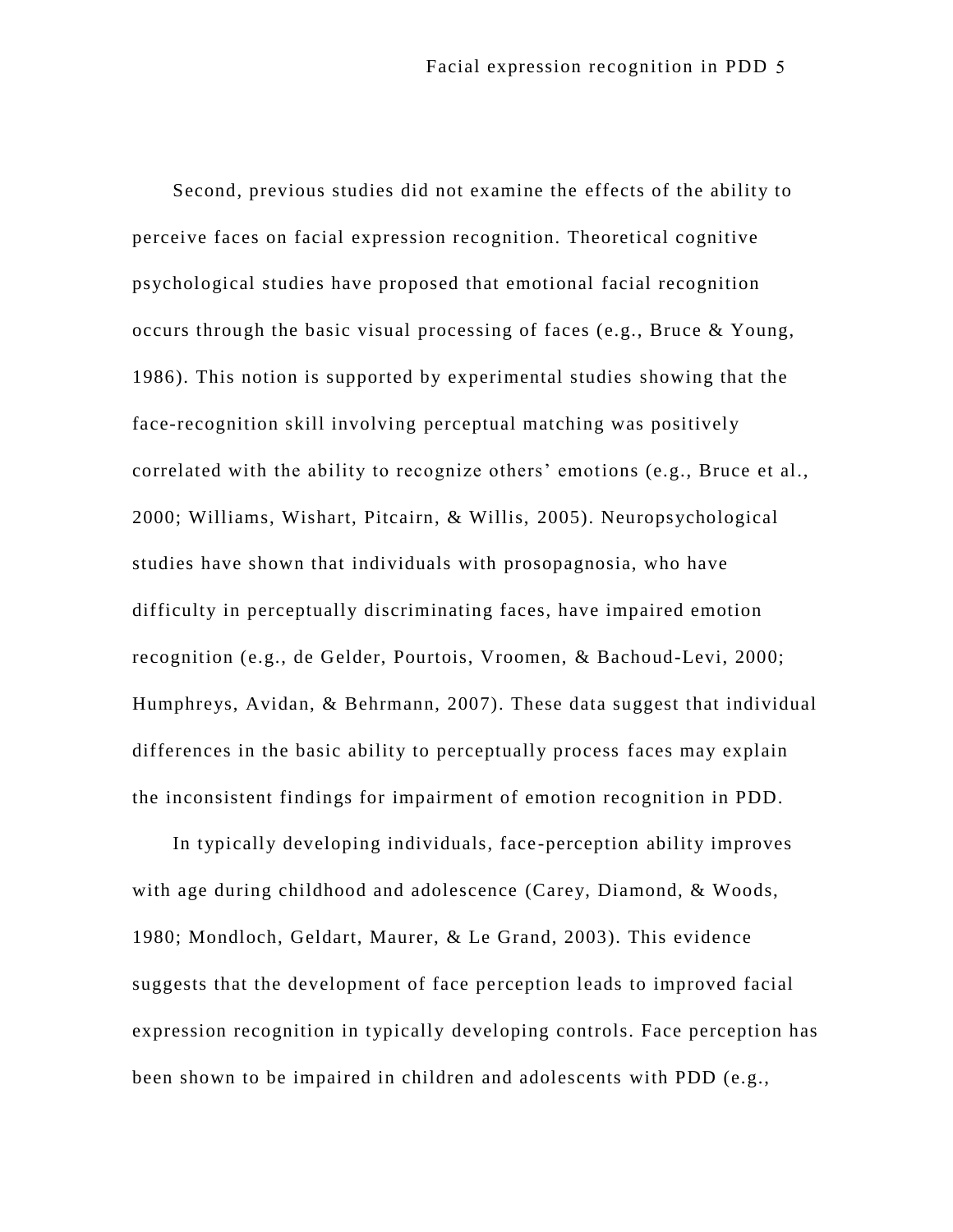Second, previous studies did not examine the effects of the ability to perceive faces on facial expression recognition. Theoretical cognitive psychological studies have proposed that emotional facial recognition occurs through the basic visual processing of faces (e.g., Bruce & Young, 1986). This notion is supported by experimental studies showing that the face-recognition skill involving perceptual matching was positively correlated with the ability to recognize others' emotions (e.g., Bruce et al., 2000; Williams, Wishart, Pitcairn, & Willis, 2005). Neuropsychological studies have shown that individuals with prosopagnosia, who have difficulty in perceptually discriminating faces, have impaired emotion recognition (e.g., de Gelder, Pourtois, Vroomen, & Bachoud-Levi, 2000; Humphreys, Avidan, & Behrmann, 2007). These data suggest that individual differences in the basic ability to perceptually process faces may explain the inconsistent findings for impairment of emotion recognition in PDD.

In typically developing individuals, face -perception ability improves with age during childhood and adolescence (Carey, Diamond, & Woods, 1980; Mondloch, Geldart, Maurer, & Le Grand, 2003). This evidence suggests that the development of face perception leads to improved facial expression recognition in typically developing controls. Face perception has been shown to be impaired in children and adolescents with PDD (e.g.,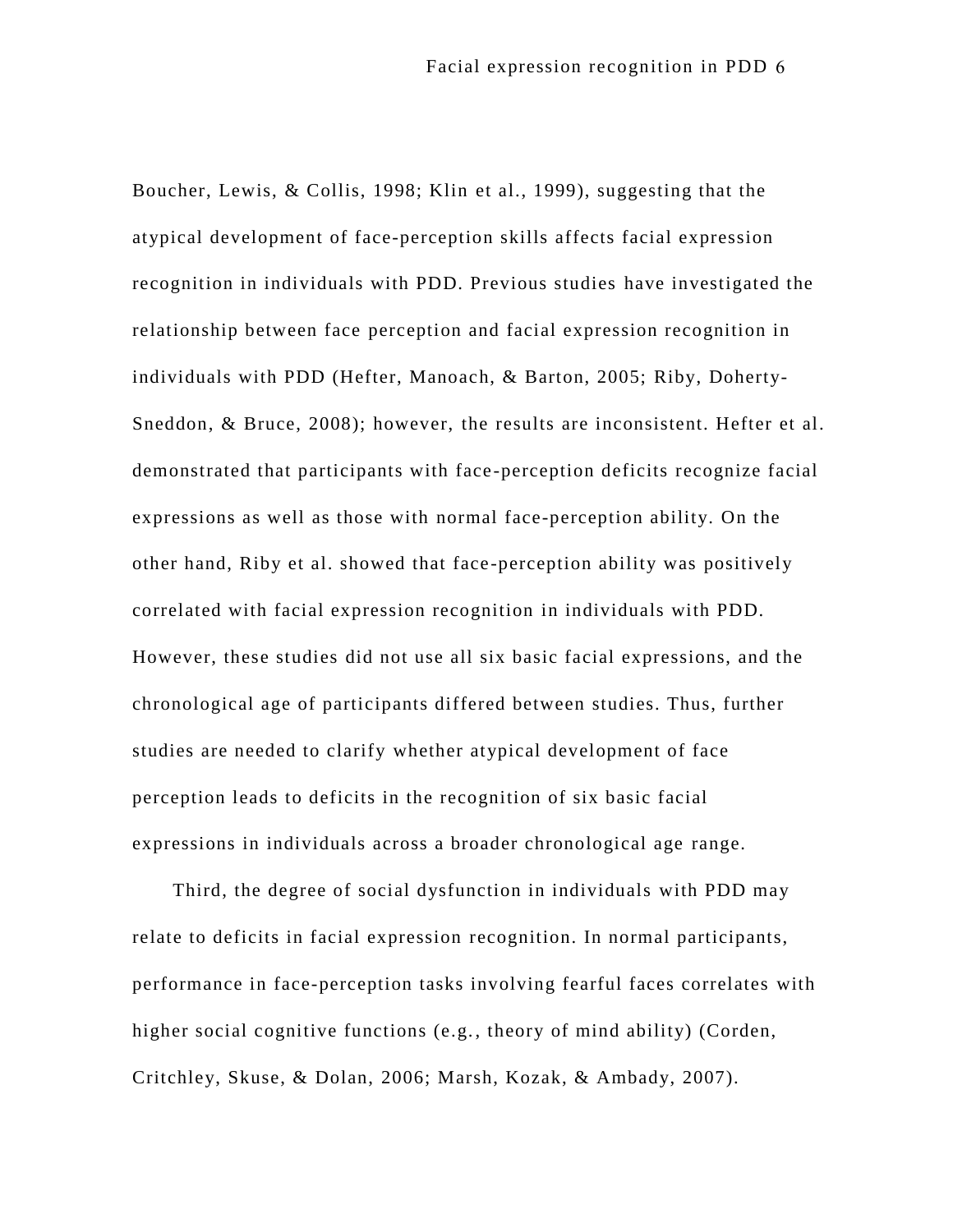Boucher, Lewis, & Collis, 1998; Klin et al., 1999), suggesting that the atypical development of face-perception skills affects facial expression recognition in individuals with PDD. Previous studies have investigated the relationship between face perception and facial expression recognition in individuals with PDD (Hefter, Manoach, & Barton, 2005; Riby, Doherty-Sneddon, & Bruce, 2008); however, the results are inconsistent. Hefter et al. demonstrated that participants with face -perception deficits recognize facial expressions as well as those with normal face-perception ability. On the other hand, Riby et al. showed that face -perception ability was positively correlated with facial expression recognition in individuals with PDD. However, these studies did not use all six basic facial expressions, and the chronological age of participants differed between studies. Thus, further studies are needed to clarify whether atypical development of face perception leads to deficits in the recognition of six basic facial expressions in individuals across a broader chronological age range.

Third, the degree of social dysfunction in individuals with PDD may relate to deficits in facial expression recognition. In normal participants, performance in face-perception tasks involving fearful faces correlates with higher social cognitive functions (e.g., theory of mind ability) (Corden, Critchley, Skuse, & Dolan, 2006; Marsh, Kozak, & Ambady, 2007).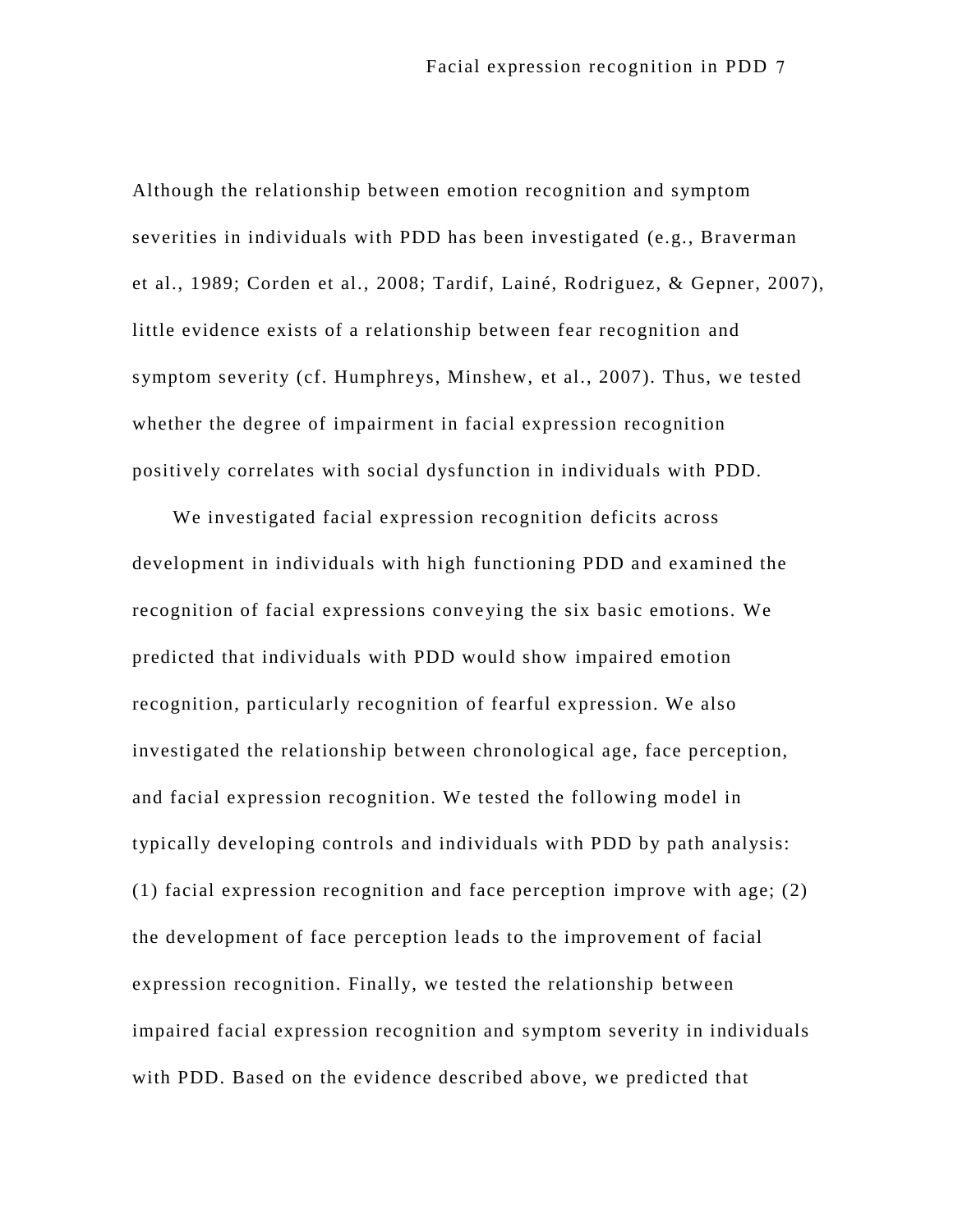Although the relationship between emotion recognition and symptom severities in individuals with PDD has been investigated (e.g., Braverman et al., 1989; Corden et al., 2008; Tardif, Lainé, Rodriguez, & Gepner, 2007), little evidence exists of a relationship between fear recognition and symptom severity (cf. Humphreys, Minshew, et al., 2007). Thus, we tested whether the degree of impairment in facial expression recognition positively correlates with social dysfunction in individuals with PDD.

We investigated facial expression recognition deficits across development in individuals with high functioning PDD and examined the recognition of facial expressions conveying the six basic emotions. We predicted that individuals with PDD would show impaired emotion recognition, particularly recognition of fearful expression. We also investigated the relationship between chronological age, face perception, and facial expression recognition. We tested the following model in typically developing controls and individuals with PDD by path analysis: (1) facial expression recognition and face perception improve with age; (2) the development of face perception leads to the improvement of facial expression recognition. Finally, we tested the relationship between impaired facial expression recognition and symptom severity in individuals with PDD. Based on the evidence described above, we predicted that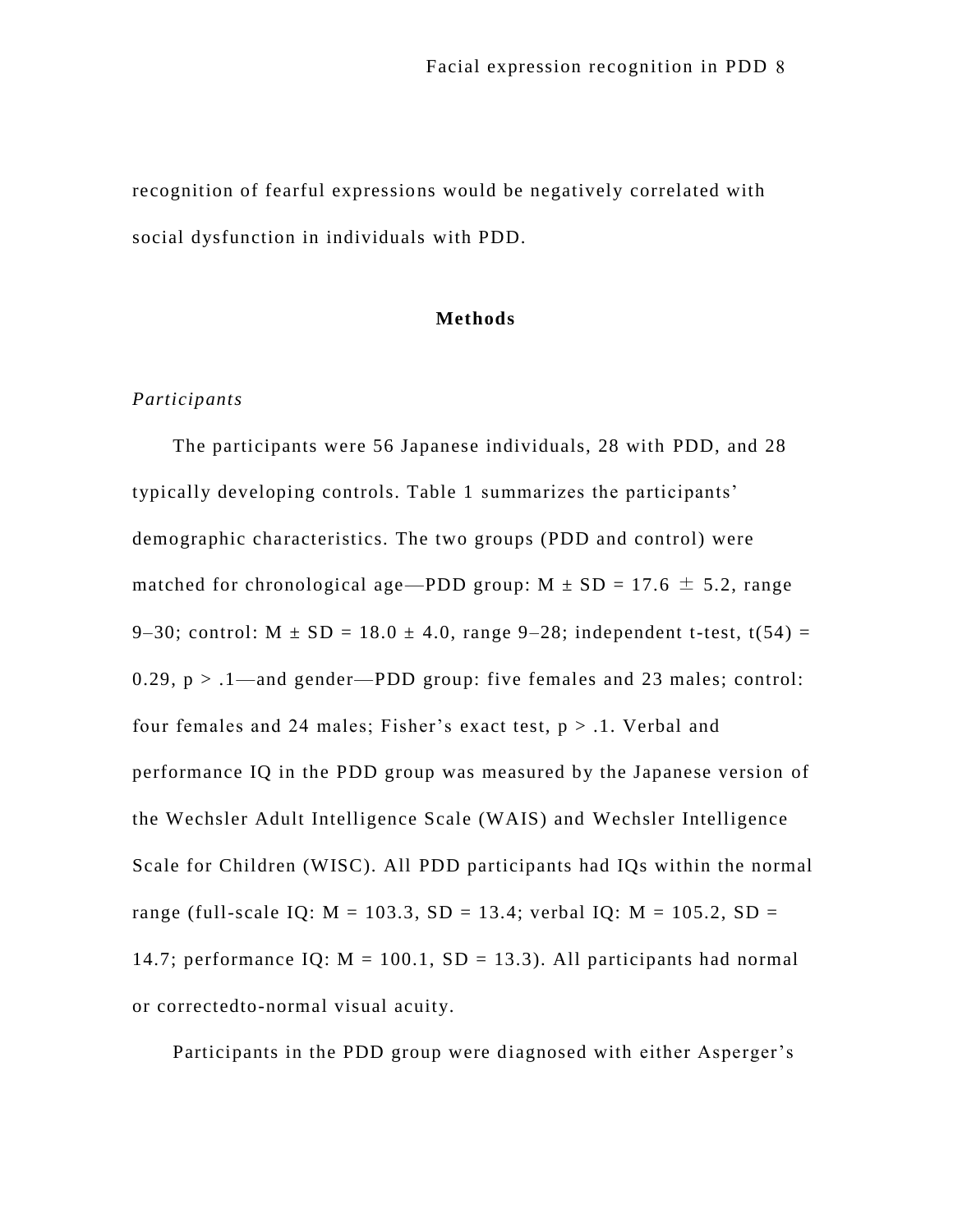recognition of fearful expressions would be negatively correlated with social dysfunction in individuals with PDD.

## **Methods**

## *Participants*

The participants were 56 Japanese individuals, 28 with PDD, and 28 typically developing controls. Table 1 summarizes the participants' demographic characteristics. The two groups (PDD and control) were matched for chronological age—PDD group:  $M \pm SD = 17.6 \pm 5.2$ , range 9–30; control:  $M \pm SD = 18.0 \pm 4.0$ , range 9–28; independent t-test, t(54) = 0.29,  $p > 0.1$ —and gender—PDD group: five females and 23 males; control: four females and 24 males; Fisher's exact test,  $p > 0.1$ . Verbal and performance IQ in the PDD group was measured by the Japanese version of the Wechsler Adult Intelligence Scale (WAIS) and Wechsler Intelligence Scale for Children (WISC). All PDD participants had IQs within the normal range (full-scale IQ:  $M = 103.3$ ,  $SD = 13.4$ ; verbal IQ:  $M = 105.2$ ,  $SD =$ 14.7; performance IQ:  $M = 100.1$ ,  $SD = 13.3$ ). All participants had normal or correctedto-normal visual acuity.

Participants in the PDD group were diagnosed with either Asperger's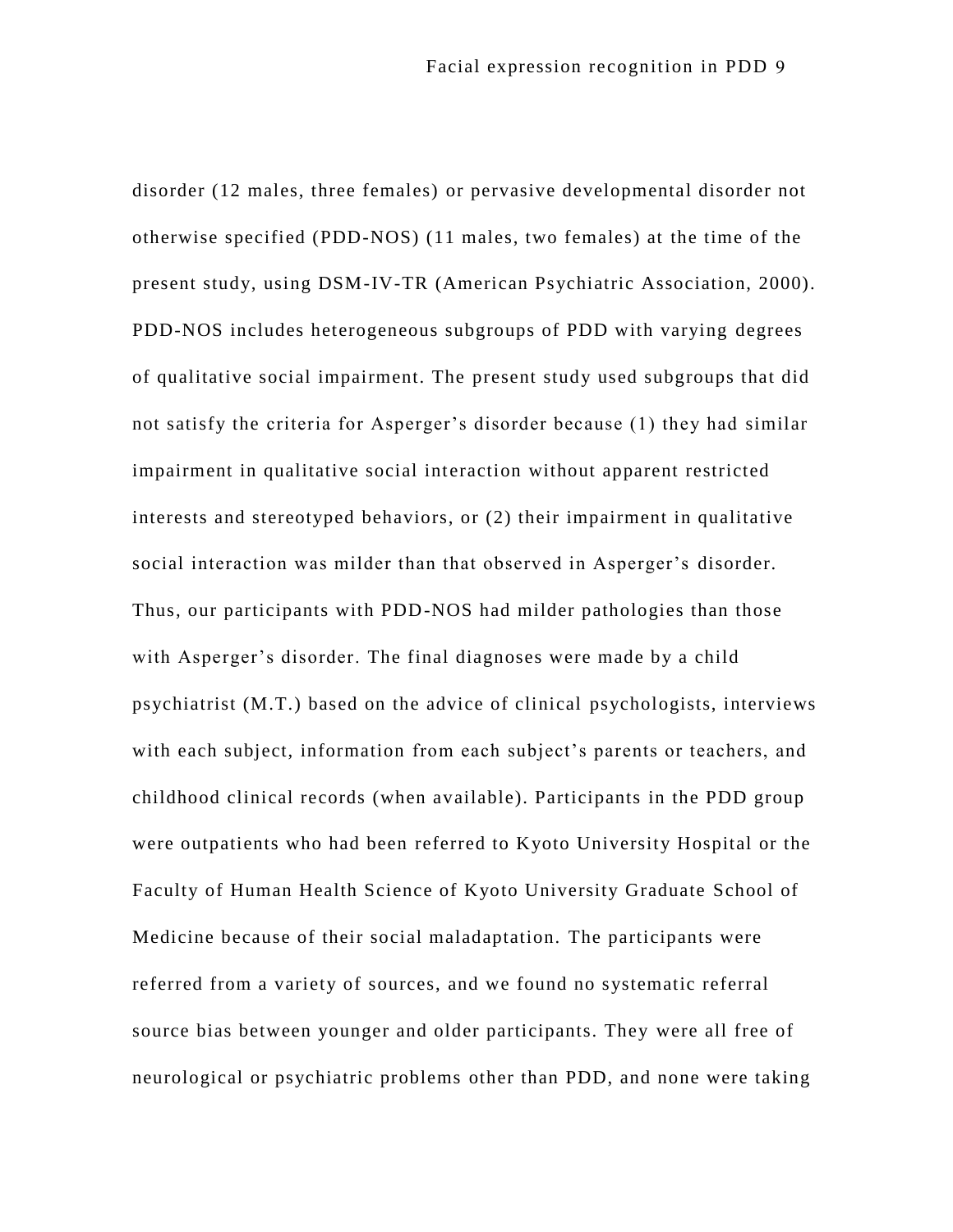disorder (12 males, three females) or pervasive developmental disorder not otherwise specified (PDD-NOS) (11 males, two females) at the time of the present study, using DSM-IV-TR (American Psychiatric Association, 2000). PDD-NOS includes heterogeneous subgroups of PDD with varying degrees of qualitative social impairment. The present study used subgroups that did not satisfy the criteria for Asperger's disorder because (1) they had similar impairment in qualitative social interaction without apparent restricted interests and stereotyped behaviors, or (2) their impairment in qualitative social interaction was milder than that observed in Asperger's disorder. Thus, our participants with PDD-NOS had milder pathologies than those with Asperger's disorder. The final diagnoses were made by a child psychiatrist (M.T.) based on the advice of clinical psychologists, interviews with each subject, information from each subject's parents or teachers, and childhood clinical records (when available). Participants in the PDD group were outpatients who had been referred to Kyoto University Hospital or the Faculty of Human Health Science of Kyoto University Graduate School of Medicine because of their social maladaptation. The participants were referred from a variety of sources, and we found no systematic referral source bias between younger and older participants. They were all free of neurological or psychiatric problems other than PDD, and none were taking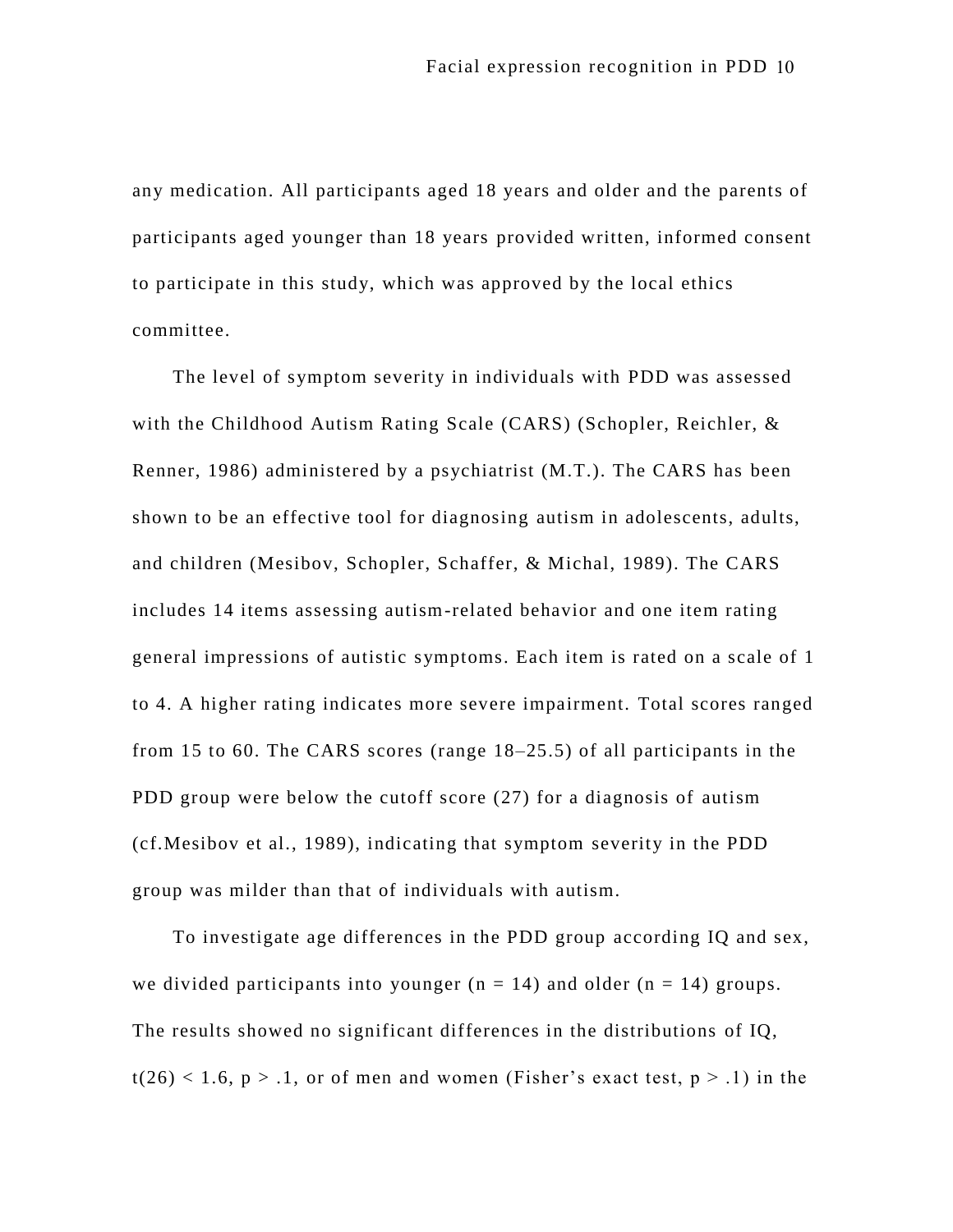any medication. All participants aged 18 years and older and the parents of participants aged younger than 18 years provided written, informed consent to participate in this study, which was approved by the local ethics committee.

The level of symptom severity in individuals with PDD was assessed with the Childhood Autism Rating Scale (CARS) (Schopler, Reichler, & Renner, 1986) administered by a psychiatrist (M.T.). The CARS has been shown to be an effective tool for diagnosing autism in adolescents, adults, and children (Mesibov, Schopler, Schaffer, & Michal, 1989). The CARS includes 14 items assessing autism-related behavior and one item rating general impressions of autistic symptoms. Each item is rated on a scale of 1 to 4. A higher rating indicates more severe impairment. Total scores ranged from 15 to 60. The CARS scores (range 18–25.5) of all participants in the PDD group were below the cutoff score (27) for a diagnosis of autism (cf.Mesibov et al., 1989), indicating that symptom severity in the PDD group was milder than that of individuals with autism.

To investigate age differences in the PDD group according IQ and sex, we divided participants into younger ( $n = 14$ ) and older ( $n = 14$ ) groups. The results showed no significant differences in the distributions of IQ,  $t(26)$  < 1.6, p > .1, or of men and women (Fisher's exact test, p > .1) in the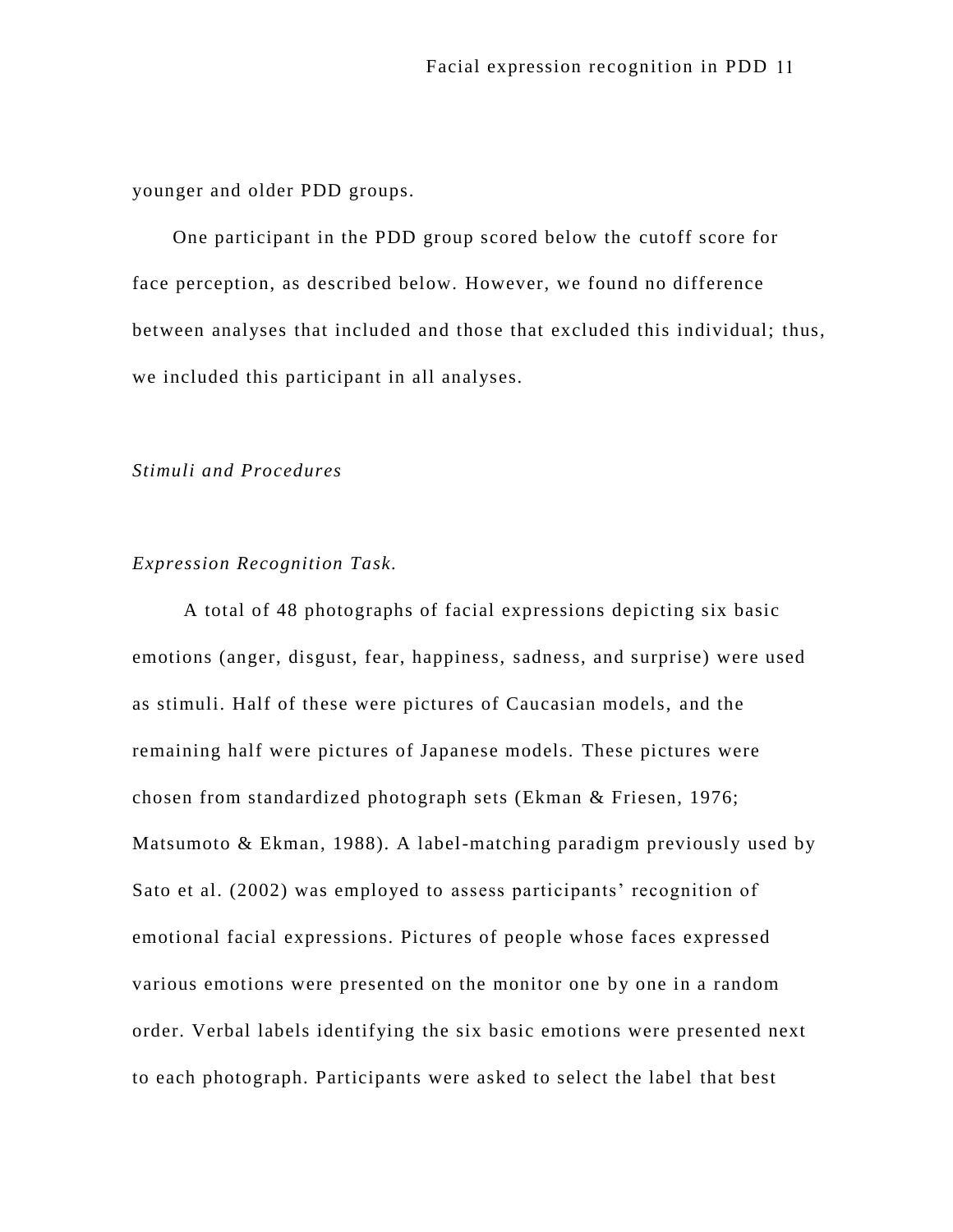younger and older PDD groups.

One participant in the PDD group scored below the cutoff score for face perception, as described below. However, we found no difference between analyses that included and those that excluded this individual; thus, we included this participant in all analyses.

## *Stimuli and Procedures*

## *Expression Recognition Task.*

A total of 48 photographs of facial expressions depicting six basic emotions (anger, disgust, fear, happiness, sadness, and surprise) were used as stimuli. Half of these were pictures of Caucasian models, and the remaining half were pictures of Japanese models. These pictures were chosen from standardized photograph sets (Ekman & Friesen, 1976; Matsumoto & Ekman, 1988). A label-matching paradigm previously used by Sato et al. (2002) was employed to assess participants' recognition of emotional facial expressions. Pictures of people whose faces expressed various emotions were presented on the monitor one by one in a random order. Verbal labels identifying the six basic emotions were presented next to each photograph. Participants were asked to select the label that best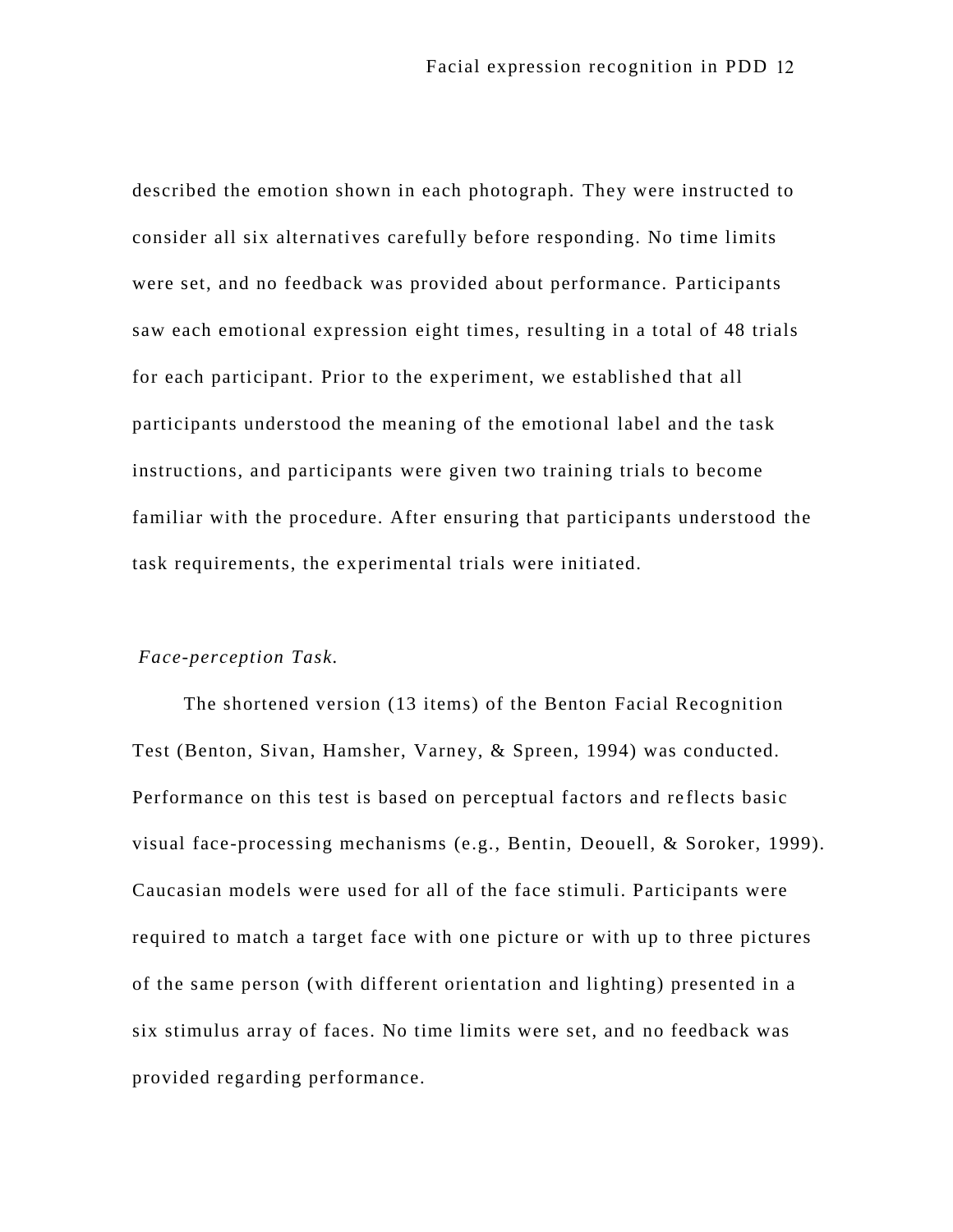described the emotion shown in each photograph. They were instructed to consider all six alternatives carefully before responding. No time limits were set, and no feedback was provided about performance. Participants saw each emotional expression eight times, resulting in a total of 48 trials for each participant. Prior to the experiment, we established that all participants understood the meaning of the emotional label and the task instructions, and participants were given two training trials to become familiar with the procedure. After ensuring that participants understood the task requirements, the experimental trials were initiated.

## *Face-perception Task.*

The shortened version (13 items) of the Benton Facial Recognition Test (Benton, Sivan, Hamsher, Varney, & Spreen, 1994) was conducted. Performance on this test is based on perceptual factors and re flects basic visual face-processing mechanisms (e.g., Bentin, Deouell, & Soroker, 1999). Caucasian models were used for all of the face stimuli. Participants were required to match a target face with one picture or with up to three pictures of the same person (with different orientation and lighting) presented in a six stimulus array of faces. No time limits were set, and no feedback was provided regarding performance.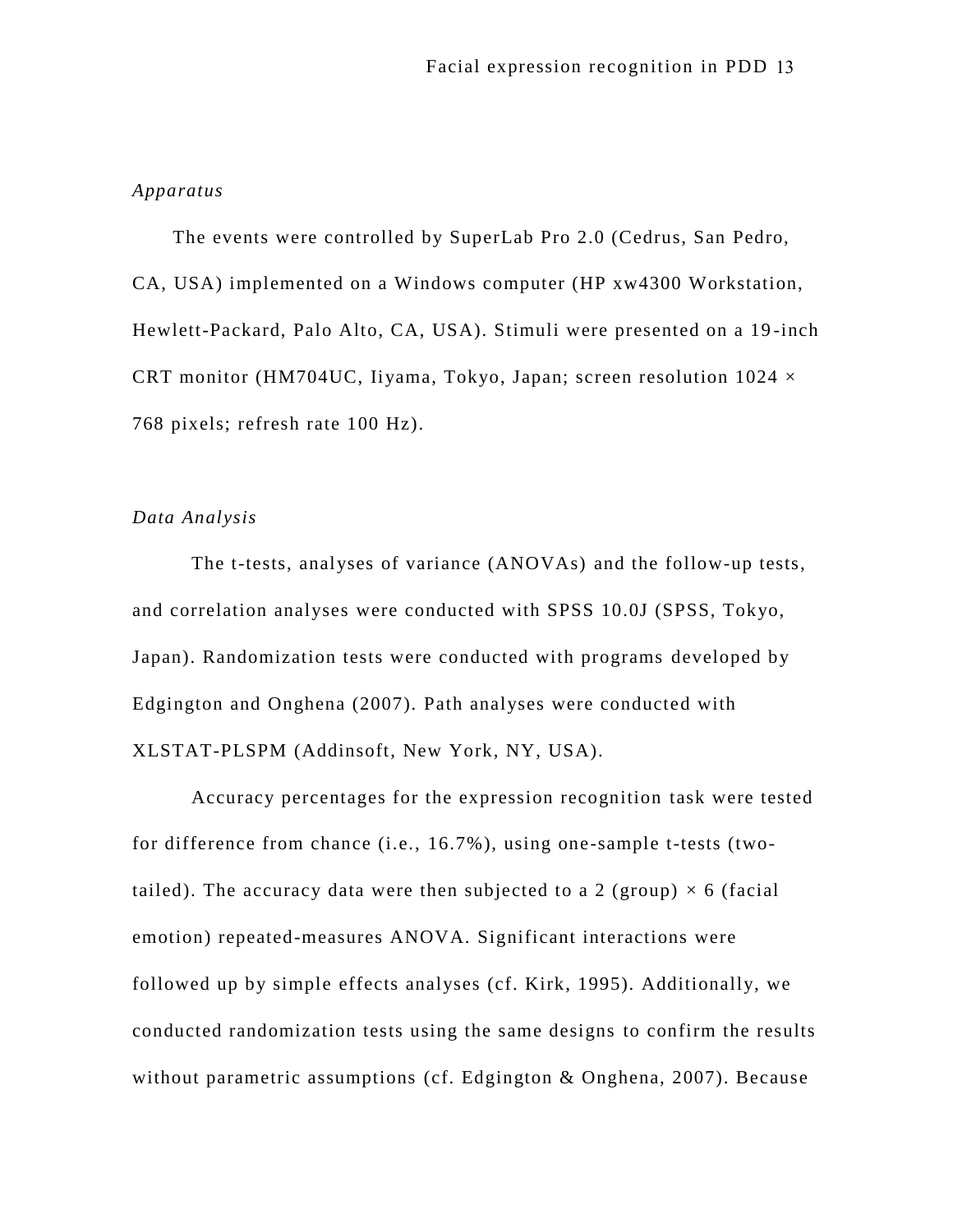## *Apparatus*

The events were controlled by SuperLab Pro 2.0 (Cedrus, San Pedro, CA, USA) implemented on a Windows computer (HP xw4300 Workstation, Hewlett-Packard, Palo Alto, CA, USA). Stimuli were presented on a 19 -inch CRT monitor (HM704UC, Iiyama, Tokyo, Japan; screen resolution  $1024 \times$ 768 pixels; refresh rate 100 Hz).

## *Data Analysis*

The t-tests, analyses of variance (ANOVAs) and the follow-up tests, and correlation analyses were conducted with SPSS 10.0J (SPSS, Tokyo, Japan). Randomization tests were conducted with programs developed by Edgington and Onghena (2007). Path analyses were conducted with XLSTAT-PLSPM (Addinsoft, New York, NY, USA).

Accuracy percentages for the expression recognition task were tested for difference from chance (i.e., 16.7%), using one-sample t-tests (twotailed). The accuracy data were then subjected to a 2 (group)  $\times$  6 (facial emotion) repeated-measures ANOVA. Significant interactions were followed up by simple effects analyses (cf. Kirk, 1995). Additionally, we conducted randomization tests using the same designs to confirm the results without parametric assumptions (cf. Edgington & Onghena, 2007). Because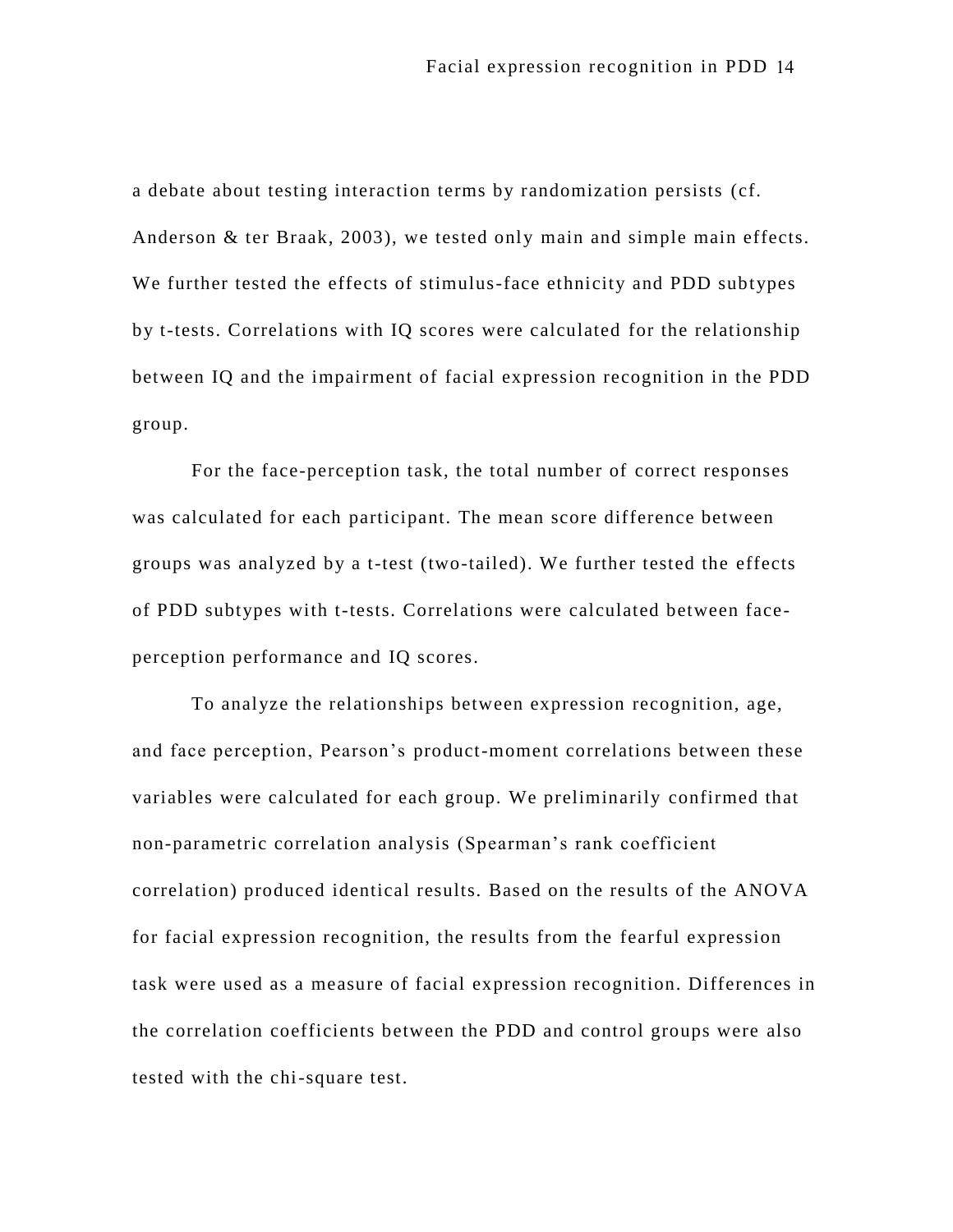a debate about testing interaction terms by randomization persists (cf. Anderson & ter Braak, 2003), we tested only main and simple main effects. We further tested the effects of stimulus-face ethnicity and PDD subtypes by t-tests. Correlations with IQ scores were calculated for the relationship between IQ and the impairment of facial expression recognition in the PDD group.

For the face-perception task, the total number of correct responses was calculated for each participant. The mean score difference between groups was analyzed by a t-test (two-tailed). We further tested the effects of PDD subtypes with t-tests. Correlations were calculated between faceperception performance and IQ scores.

To analyze the relationships between expression recognition, age, and face perception, Pearson's product-moment correlations between these variables were calculated for each group. We preliminarily confirmed that non-parametric correlation analysis (Spearman's rank coefficient correlation) produced identical results. Based on the results of the ANOVA for facial expression recognition, the results from the fearful expression task were used as a measure of facial expression recognition. Differences in the correlation coefficients between the PDD and control groups were also tested with the chi-square test.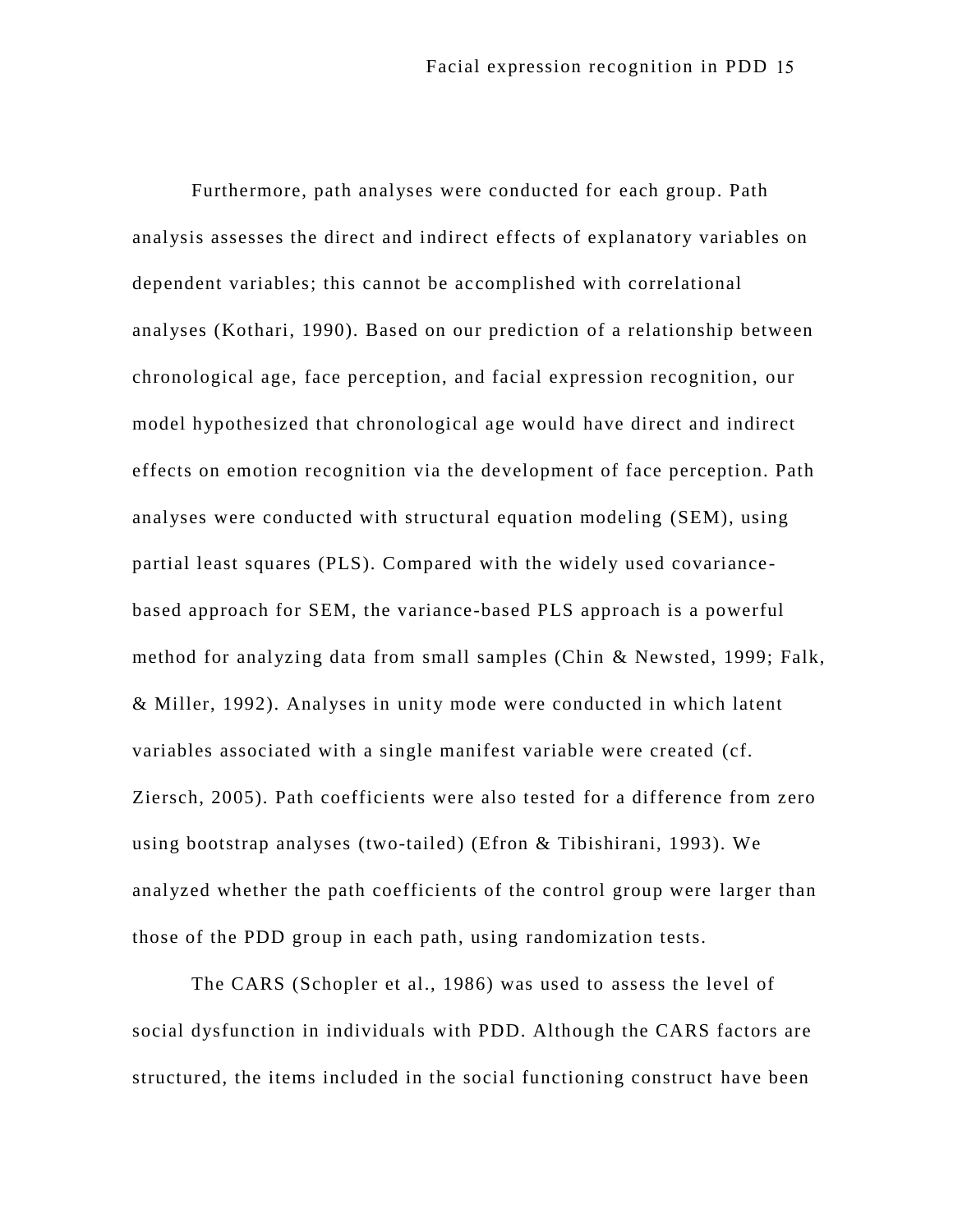Furthermore, path analyses were conducted for each group. Path analysis assesses the direct and indirect effects of explanatory variables on dependent variables; this cannot be ac complished with correlational analyses (Kothari, 1990). Based on our prediction of a relationship between chronological age, face perception, and facial expression recognition, our model hypothesized that chronological age would have direct and indirect effects on emotion recognition via the development of face perception. Path analyses were conducted with structural equation modeling (SEM), using partial least squares (PLS). Compared with the widely used covariance based approach for SEM, the variance-based PLS approach is a powerful method for analyzing data from small samples (Chin & Newsted, 1999; Falk, & Miller, 1992). Analyses in unity mode were conducted in which latent variables associated with a single manifest variable were created (cf. Ziersch, 2005). Path coefficients were also tested for a difference from zero using bootstrap analyses (two-tailed) (Efron & Tibishirani, 1993). We analyzed whether the path coefficients of the control group were larger than those of the PDD group in each path, using randomization tests.

The CARS (Schopler et al., 1986) was used to assess the level of social dysfunction in individuals with PDD. Although the CARS factors are structured, the items included in the social functioning construct have been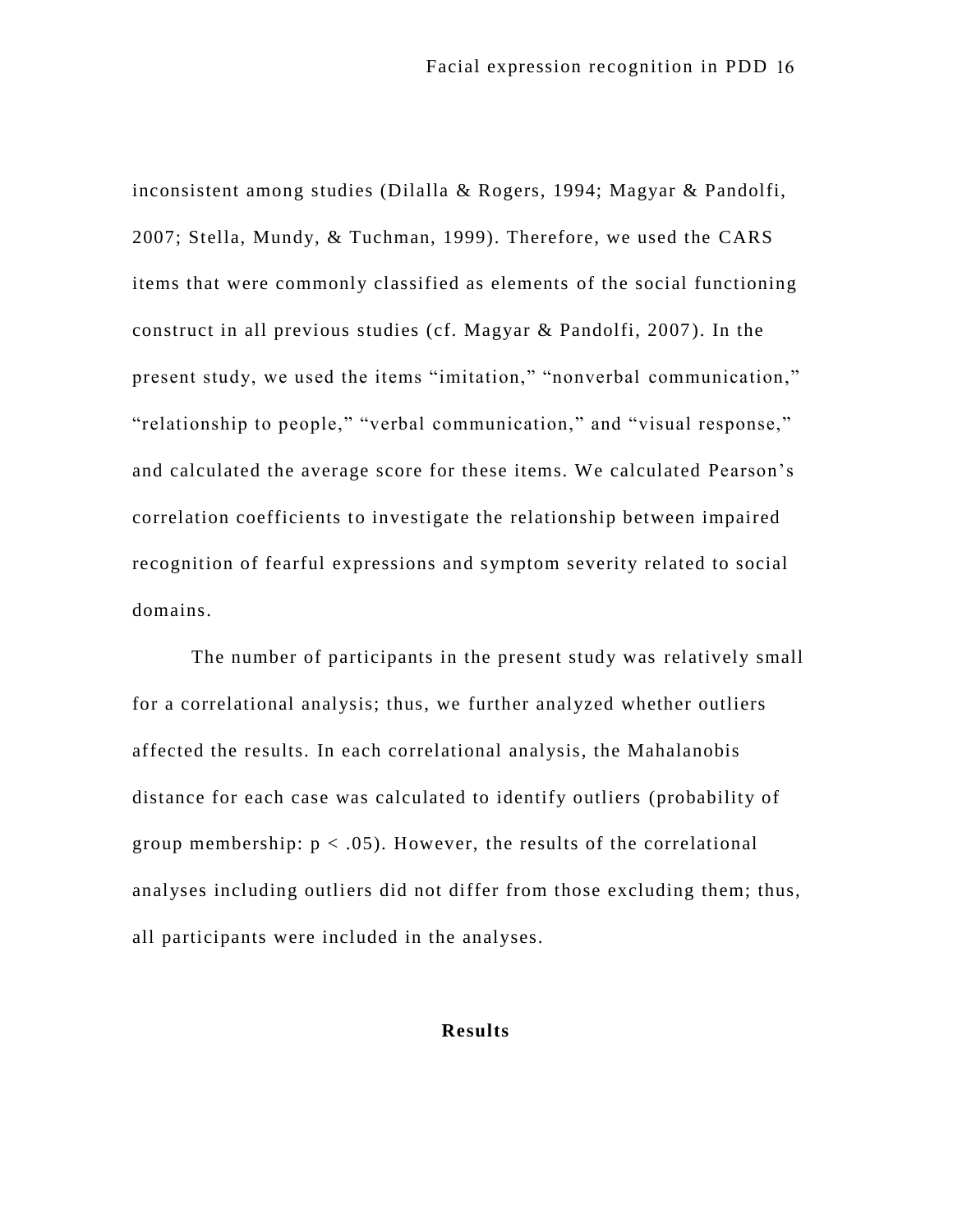inconsistent among studies (Dilalla & Rogers, 1994; Magyar & Pandolfi, 2007; Stella, Mundy, & Tuchman, 1999). Therefore, we used the CARS items that were commonly classified as elements of the social functioning construct in all previous studies (cf. Magyar & Pandolfi, 2007 ). In the present study, we used the items "imitation," "nonverbal communication," "relationship to people," "verbal communication," and "visual response," and calculated the average score for these items. We calculated Pearson's correlation coefficients to investigate the relationship between impaired recognition of fearful expressions and symptom severity related to social domains.

The number of participants in the present study was relatively small for a correlational analysis; thus, we further analyzed whether outliers affected the results. In each correlational analysis, the Mahalanobis distance for each case was calculated to identify outliers (probability of group membership:  $p < .05$ ). However, the results of the correlational analyses including outliers did not differ from those excluding them; thus, all participants were included in the analyses.

#### **Results**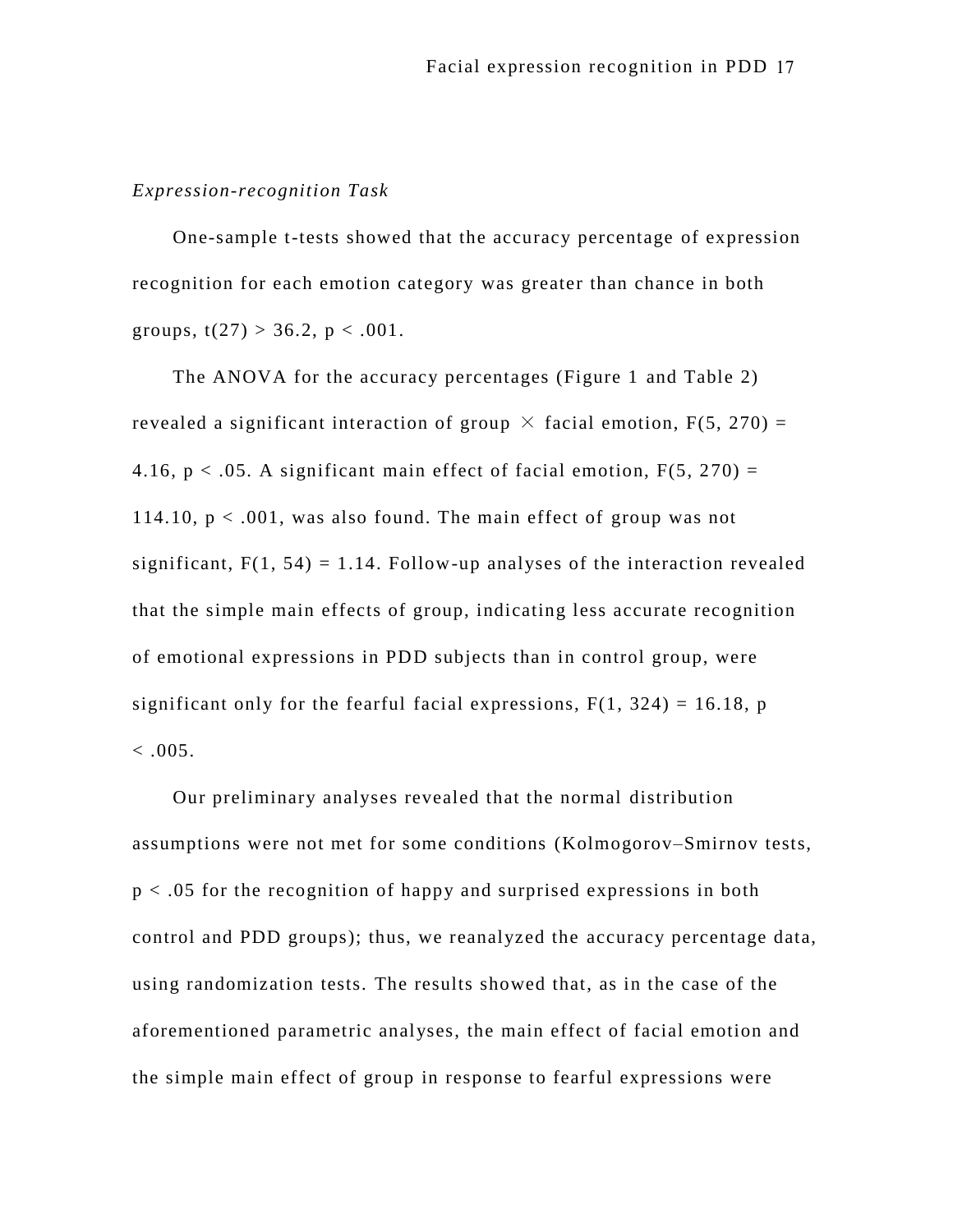### *Expression-recognition Task*

One-sample t-tests showed that the accuracy percentage of expression recognition for each emotion category was greater than chance in both groups,  $t(27) > 36.2$ ,  $p < .001$ .

The ANOVA for the accuracy percentages (Figure 1 and Table 2) revealed a significant interaction of group  $\times$  facial emotion, F(5, 270) = 4.16,  $p < .05$ . A significant main effect of facial emotion,  $F(5, 270) =$ 114.10,  $p < .001$ , was also found. The main effect of group was not significant,  $F(1, 54) = 1.14$ . Follow-up analyses of the interaction revealed that the simple main effects of group, indicating less accurate recognition of emotional expressions in PDD subjects than in control group, were significant only for the fearful facial expressions,  $F(1, 324) = 16.18$ , p  $< 0.005$ .

Our preliminary analyses revealed that the normal distribution assumptions were not met for some conditions (Kolmogorov–Smirnov tests, p < .05 for the recognition of happy and surprised expressions in both control and PDD groups); thus, we reanalyzed the accuracy percentage data, using randomization tests. The results showed that, as in the case of the aforementioned parametric analyses, the main effect of facial emotion and the simple main effect of group in response to fearful expressions were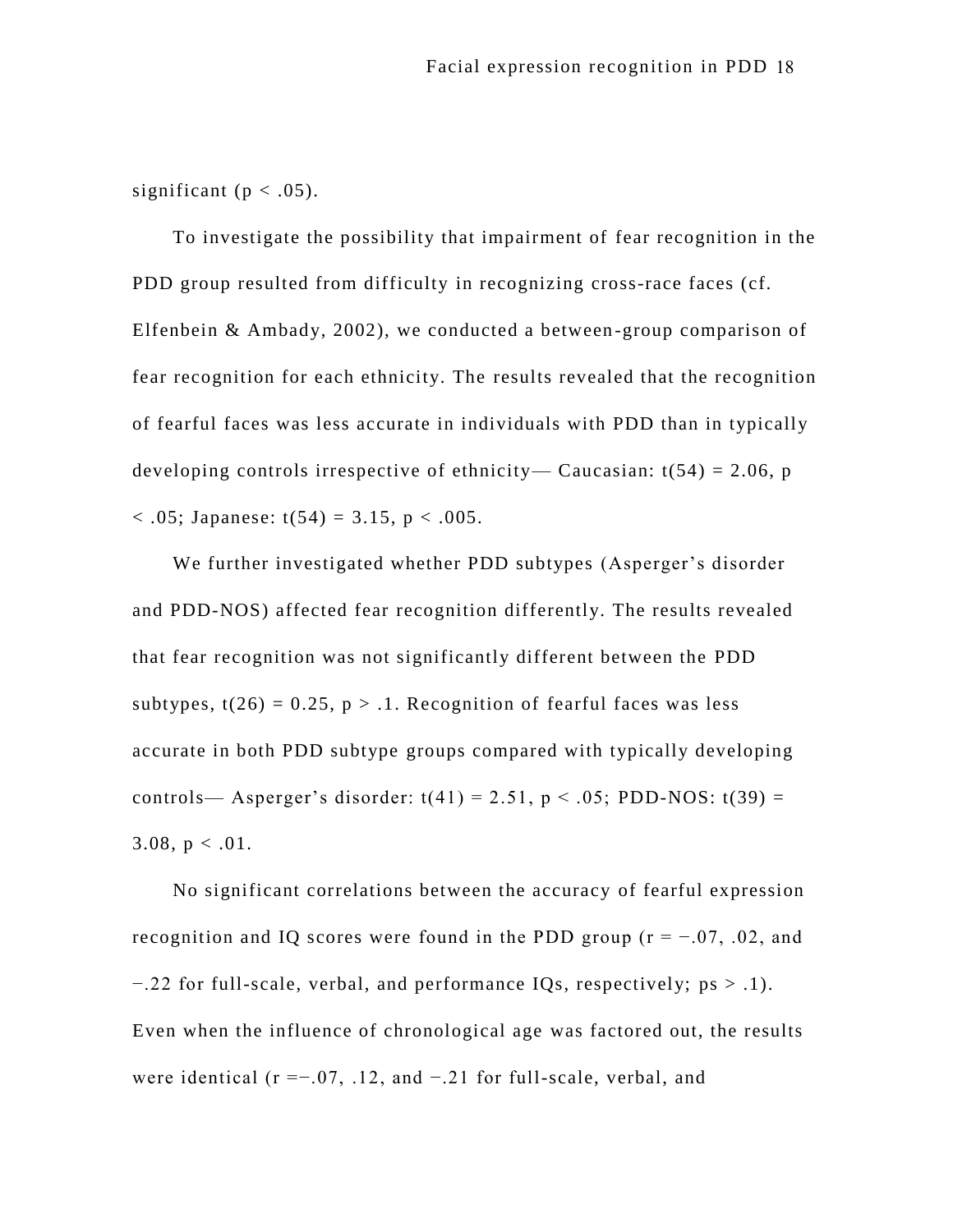significant ( $p < .05$ ).

To investigate the possibility that impairment of fear recognition in the PDD group resulted from difficulty in recognizing cross-race faces (cf. Elfenbein & Ambady, 2002), we conducted a between -group comparison of fear recognition for each ethnicity. The results revealed that the recognition of fearful faces was less accurate in individuals with PDD than in typically developing controls irrespective of ethnicity— Caucasian:  $t(54) = 2.06$ , p  $<$  0.05; Japanese: t(54) = 3.15, p  $<$  0.05.

We further investigated whether PDD subtypes (Asperger's disorder and PDD-NOS) affected fear recognition differently. The results revealed that fear recognition was not significantly different between the PDD subtypes,  $t(26) = 0.25$ ,  $p > 0.1$ . Recognition of fearful faces was less accurate in both PDD subtype groups compared with typically developing controls— Asperger's disorder:  $t(41) = 2.51$ ,  $p < .05$ ; PDD-NOS:  $t(39) =$ 3.08,  $p < .01$ .

No significant correlations between the accuracy of fearful expression recognition and IQ scores were found in the PDD group ( $r = -0.07$ , .02, and −.22 for full-scale, verbal, and performance IQs, respectively; ps > .1). Even when the influence of chronological age was factored out, the results were identical ( $r = -0.07$ , .12, and  $-0.21$  for full-scale, verbal, and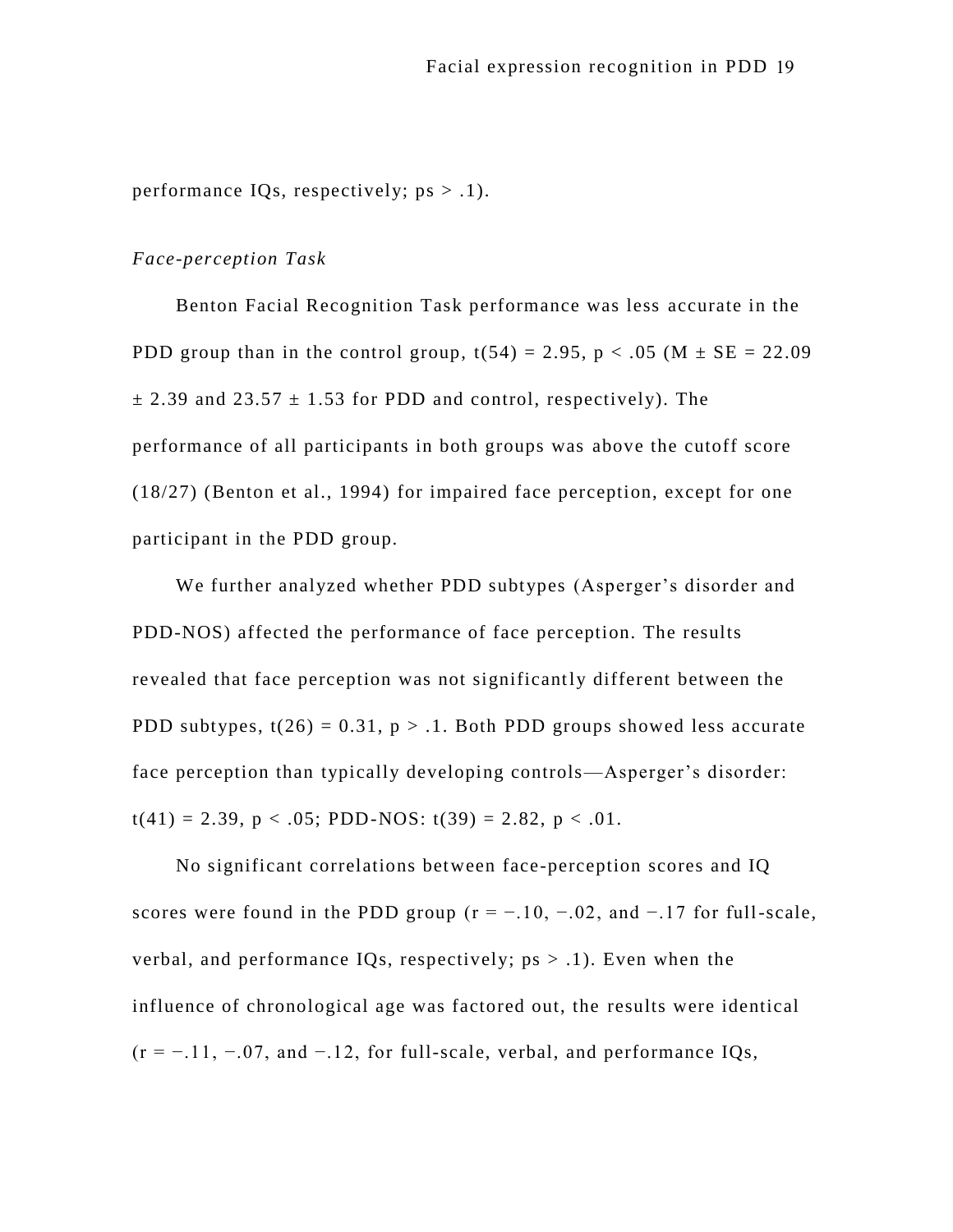performance IQs, respectively;  $ps > .1$ ).

## *Face-perception Task*

Benton Facial Recognition Task performance was less accurate in the PDD group than in the control group,  $t(54) = 2.95$ ,  $p < .05$  (M  $\pm$  SE = 22.09)  $\pm$  2.39 and 23.57  $\pm$  1.53 for PDD and control, respectively). The performance of all participants in both groups was above the cutoff score (18/27) (Benton et al., 1994) for impaired face perception, except for one participant in the PDD group.

We further analyzed whether PDD subtypes (Asperger's disorder and PDD-NOS) affected the performance of face perception. The results revealed that face perception was not significantly different between the PDD subtypes,  $t(26) = 0.31$ ,  $p > 0.1$ . Both PDD groups showed less accurate face perception than typically developing controls—Asperger's disorder:  $t(41) = 2.39$ ,  $p < .05$ ; PDD-NOS:  $t(39) = 2.82$ ,  $p < .01$ .

No significant correlations between face-perception scores and IQ scores were found in the PDD group ( $r = -10, -0.02$ , and  $-17$  for full-scale, verbal, and performance IOs, respectively;  $ps > .1$ ). Even when the influence of chronological age was factored out, the results were identical  $(r = -11, -0.07,$  and  $-1.12$ , for full-scale, verbal, and performance IQs,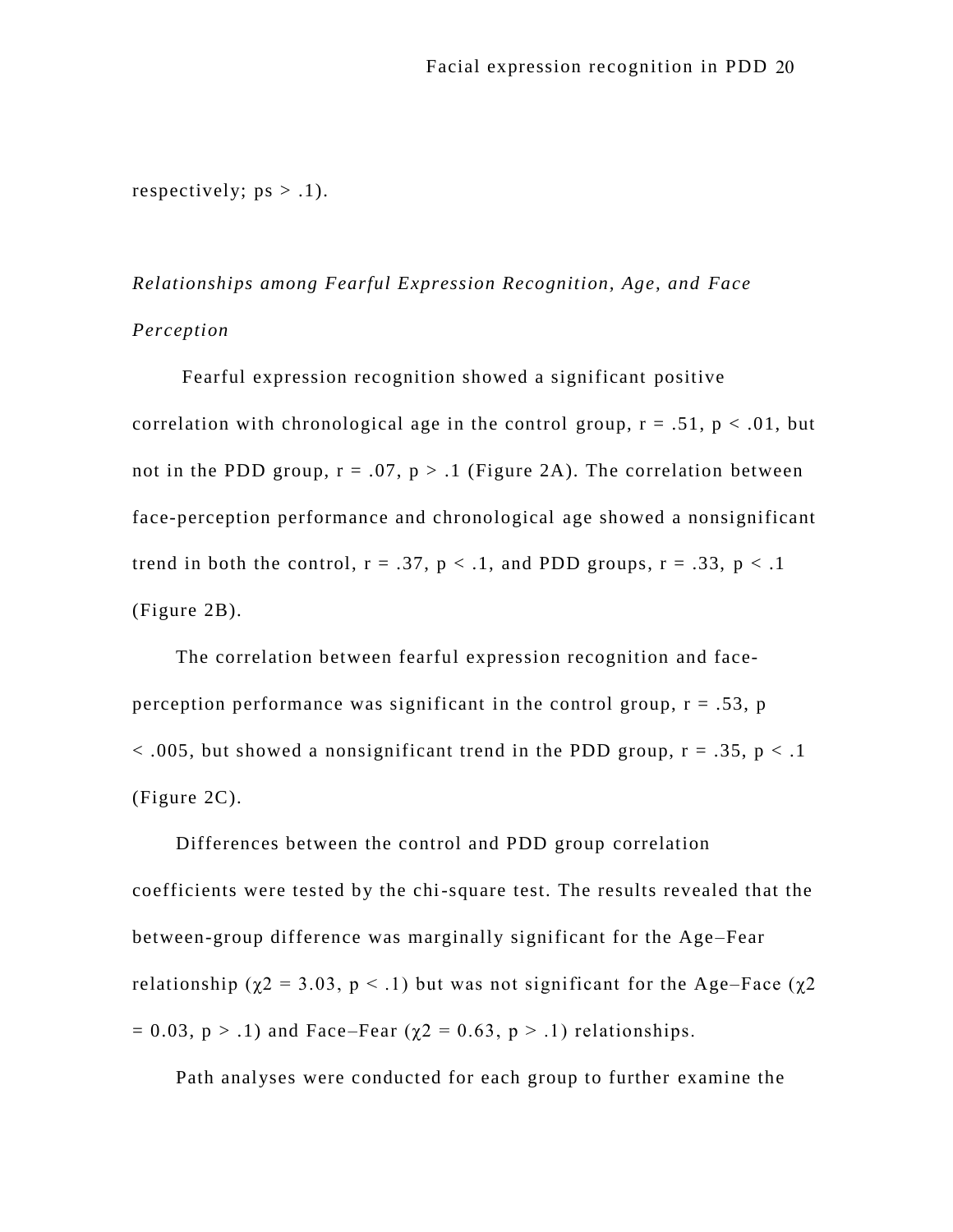respectively;  $ps > .1$ ).

*Relationships among Fearful Expression Recognition, Age, and Face Perception*

Fearful expression recognition showed a significant positive correlation with chronological age in the control group,  $r = .51$ ,  $p < .01$ , but not in the PDD group,  $r = .07$ ,  $p > .1$  (Figure 2A). The correlation between face-perception performance and chronological age showed a nonsignificant trend in both the control,  $r = .37$ ,  $p < .1$ , and PDD groups,  $r = .33$ ,  $p < .1$ (Figure 2B).

The correlation between fearful expression recognition and faceperception performance was significant in the control group,  $r = .53$ ,  $p$  $<$  0.005, but showed a nonsignificant trend in the PDD group,  $r = .35$ ,  $p < .1$ (Figure 2C).

Differences between the control and PDD group correlation coefficients were tested by the chi-square test. The results revealed that the between-group difference was marginally significant for the Age–Fear relationship ( $\chi$ 2 = 3.03, p < .1) but was not significant for the Age–Face ( $\chi$ 2  $= 0.03$ ,  $p > .1$ ) and Face–Fear ( $\chi$ 2 = 0.63,  $p > .1$ ) relationships.

Path analyses were conducted for each group to further examine the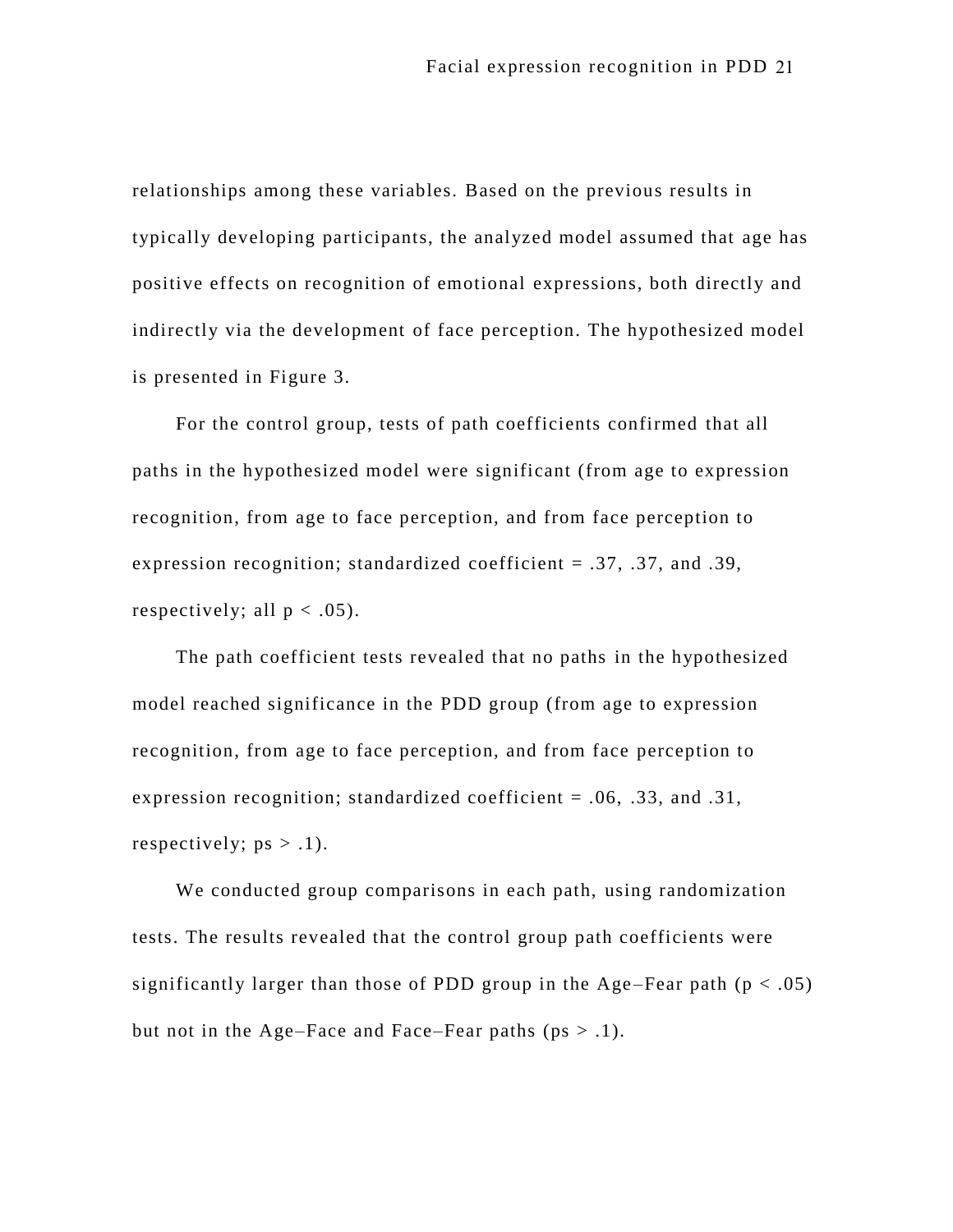relationships among these variables. Based on the previous results in typically developing participants, the analyzed model assumed that age has positive effects on recognition of emotional expressions, both directly and indirectly via the development of face perception. The hypothesized model is presented in Figure 3.

For the control group, tests of path coefficients confirmed that all paths in the hypothesized model were significant (from age to expression recognition, from age to face perception, and from face perception to expression recognition; standardized coefficient = .37, .37, and .39, respectively; all  $p < .05$ ).

The path coefficient tests revealed that no paths in the hypothesized model reached significance in the PDD group (from age to expression recognition, from age to face perception, and from face perception to expression recognition; standardized coefficient = .06, .33, and .31, respectively;  $ps > .1$ ).

We conducted group comparisons in each path, using randomization tests. The results revealed that the control group path coefficients were significantly larger than those of PDD group in the Age–Fear path  $(p < .05)$ but not in the Age–Face and Face–Fear paths ( $ps > .1$ ).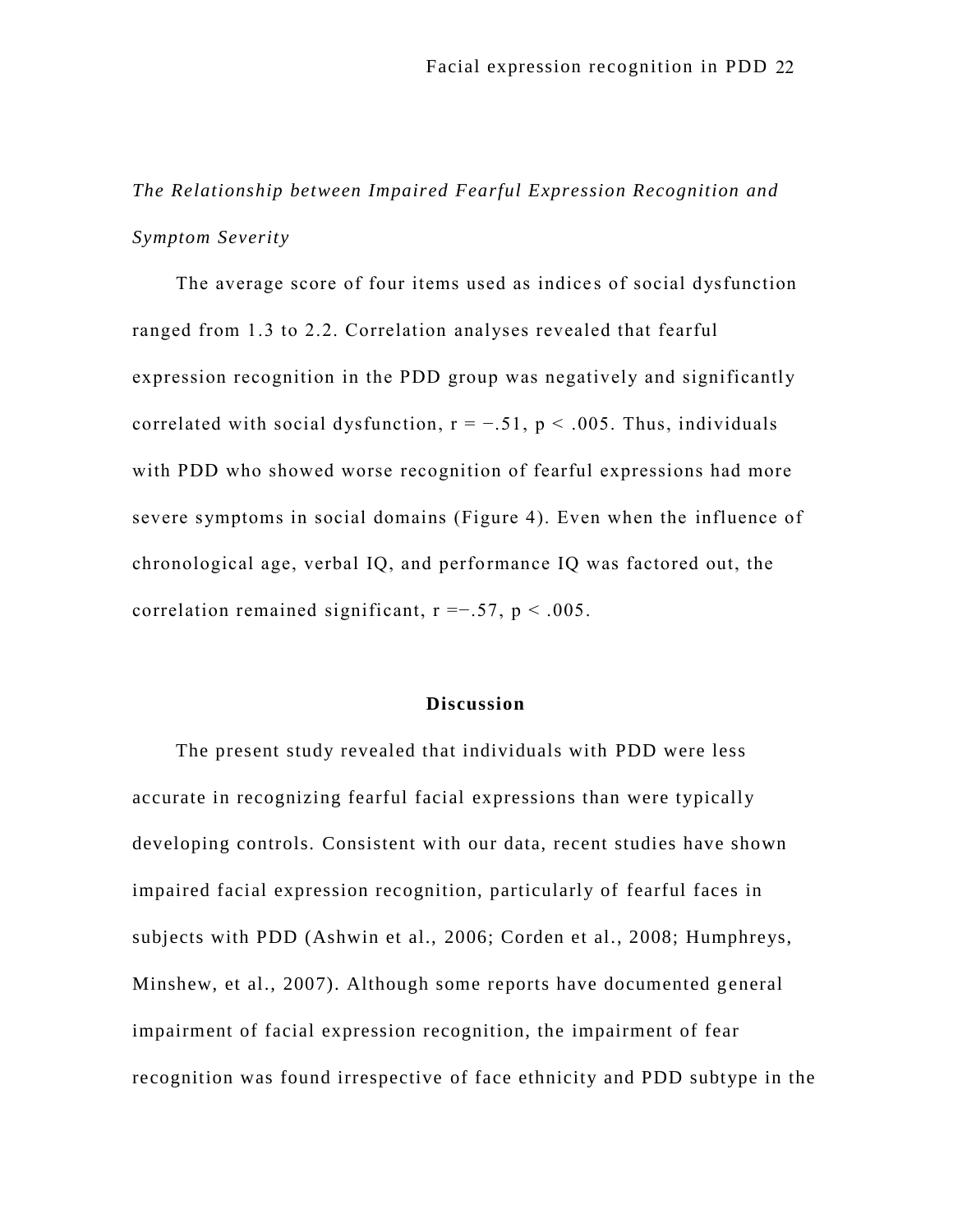*The Relationship between Impaired Fearful Expression Recognition and Symptom Severity*

The average score of four items used as indices of social dysfunction ranged from 1.3 to 2.2. Correlation analyses revealed that fearful expression recognition in the PDD group was negatively and significantly correlated with social dysfunction,  $r = -.51$ ,  $p < .005$ . Thus, individuals with PDD who showed worse recognition of fearful expressions had more severe symptoms in social domains (Figure 4). Even when the influence of chronological age, verbal IQ, and perfo rmance IQ was factored out, the correlation remained significant,  $r = -0.57$ ,  $p < 0.005$ .

#### **Discussion**

The present study revealed that individuals with PDD were less accurate in recognizing fearful facial expressions than were typically developing controls. Consistent with our data, recent studies have shown impaired facial expression recognition, particularly of fearful faces in subjects with PDD (Ashwin et al., 2006; Corden et al., 2008; Humphreys, Minshew, et al., 2007). Although some reports have documented general impairment of facial expression recognition, the impairment of fear recognition was found irrespective of face ethnicity and PDD subtype in the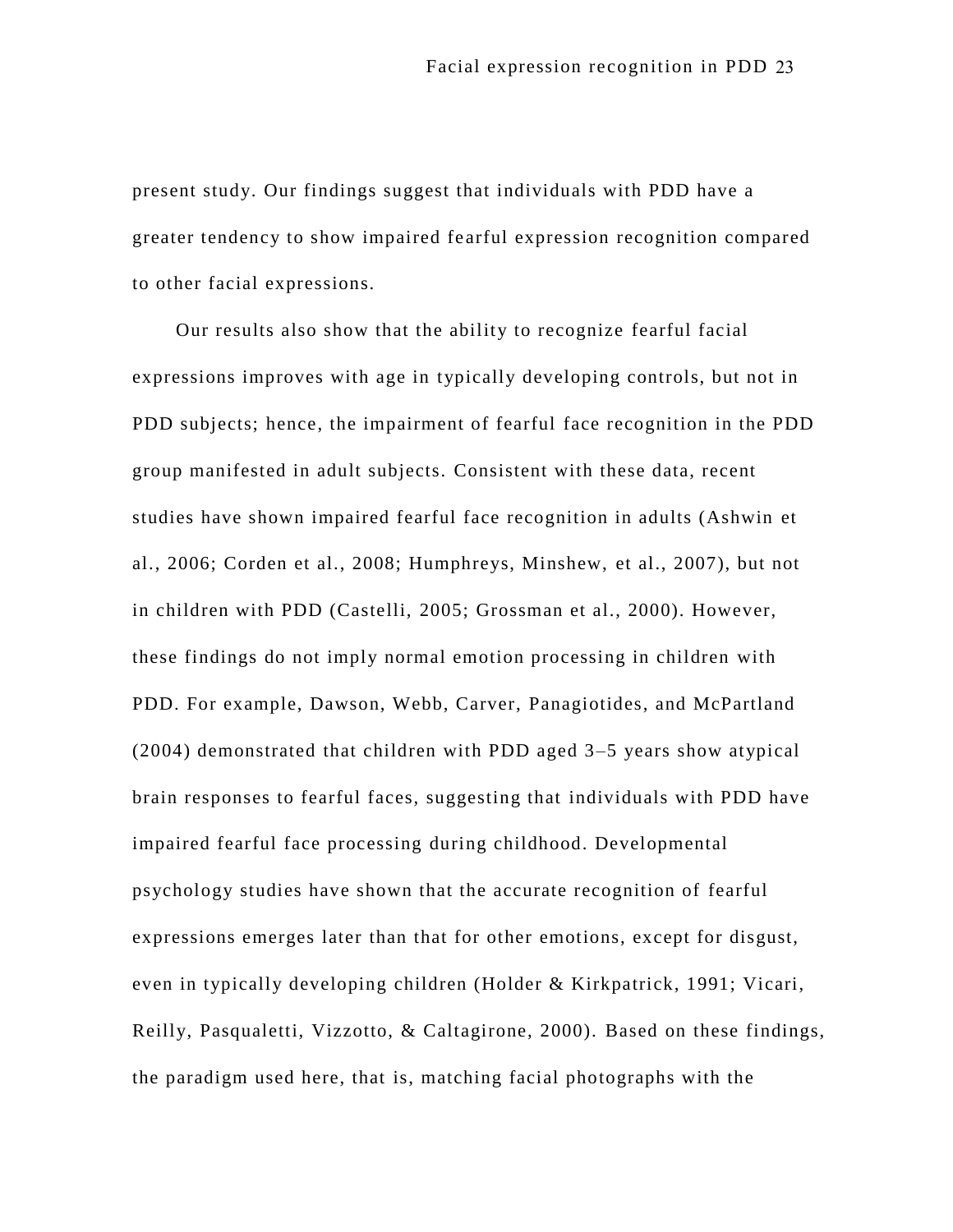present study. Our findings suggest that individuals with PDD have a greater tendency to show impaired fe arful expression recognition compared to other facial expressions.

Our results also show that the ability to recognize fearful facial expressions improves with age in typically developing controls, but not in PDD subjects; hence, the impairment of fearful face recognition in the PDD group manifested in adult subjects. Consistent with these data, recent studies have shown impaired fearful face recognition in adults (Ashwin et al., 2006; Corden et al., 2008; Humphreys, Minshew, et al., 2007), but not in children with PDD (Castelli, 2005; Grossman et al., 2000). However, these findings do not imply normal emotion processing in children with PDD. For example, Dawson, Webb, Carver, Panagiotides, and McPartland (2004) demonstrated that children with PDD aged 3–5 years show atypical brain responses to fearful faces, suggesting that individuals with PDD have impaired fearful face processing during childhood. Developmental psychology studies have shown that the accurate recognition of fearful expressions emerges later than that for other emotions, except for disgust, even in typically developing children (Holder & Kirkpatrick, 1991; Vicari, Reilly, Pasqualetti, Vizzotto, & Caltagirone, 2000). Based on these findings, the paradigm used here, that is, matching facial photographs with the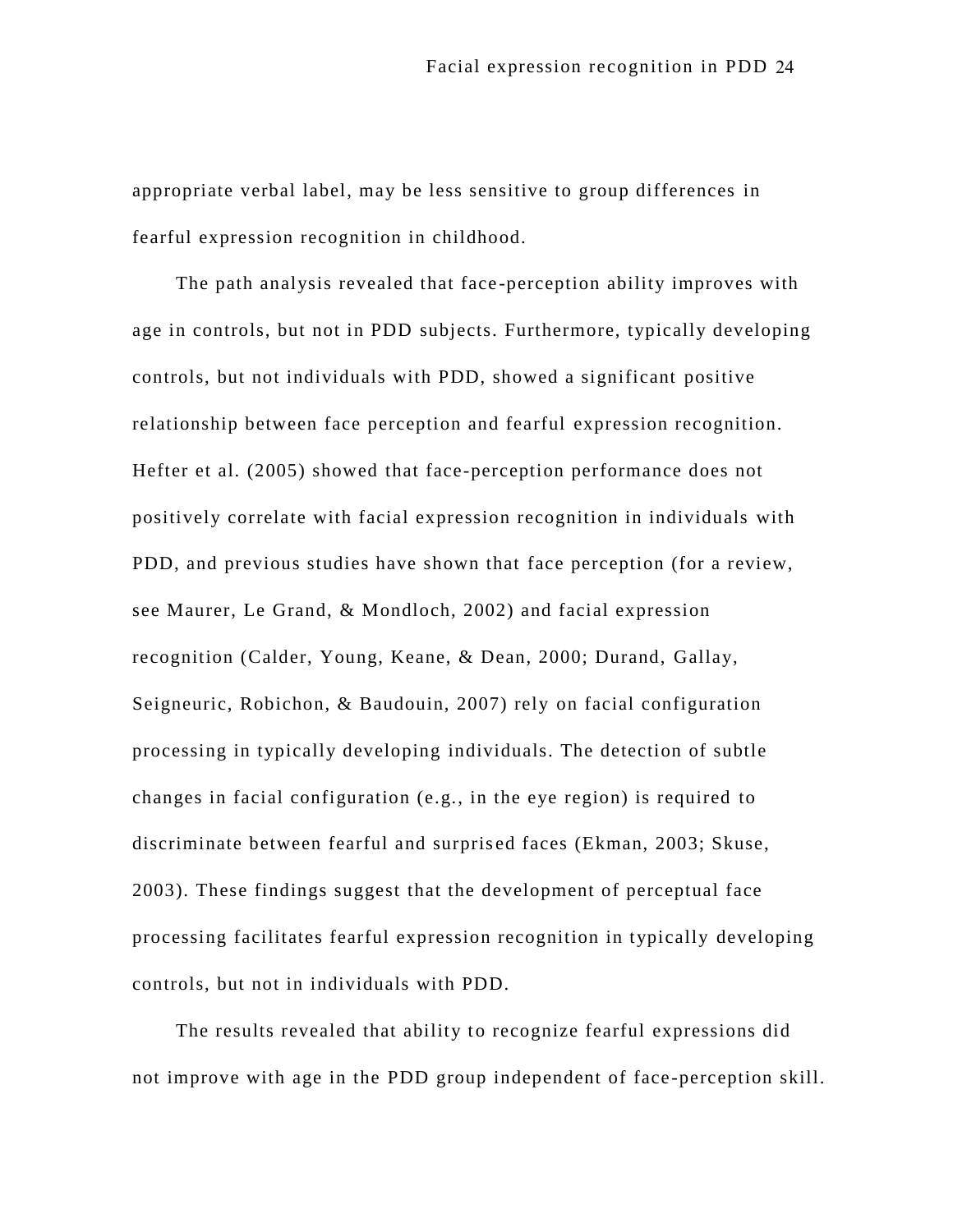appropriate verbal label, may be less sensitive to group differences in fearful expression recognition in childhood.

The path analysis revealed that face -perception ability improves with age in controls, but not in PDD subjects. Furthermore, typically developing controls, but not individuals with PDD, showed a significant positive relationship between face perception and fearful expression recognition. Hefter et al. (2005) showed that face-perception performance does not positively correlate with facial expression recognition in individuals with PDD, and previous studies have shown that face perception (for a review, see Maurer, Le Grand, & Mondloch, 2002) and facial expression recognition (Calder, Young, Keane, & Dean, 2000; Durand, Gallay, Seigneuric, Robichon, & Baudouin, 2007) rely on facial configuration processing in typically developing individuals. The detection of subtle changes in facial configuration (e.g., in the eye region) is required to discriminate between fearful and surpris ed faces (Ekman, 2003; Skuse, 2003). These findings suggest that the development of perceptual face processing facilitates fearful expression recognition in typically developing controls, but not in individuals with PDD.

The results revealed that ability to recognize fearful expressions did not improve with age in the PDD group independent of face -perception skill.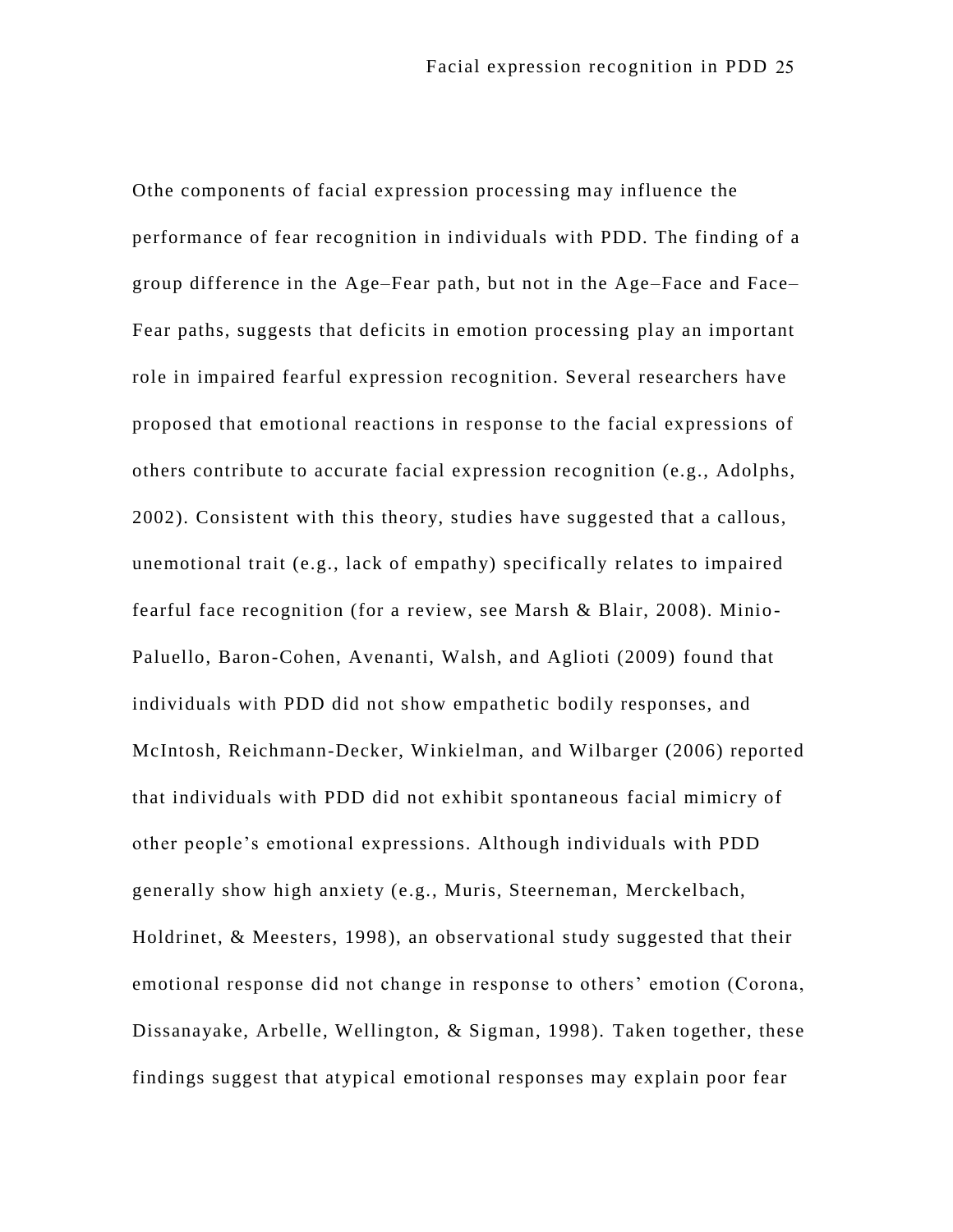Othe components of facial expression processing may influence the performance of fear recognition in individuals with PDD. The finding of a group difference in the Age–Fear path, but not in the Age–Face and Face– Fear paths, suggests that deficits in emotion processing play an important role in impaired fearful expression recognition. Several researchers have proposed that emotional reactions in response to the facial expressions of others contribute to accurate facial expression recognition (e.g., Adolphs, 2002). Consistent with this theory, studies have suggested that a callous, unemotional trait (e.g., lack of empathy) specifically relates to impaired fearful face recognition (for a review, see Marsh & Blair, 2008). Minio-Paluello, Baron-Cohen, Avenanti, Walsh, and Aglioti (2009) found that individuals with PDD did not show empathetic bodily responses, and McIntosh, Reichmann-Decker, Winkielman, and Wilbarger (2006) reported that individuals with PDD did not exhibit spontaneous facial mimicry of other people's emotional expressions. Although individuals with PDD generally show high anxiety (e.g., Muris, Steerneman, Merckelbach, Holdrinet, & Meesters, 1998), an observational study suggested that their emotional response did not change in response to others' emotion (Corona, Dissanayake, Arbelle, Wellington, & Sigman, 1998). Taken together, these findings suggest that atypical emotional responses may explain poor fear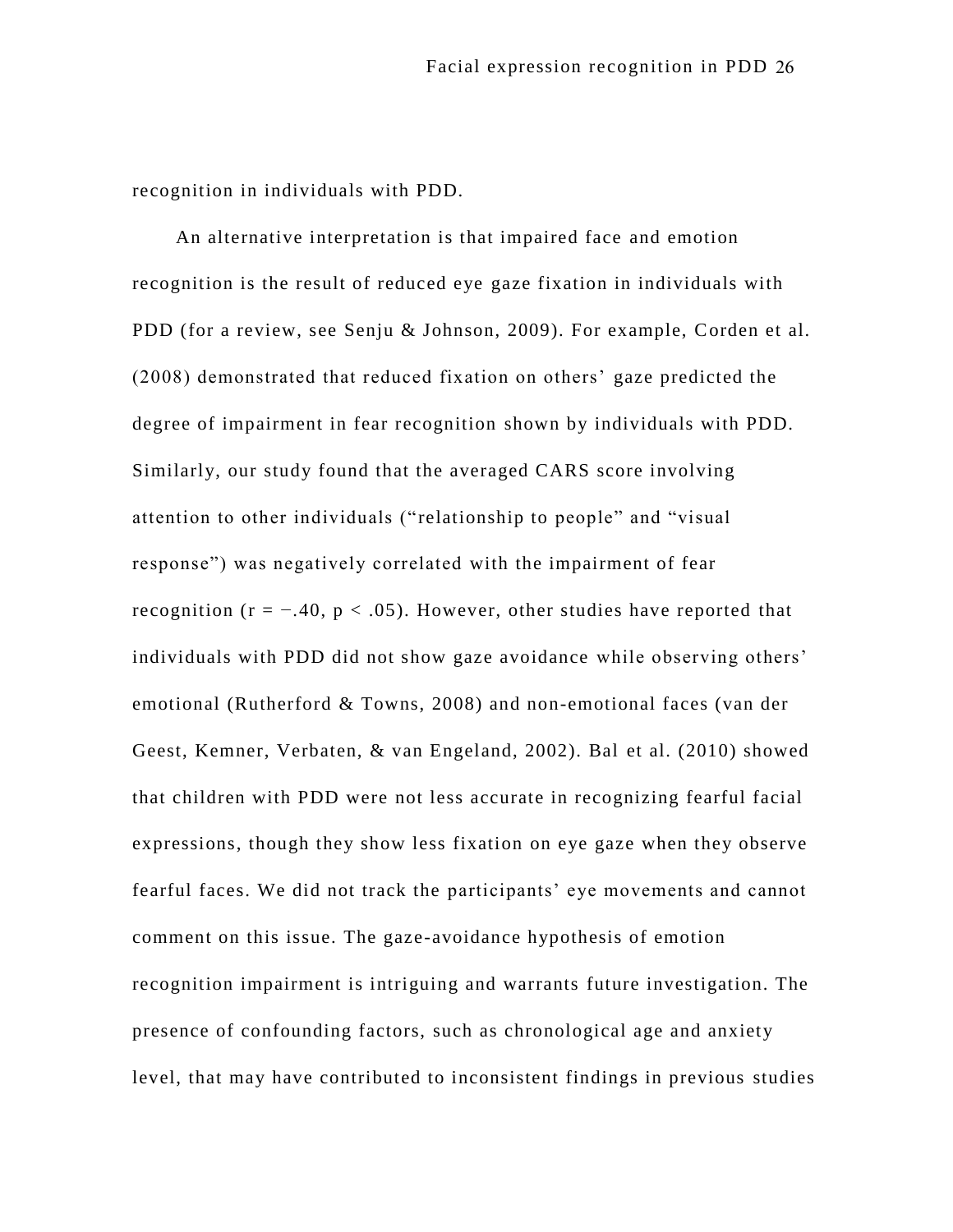recognition in individuals with PDD.

An alternative interpretation is that impaired face and emotion recognition is the result of reduced eye gaze fixation in individuals with PDD (for a review, see Senju & Johnson, 2009). For example, Corden et al. (2008) demonstrated that reduced fixation on others' gaze predicted the degree of impairment in fear recognition shown by individuals with PDD. Similarly, our study found that the averaged CARS score involving attention to other individuals (" relationship to people" and "visual response") was negatively correlated with the impairment of fear recognition ( $r = -.40$ ,  $p < .05$ ). However, other studies have reported that individuals with PDD did not show gaze avoidance while observing others' emotional (Rutherford & Towns, 2008) and non-emotional faces (van der Geest, Kemner, Verbaten, & van Engeland, 2002). Bal et al. (2010) showed that children with PDD were not less accurate in recognizing fearful facial expressions, though they show less fixation on eye gaze when they observe fearful faces. We did not track the participants' eye movements and cannot comment on this issue. The gaze-avoidance hypothesis of emotion recognition impairment is intriguing and warrants future investigation. The presence of confounding factors, such as chronological age and anxiety level, that may have contributed to inconsistent findings in previous studies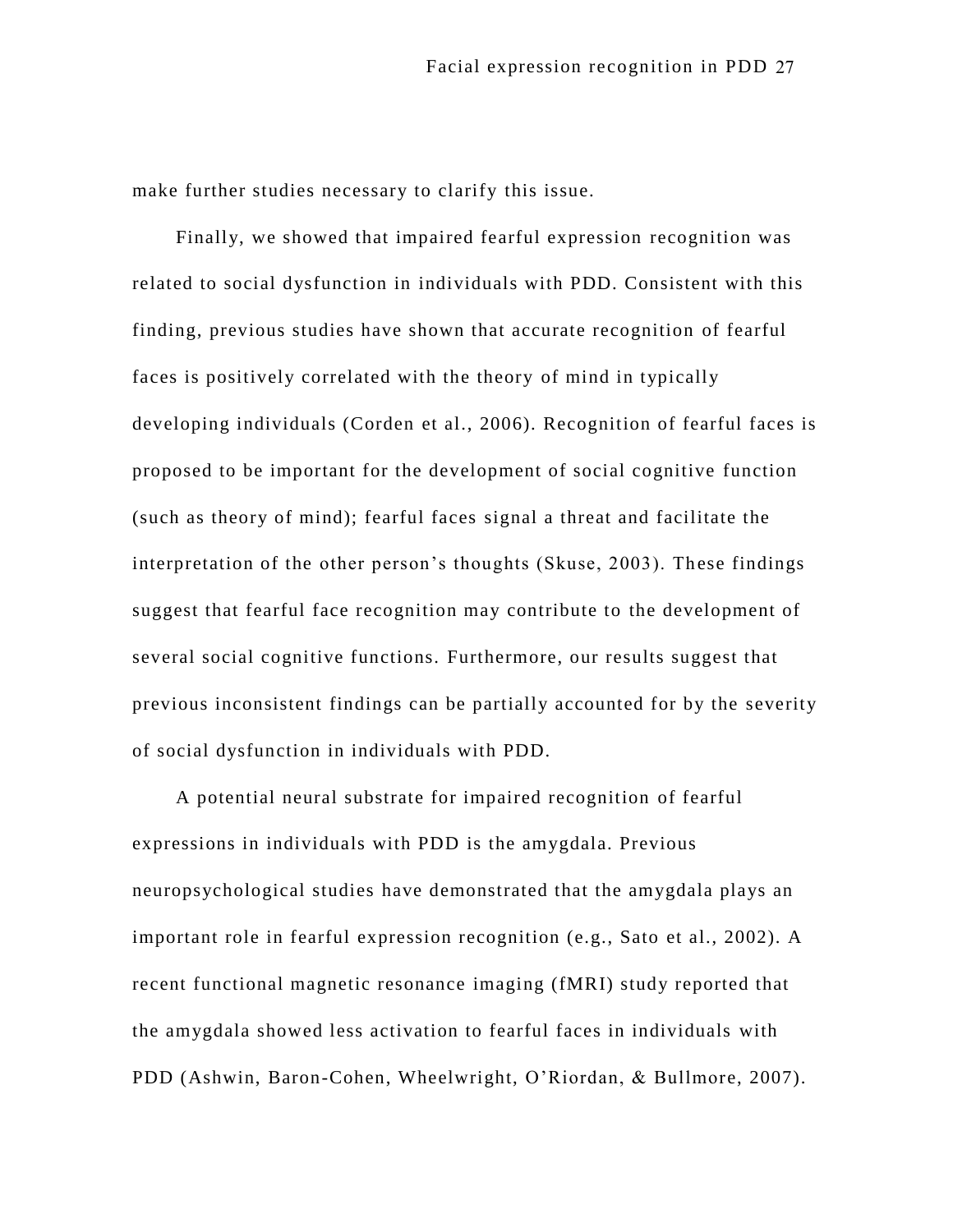make further studies necessary to clarify this issue.

Finally, we showed that impaired fearful expression recognition was related to social dysfunction in individuals with PDD. Consistent with this finding, previous studies have shown that accurate recognition of fearful faces is positively correlated with the theory of mind in typically developing individuals (Corden et al., 2006). Recognition of fearful faces is proposed to be important for the development of social cognitive function (such as theory of mind); fearful faces signal a threat and facilitate the interpretation of the other person's thoughts (Skuse, 2003). These findings suggest that fearful face recognition may contribute to the development of several social cognitive functions. Furthermore, our results suggest that previous inconsistent findings can be partially accounted for by the severity of social dysfunction in individuals with PDD.

A potential neural substrate for impaired recognition of fearful expressions in individuals with PDD is the amygdala. Previous neuropsychological studies have demonstrated that the amygdala plays an important role in fearful expression recognition (e.g., Sato et al., 2002). A recent functional magnetic resonance imaging (fMRI) study reported that the amygdala showed less activation to fearful faces in individuals with PDD (Ashwin, Baron-Cohen, Wheelwright, O'Riordan, & Bullmore, 2007).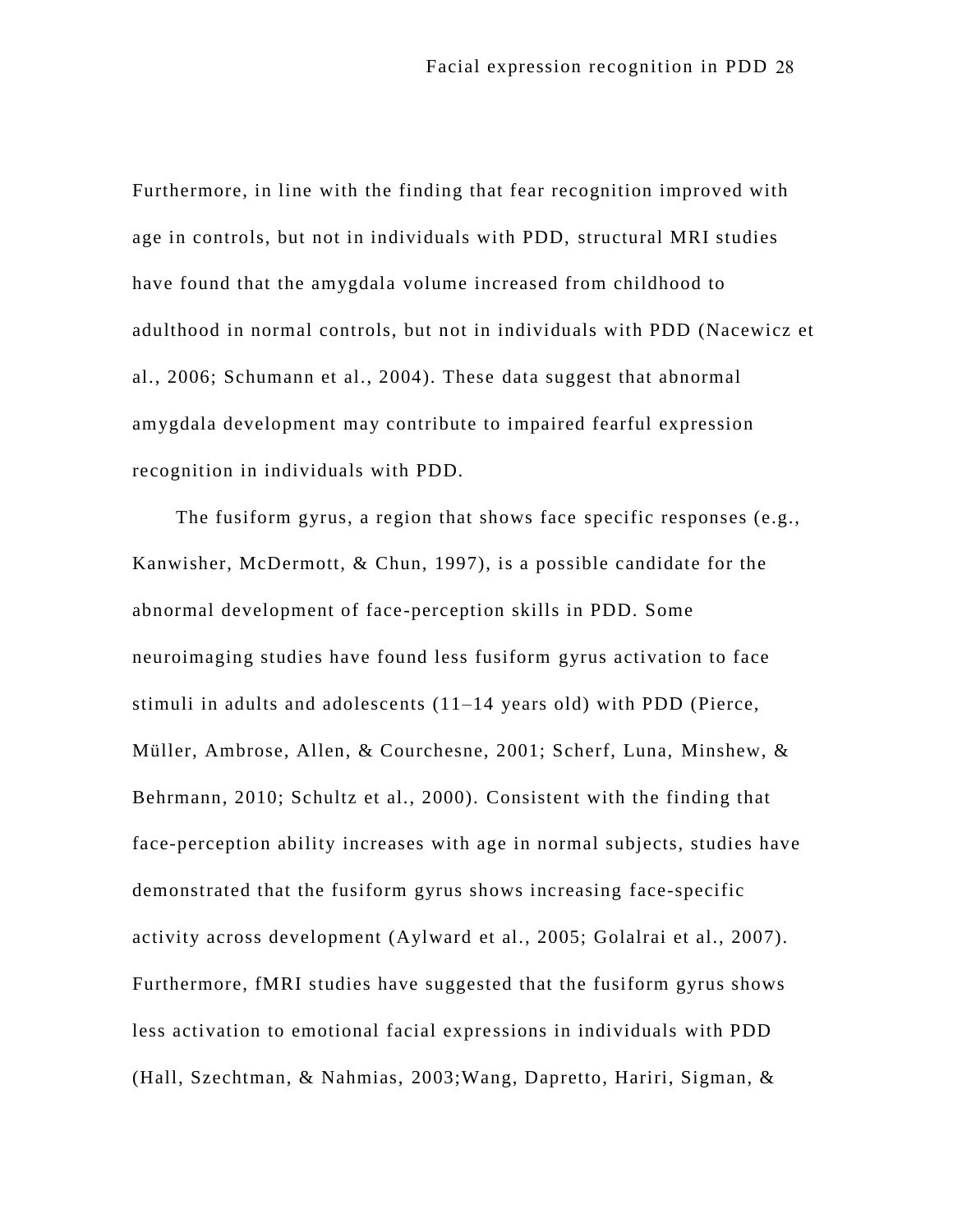Furthermore, in line with the finding that fear recognition improved with age in controls, but not in individuals with PDD, structural MRI studies have found that the amygdala volume increased from childhood to adulthood in normal controls, but not in individuals with PDD (Nacewicz et al., 2006; Schumann et al., 2004). These data suggest that abnormal amygdala development may contribute to impaired fearful expression recognition in individuals with PDD.

The fusiform gyrus, a region that shows face specific responses (e.g., Kanwisher, McDermott, & Chun, 1997), is a possible candidate for the abnormal development of face-perception skills in PDD. Some neuroimaging studies have found less fusiform gyrus activation to face stimuli in adults and adolescents (11–14 years old) with PDD (Pierce, Müller, Ambrose, Allen, & Courchesne, 2001; Scherf, Luna, Minshew, & Behrmann, 2010; Schultz et al., 2000). Consistent with the finding that face-perception ability increases with age in normal subjects, studies have demonstrated that the fusiform gyrus shows increasing face-specific activity across development (Aylward et al., 2005; Golalrai et al., 2007). Furthermore, fMRI studies have suggested that the fusiform gyrus shows less activation to emotional facial expre ssions in individuals with PDD (Hall, Szechtman, & Nahmias, 2003;Wang, Dapretto, Hariri, Sigman, &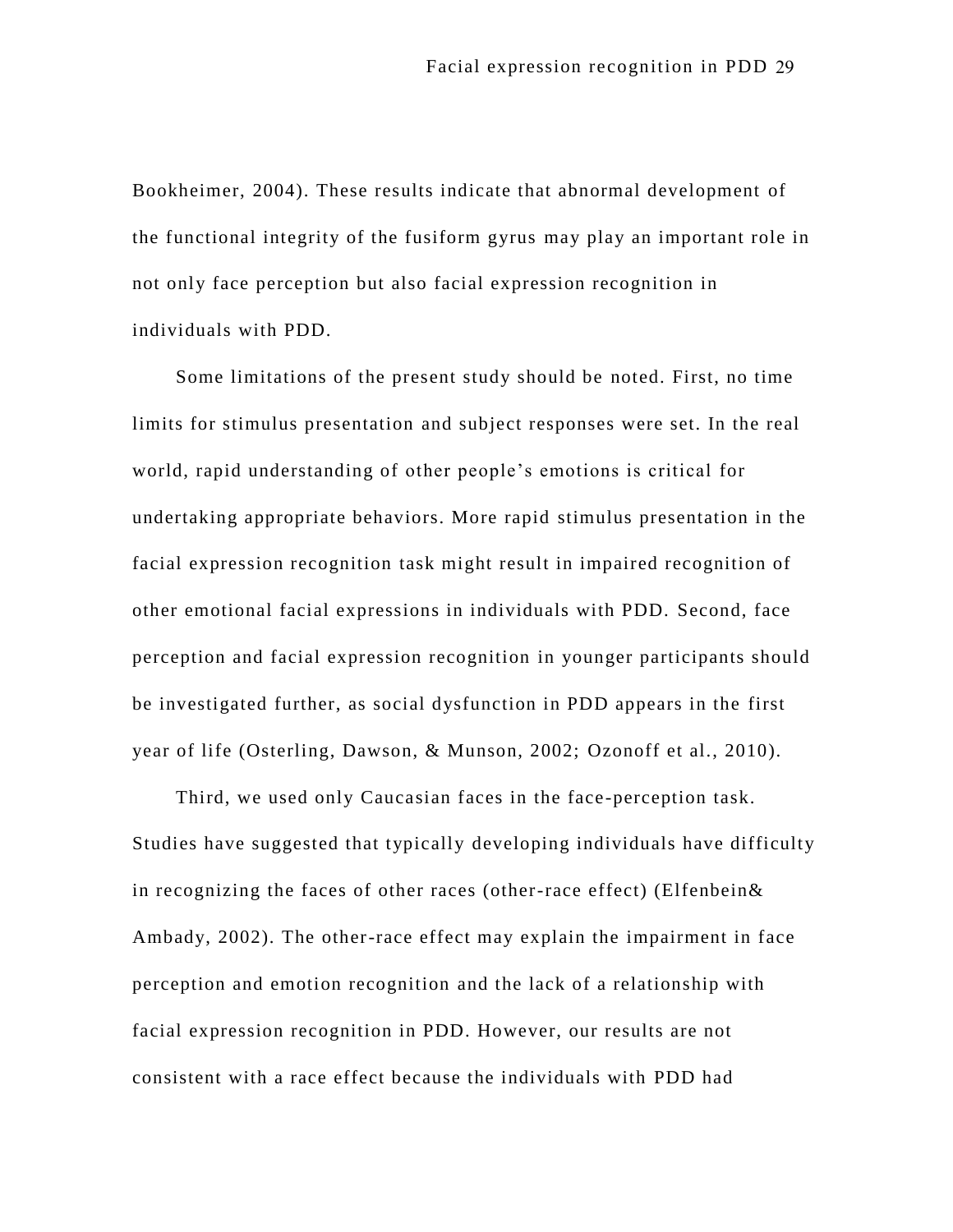Bookheimer, 2004). These results indicate that abnormal development of the functional integrity of the fusiform gyrus may play an important role in not only face perception but also facial expression recognition in individuals with PDD.

Some limitations of the present study should be noted. First, no time limits for stimulus presentation and subject responses were set. In the real world, rapid understanding of other people's emotions is critical for undertaking appropriate behaviors. More rapid stimulus presentation in the facial expression recognition task might result in impaired recognition of other emotional facial expressions in individuals with PDD. Second, face perception and facial expression recognition in younger participants should be investigated further, as social dysfunction in PDD appears in the first year of life (Osterling, Dawson, & Munson, 2002; Ozonoff et al., 2010).

Third, we used only Caucasian faces in the face-perception task. Studies have suggested that typically developing individuals have difficulty in recognizing the faces of other races (other-race effect) (Elfenbein& Ambady, 2002). The other-race effect may explain the impairment in face perception and emotion recognition and the lack of a relationship with facial expression recognition in PDD. However, our results are not consistent with a race effect because the individuals with PDD had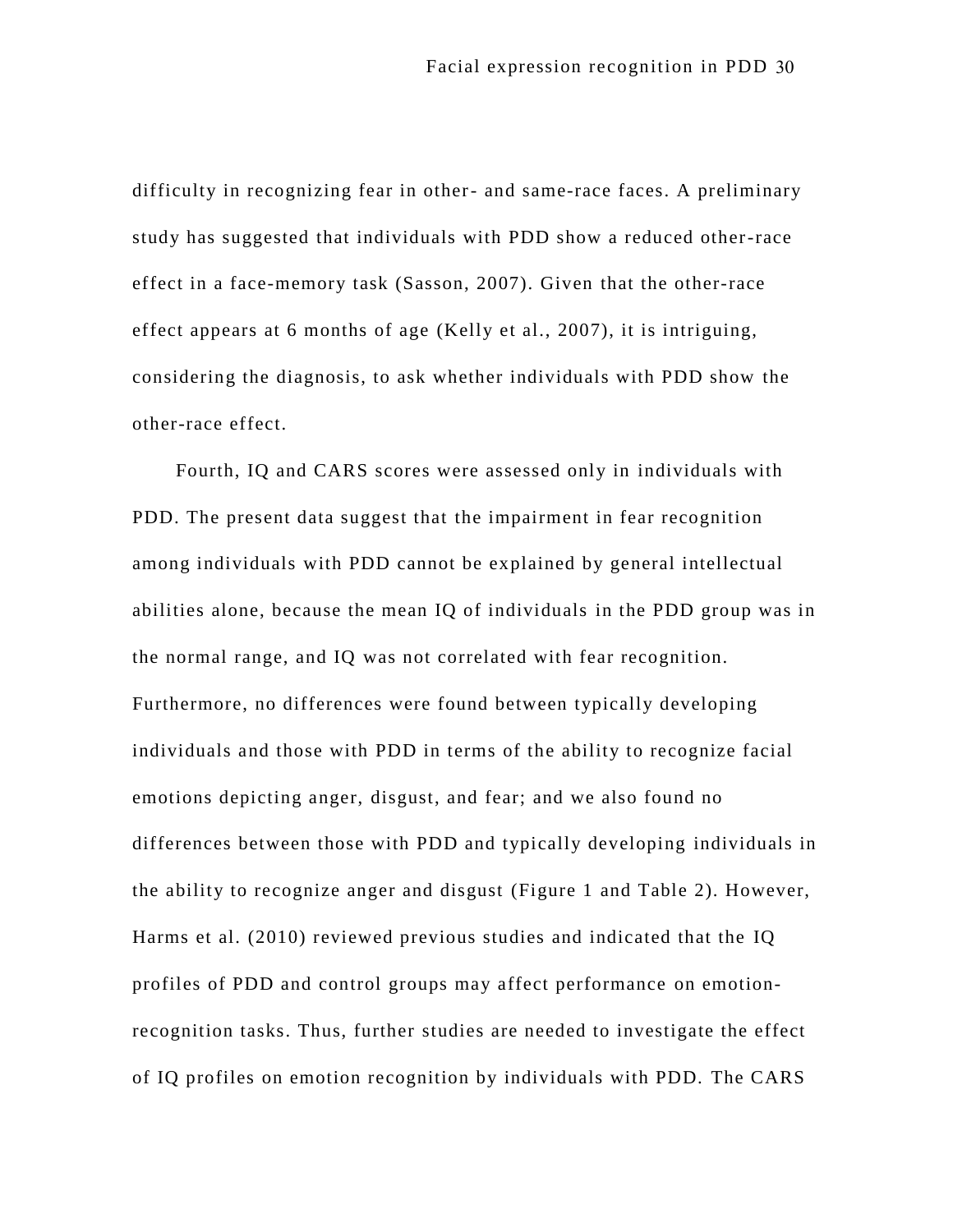difficulty in recognizing fear in other- and same-race faces. A preliminary study has suggested that individuals with PDD show a reduced other-race effect in a face-memory task (Sasson, 2007). Given that the other-race effect appears at 6 months of age (Kelly et al., 2007), it is intriguing, considering the diagnosis, to ask whether individuals with PDD show the other-race effect.

Fourth, IQ and CARS scores were assessed only in individuals with PDD. The present data suggest that the impairment in fear recognition among individuals with PDD cannot be explained by general intellectual abilities alone, because the mean IQ of individuals in the PDD group was in the normal range, and IQ was not correlated with fear recognition. Furthermore, no differences were found between typically developing individuals and those with PDD in terms of the ability to recognize facial emotions depicting anger, disgust, and fear; and we also found no differences between those with PDD and typically developing individuals in the ability to recognize anger and disgust (Figure 1 and Table 2). However, Harms et al. (2010) reviewed previous studies and indicated that the IQ profiles of PDD and control groups may affect performance on emotionrecognition tasks. Thus, further studies are needed to investigate the effect of IQ profiles on emotion recognition by individuals with PDD. The CARS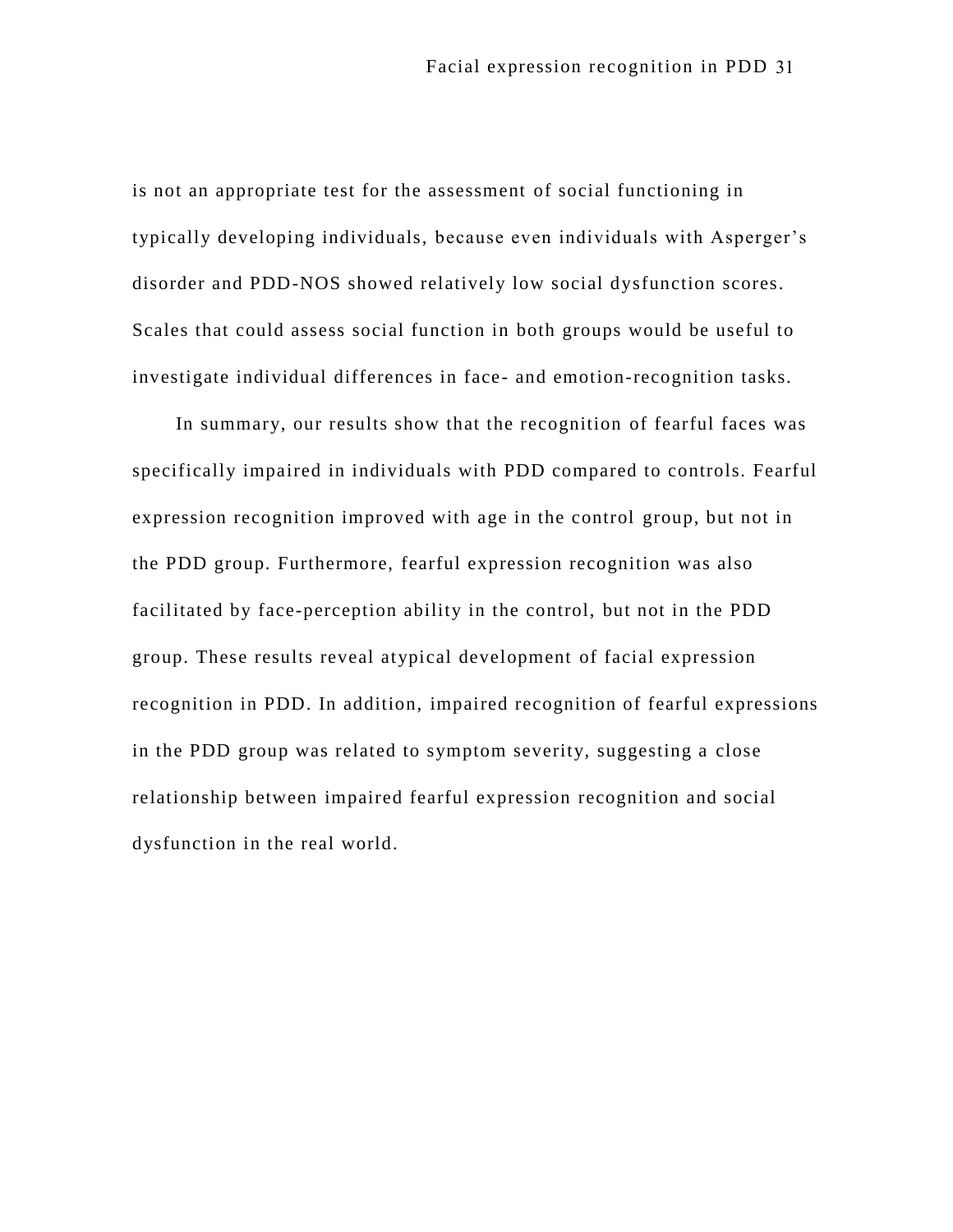is not an appropriate test for the assessment of social functioning in typically developing individuals, because even individuals with Asperger's disorder and PDD-NOS showed relatively low social dysfunction scores. Scales that could assess social function in both groups would be useful to investigate individual differences in face- and emotion-recognition tasks.

In summary, our results show that the recognition of fearful faces was specifically impaired in individuals with PDD compared to controls. Fearful expression recognition improved with age in the control group, but not in the PDD group. Furthermore, fearful expression recognition was also facilitated by face-perception ability in the control, but not in the PDD group. These results reveal atypical development of facial expression recognition in PDD. In addition, impaired recognition of fearful expressions in the PDD group was related to symptom severity, suggesting a close relationship between impaired fearful expression recognition and social dysfunction in the real world.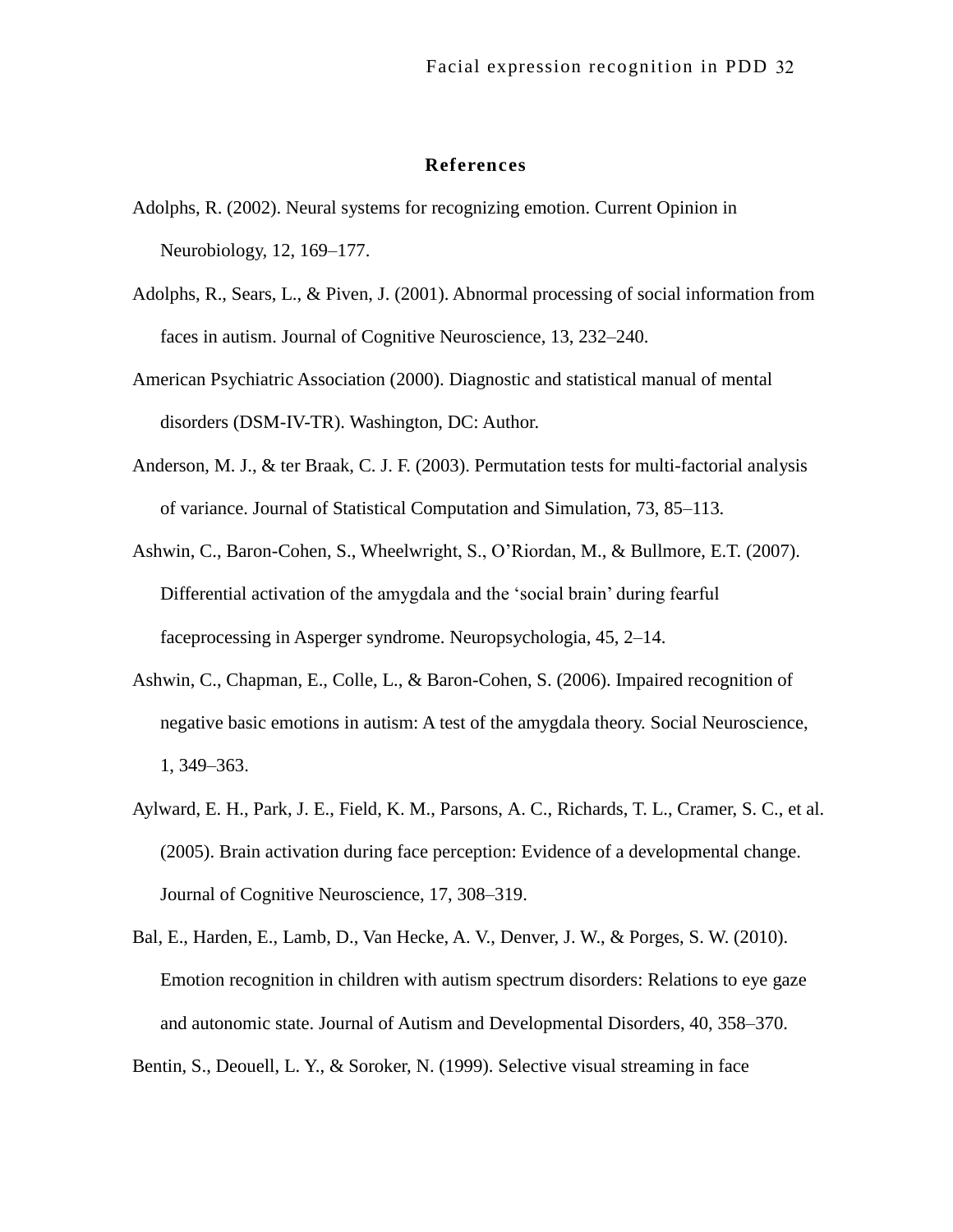## **References**

- Adolphs, R. (2002). Neural systems for recognizing emotion. Current Opinion in Neurobiology, 12, 169–177.
- Adolphs, R., Sears, L., & Piven, J. (2001). Abnormal processing of social information from faces in autism. Journal of Cognitive Neuroscience, 13, 232–240.
- American Psychiatric Association (2000). Diagnostic and statistical manual of mental disorders (DSM-IV-TR). Washington, DC: Author.
- Anderson, M. J., & ter Braak, C. J. F. (2003). Permutation tests for multi-factorial analysis of variance. Journal of Statistical Computation and Simulation, 73, 85–113.
- Ashwin, C., Baron-Cohen, S., Wheelwright, S., O'Riordan, M., & Bullmore, E.T. (2007). Differential activation of the amygdala and the 'social brain' during fearful faceprocessing in Asperger syndrome. Neuropsychologia, 45, 2–14.
- Ashwin, C., Chapman, E., Colle, L., & Baron-Cohen, S. (2006). Impaired recognition of negative basic emotions in autism: A test of the amygdala theory. Social Neuroscience, 1, 349–363.
- Aylward, E. H., Park, J. E., Field, K. M., Parsons, A. C., Richards, T. L., Cramer, S. C., et al. (2005). Brain activation during face perception: Evidence of a developmental change. Journal of Cognitive Neuroscience, 17, 308–319.
- Bal, E., Harden, E., Lamb, D., Van Hecke, A. V., Denver, J. W., & Porges, S. W. (2010). Emotion recognition in children with autism spectrum disorders: Relations to eye gaze and autonomic state. Journal of Autism and Developmental Disorders, 40, 358–370.

Bentin, S., Deouell, L. Y., & Soroker, N. (1999). Selective visual streaming in face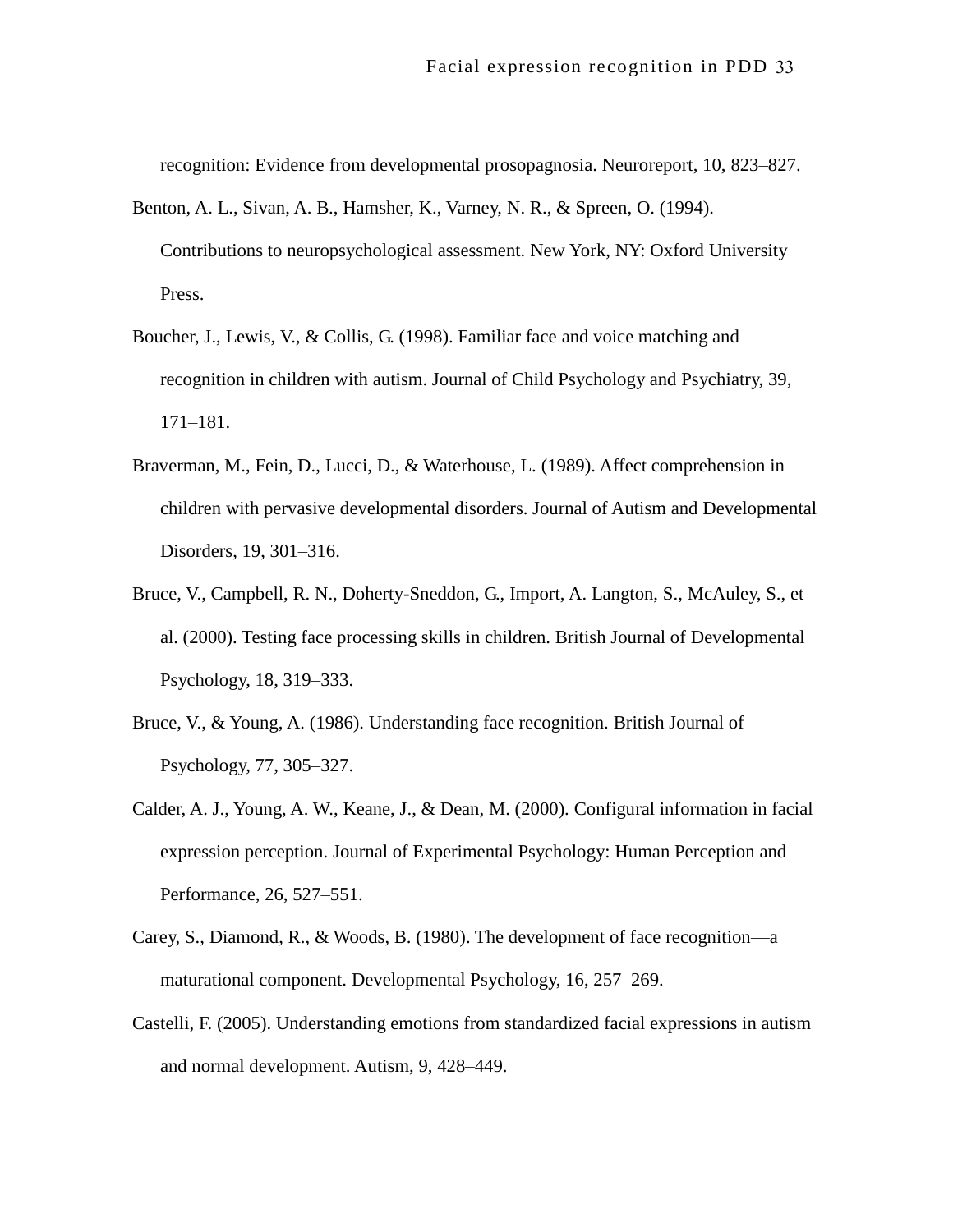recognition: Evidence from developmental prosopagnosia. Neuroreport, 10, 823–827.

- Benton, A. L., Sivan, A. B., Hamsher, K., Varney, N. R., & Spreen, O. (1994). Contributions to neuropsychological assessment. New York, NY: Oxford University Press.
- Boucher, J., Lewis, V., & Collis, G. (1998). Familiar face and voice matching and recognition in children with autism. Journal of Child Psychology and Psychiatry, 39, 171–181.
- Braverman, M., Fein, D., Lucci, D., & Waterhouse, L. (1989). Affect comprehension in children with pervasive developmental disorders. Journal of Autism and Developmental Disorders, 19, 301–316.
- Bruce, V., Campbell, R. N., Doherty-Sneddon, G., Import, A. Langton, S., McAuley, S., et al. (2000). Testing face processing skills in children. British Journal of Developmental Psychology, 18, 319–333.
- Bruce, V., & Young, A. (1986). Understanding face recognition. British Journal of Psychology, 77, 305–327.
- Calder, A. J., Young, A. W., Keane, J., & Dean, M. (2000). Configural information in facial expression perception. Journal of Experimental Psychology: Human Perception and Performance, 26, 527–551.
- Carey, S., Diamond, R., & Woods, B. (1980). The development of face recognition—a maturational component. Developmental Psychology, 16, 257–269.
- Castelli, F. (2005). Understanding emotions from standardized facial expressions in autism and normal development. Autism, 9, 428–449.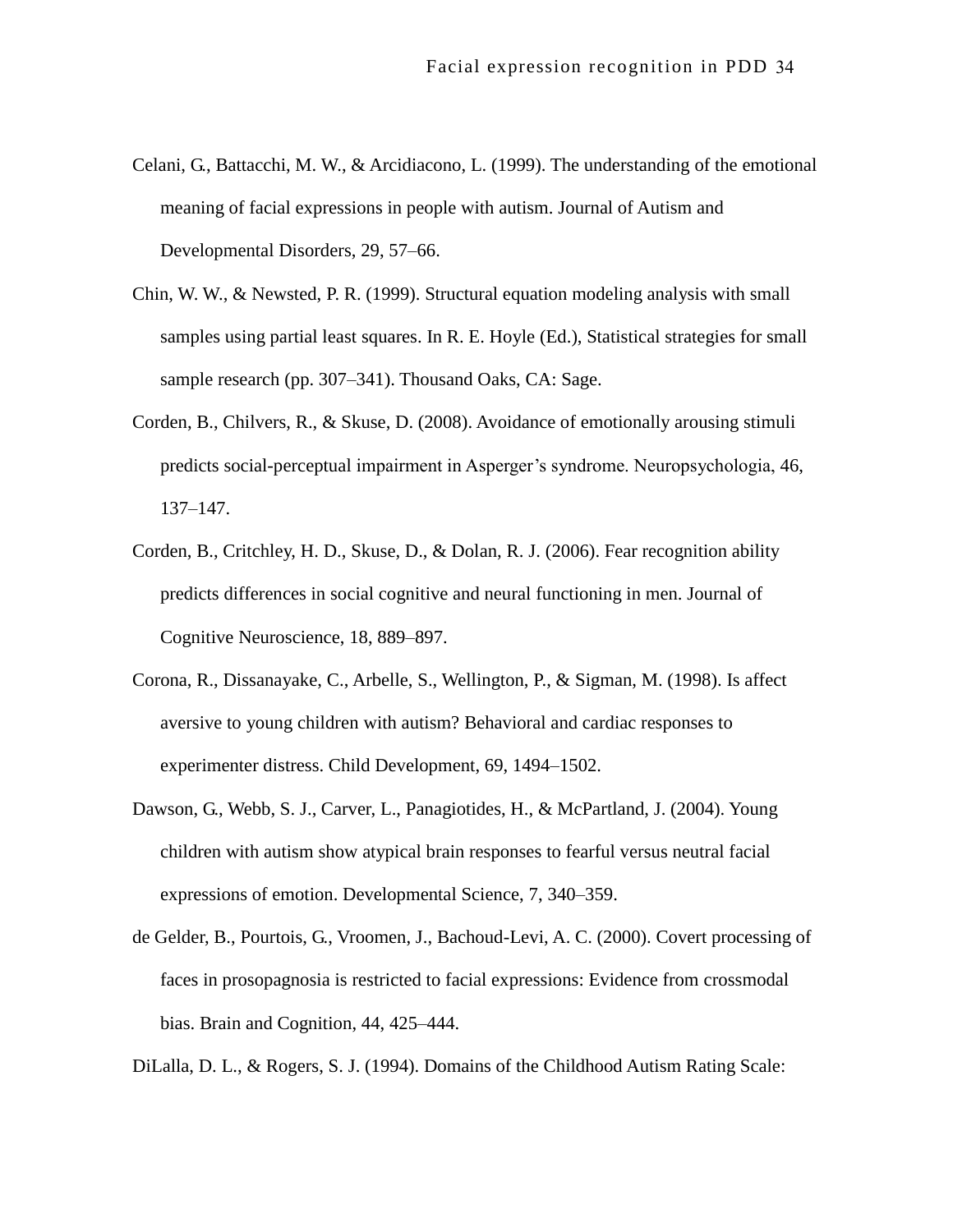- Celani, G., Battacchi, M. W., & Arcidiacono, L. (1999). The understanding of the emotional meaning of facial expressions in people with autism. Journal of Autism and Developmental Disorders, 29, 57–66.
- Chin, W. W., & Newsted, P. R. (1999). Structural equation modeling analysis with small samples using partial least squares. In R. E. Hoyle (Ed.), Statistical strategies for small sample research (pp. 307–341). Thousand Oaks, CA: Sage.
- Corden, B., Chilvers, R., & Skuse, D. (2008). Avoidance of emotionally arousing stimuli predicts social-perceptual impairment in Asperger's syndrome. Neuropsychologia, 46, 137–147.
- Corden, B., Critchley, H. D., Skuse, D., & Dolan, R. J. (2006). Fear recognition ability predicts differences in social cognitive and neural functioning in men. Journal of Cognitive Neuroscience, 18, 889–897.
- Corona, R., Dissanayake, C., Arbelle, S., Wellington, P., & Sigman, M. (1998). Is affect aversive to young children with autism? Behavioral and cardiac responses to experimenter distress. Child Development, 69, 1494–1502.
- Dawson, G., Webb, S. J., Carver, L., Panagiotides, H., & McPartland, J. (2004). Young children with autism show atypical brain responses to fearful versus neutral facial expressions of emotion. Developmental Science, 7, 340–359.
- de Gelder, B., Pourtois, G., Vroomen, J., Bachoud-Levi, A. C. (2000). Covert processing of faces in prosopagnosia is restricted to facial expressions: Evidence from crossmodal bias. Brain and Cognition, 44, 425–444.

DiLalla, D. L., & Rogers, S. J. (1994). Domains of the Childhood Autism Rating Scale: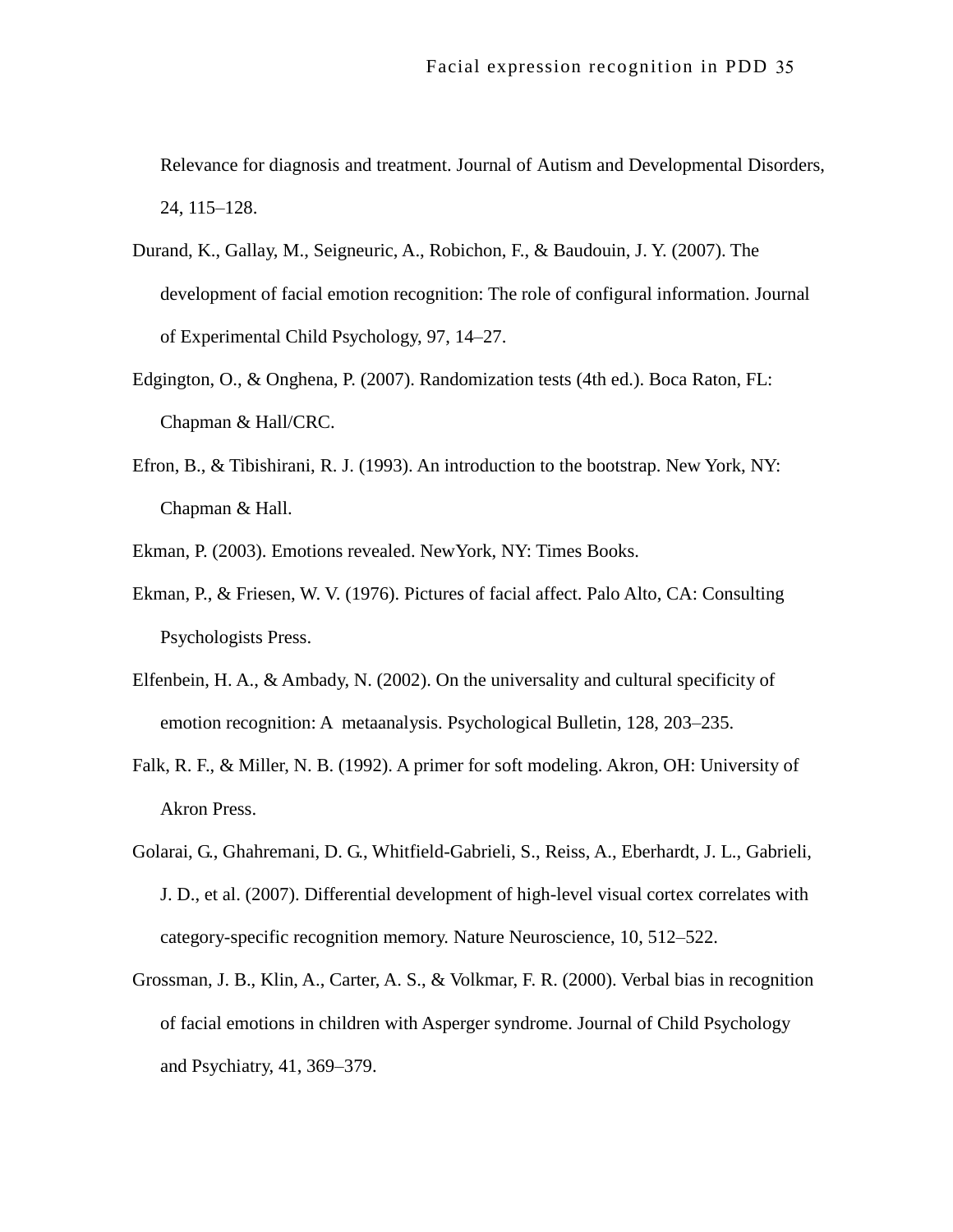Relevance for diagnosis and treatment. Journal of Autism and Developmental Disorders, 24, 115–128.

- Durand, K., Gallay, M., Seigneuric, A., Robichon, F., & Baudouin, J. Y. (2007). The development of facial emotion recognition: The role of configural information. Journal of Experimental Child Psychology, 97, 14–27.
- Edgington, O., & Onghena, P. (2007). Randomization tests (4th ed.). Boca Raton, FL: Chapman & Hall/CRC.
- Efron, B., & Tibishirani, R. J. (1993). An introduction to the bootstrap. New York, NY: Chapman & Hall.
- Ekman, P. (2003). Emotions revealed. NewYork, NY: Times Books.
- Ekman, P., & Friesen, W. V. (1976). Pictures of facial affect. Palo Alto, CA: Consulting Psychologists Press.
- Elfenbein, H. A., & Ambady, N. (2002). On the universality and cultural specificity of emotion recognition: A metaanalysis. Psychological Bulletin, 128, 203–235.
- Falk, R. F., & Miller, N. B. (1992). A primer for soft modeling. Akron, OH: University of Akron Press.
- Golarai, G., Ghahremani, D. G., Whitfield-Gabrieli, S., Reiss, A., Eberhardt, J. L., Gabrieli, J. D., et al. (2007). Differential development of high-level visual cortex correlates with category-specific recognition memory. Nature Neuroscience, 10, 512–522.
- Grossman, J. B., Klin, A., Carter, A. S., & Volkmar, F. R. (2000). Verbal bias in recognition of facial emotions in children with Asperger syndrome. Journal of Child Psychology and Psychiatry, 41, 369–379.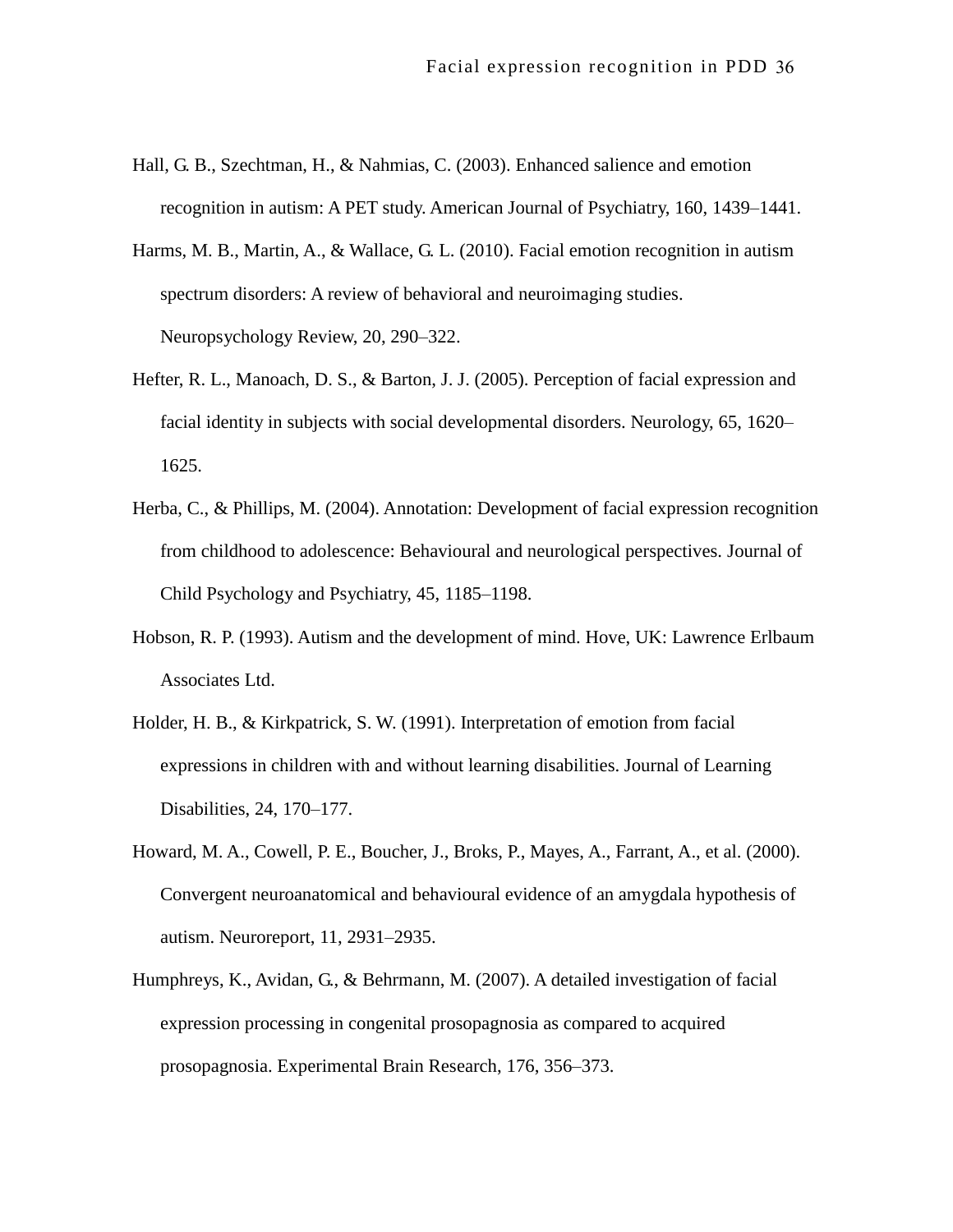- Hall, G. B., Szechtman, H., & Nahmias, C. (2003). Enhanced salience and emotion recognition in autism: A PET study. American Journal of Psychiatry, 160, 1439–1441.
- Harms, M. B., Martin, A., & Wallace, G. L. (2010). Facial emotion recognition in autism spectrum disorders: A review of behavioral and neuroimaging studies. Neuropsychology Review, 20, 290–322.
- Hefter, R. L., Manoach, D. S., & Barton, J. J. (2005). Perception of facial expression and facial identity in subjects with social developmental disorders. Neurology, 65, 1620– 1625.
- Herba, C., & Phillips, M. (2004). Annotation: Development of facial expression recognition from childhood to adolescence: Behavioural and neurological perspectives. Journal of Child Psychology and Psychiatry, 45, 1185–1198.
- Hobson, R. P. (1993). Autism and the development of mind. Hove, UK: Lawrence Erlbaum Associates Ltd.
- Holder, H. B., & Kirkpatrick, S. W. (1991). Interpretation of emotion from facial expressions in children with and without learning disabilities. Journal of Learning Disabilities, 24, 170–177.
- Howard, M. A., Cowell, P. E., Boucher, J., Broks, P., Mayes, A., Farrant, A., et al. (2000). Convergent neuroanatomical and behavioural evidence of an amygdala hypothesis of autism. Neuroreport, 11, 2931–2935.
- Humphreys, K., Avidan, G., & Behrmann, M. (2007). A detailed investigation of facial expression processing in congenital prosopagnosia as compared to acquired prosopagnosia. Experimental Brain Research, 176, 356–373.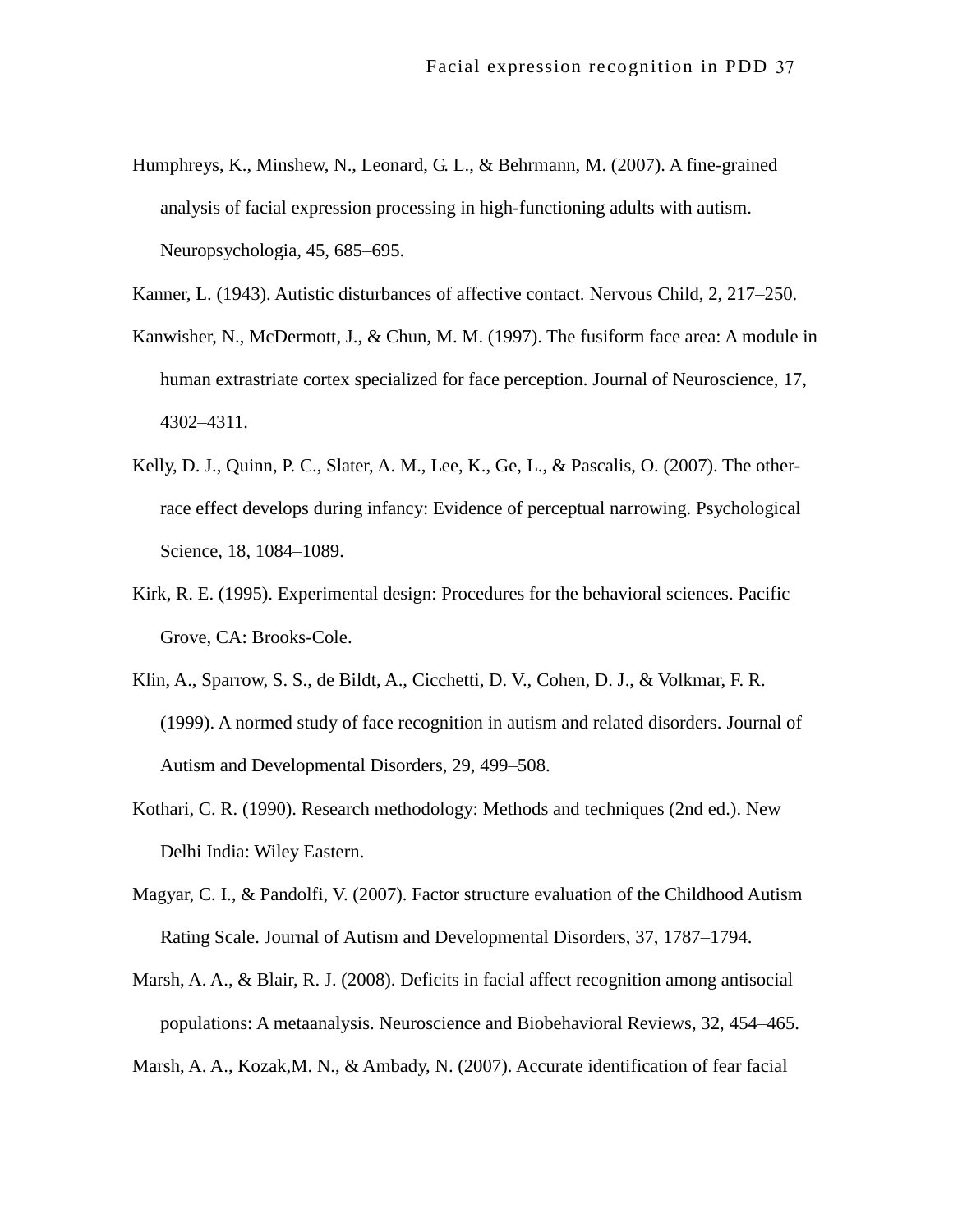Humphreys, K., Minshew, N., Leonard, G. L., & Behrmann, M. (2007). A fine-grained analysis of facial expression processing in high-functioning adults with autism. Neuropsychologia, 45, 685–695.

Kanner, L. (1943). Autistic disturbances of affective contact. Nervous Child, 2, 217–250.

- Kanwisher, N., McDermott, J., & Chun, M. M. (1997). The fusiform face area: A module in human extrastriate cortex specialized for face perception. Journal of Neuroscience, 17, 4302–4311.
- Kelly, D. J., Quinn, P. C., Slater, A. M., Lee, K., Ge, L., & Pascalis, O. (2007). The otherrace effect develops during infancy: Evidence of perceptual narrowing. Psychological Science, 18, 1084–1089.
- Kirk, R. E. (1995). Experimental design: Procedures for the behavioral sciences. Pacific Grove, CA: Brooks-Cole.
- Klin, A., Sparrow, S. S., de Bildt, A., Cicchetti, D. V., Cohen, D. J., & Volkmar, F. R. (1999). A normed study of face recognition in autism and related disorders. Journal of Autism and Developmental Disorders, 29, 499–508.
- Kothari, C. R. (1990). Research methodology: Methods and techniques (2nd ed.). New Delhi India: Wiley Eastern.
- Magyar, C. I., & Pandolfi, V. (2007). Factor structure evaluation of the Childhood Autism Rating Scale. Journal of Autism and Developmental Disorders, 37, 1787–1794.
- Marsh, A. A., & Blair, R. J. (2008). Deficits in facial affect recognition among antisocial populations: A metaanalysis. Neuroscience and Biobehavioral Reviews, 32, 454–465.

Marsh, A. A., Kozak,M. N., & Ambady, N. (2007). Accurate identification of fear facial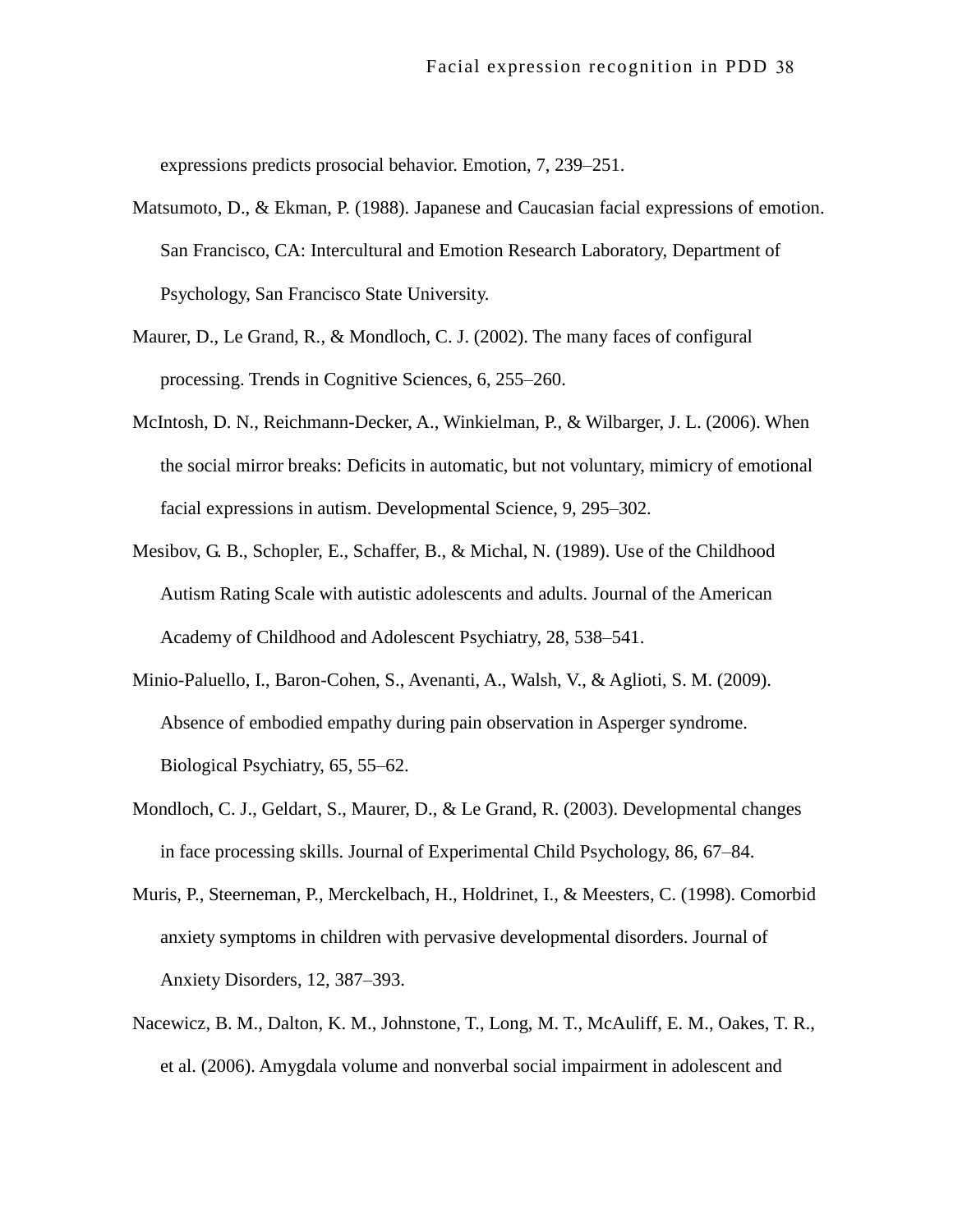expressions predicts prosocial behavior. Emotion, 7, 239–251.

- Matsumoto, D., & Ekman, P. (1988). Japanese and Caucasian facial expressions of emotion. San Francisco, CA: Intercultural and Emotion Research Laboratory, Department of Psychology, San Francisco State University.
- Maurer, D., Le Grand, R., & Mondloch, C. J. (2002). The many faces of configural processing. Trends in Cognitive Sciences, 6, 255–260.
- McIntosh, D. N., Reichmann-Decker, A., Winkielman, P., & Wilbarger, J. L. (2006). When the social mirror breaks: Deficits in automatic, but not voluntary, mimicry of emotional facial expressions in autism. Developmental Science, 9, 295–302.
- Mesibov, G. B., Schopler, E., Schaffer, B., & Michal, N. (1989). Use of the Childhood Autism Rating Scale with autistic adolescents and adults. Journal of the American Academy of Childhood and Adolescent Psychiatry, 28, 538–541.
- Minio-Paluello, I., Baron-Cohen, S., Avenanti, A., Walsh, V., & Aglioti, S. M. (2009). Absence of embodied empathy during pain observation in Asperger syndrome. Biological Psychiatry, 65, 55–62.
- Mondloch, C. J., Geldart, S., Maurer, D., & Le Grand, R. (2003). Developmental changes in face processing skills. Journal of Experimental Child Psychology, 86, 67–84.
- Muris, P., Steerneman, P., Merckelbach, H., Holdrinet, I., & Meesters, C. (1998). Comorbid anxiety symptoms in children with pervasive developmental disorders. Journal of Anxiety Disorders, 12, 387–393.
- Nacewicz, B. M., Dalton, K. M., Johnstone, T., Long, M. T., McAuliff, E. M., Oakes, T. R., et al. (2006). Amygdala volume and nonverbal social impairment in adolescent and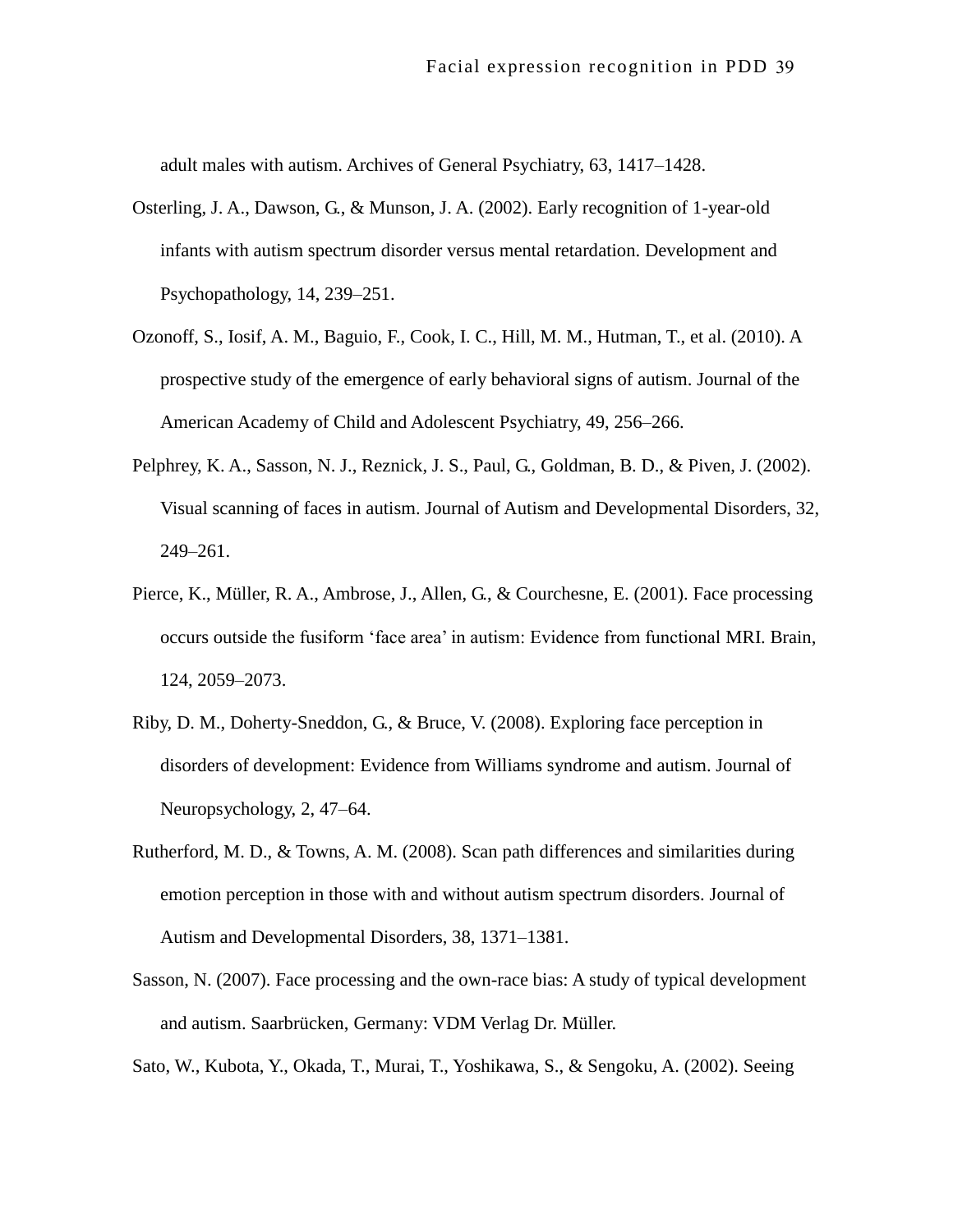adult males with autism. Archives of General Psychiatry, 63, 1417–1428.

- Osterling, J. A., Dawson, G., & Munson, J. A. (2002). Early recognition of 1-year-old infants with autism spectrum disorder versus mental retardation. Development and Psychopathology, 14, 239–251.
- Ozonoff, S., Iosif, A. M., Baguio, F., Cook, I. C., Hill, M. M., Hutman, T., et al. (2010). A prospective study of the emergence of early behavioral signs of autism. Journal of the American Academy of Child and Adolescent Psychiatry, 49, 256–266.
- Pelphrey, K. A., Sasson, N. J., Reznick, J. S., Paul, G., Goldman, B. D., & Piven, J. (2002). Visual scanning of faces in autism. Journal of Autism and Developmental Disorders, 32, 249–261.
- Pierce, K., Müller, R. A., Ambrose, J., Allen, G., & Courchesne, E. (2001). Face processing occurs outside the fusiform 'face area' in autism: Evidence from functional MRI. Brain, 124, 2059–2073.
- Riby, D. M., Doherty-Sneddon, G., & Bruce, V. (2008). Exploring face perception in disorders of development: Evidence from Williams syndrome and autism. Journal of Neuropsychology, 2, 47–64.
- Rutherford, M. D., & Towns, A. M. (2008). Scan path differences and similarities during emotion perception in those with and without autism spectrum disorders. Journal of Autism and Developmental Disorders, 38, 1371–1381.
- Sasson, N. (2007). Face processing and the own-race bias: A study of typical development and autism. Saarbrücken, Germany: VDM Verlag Dr. Müller.

Sato, W., Kubota, Y., Okada, T., Murai, T., Yoshikawa, S., & Sengoku, A. (2002). Seeing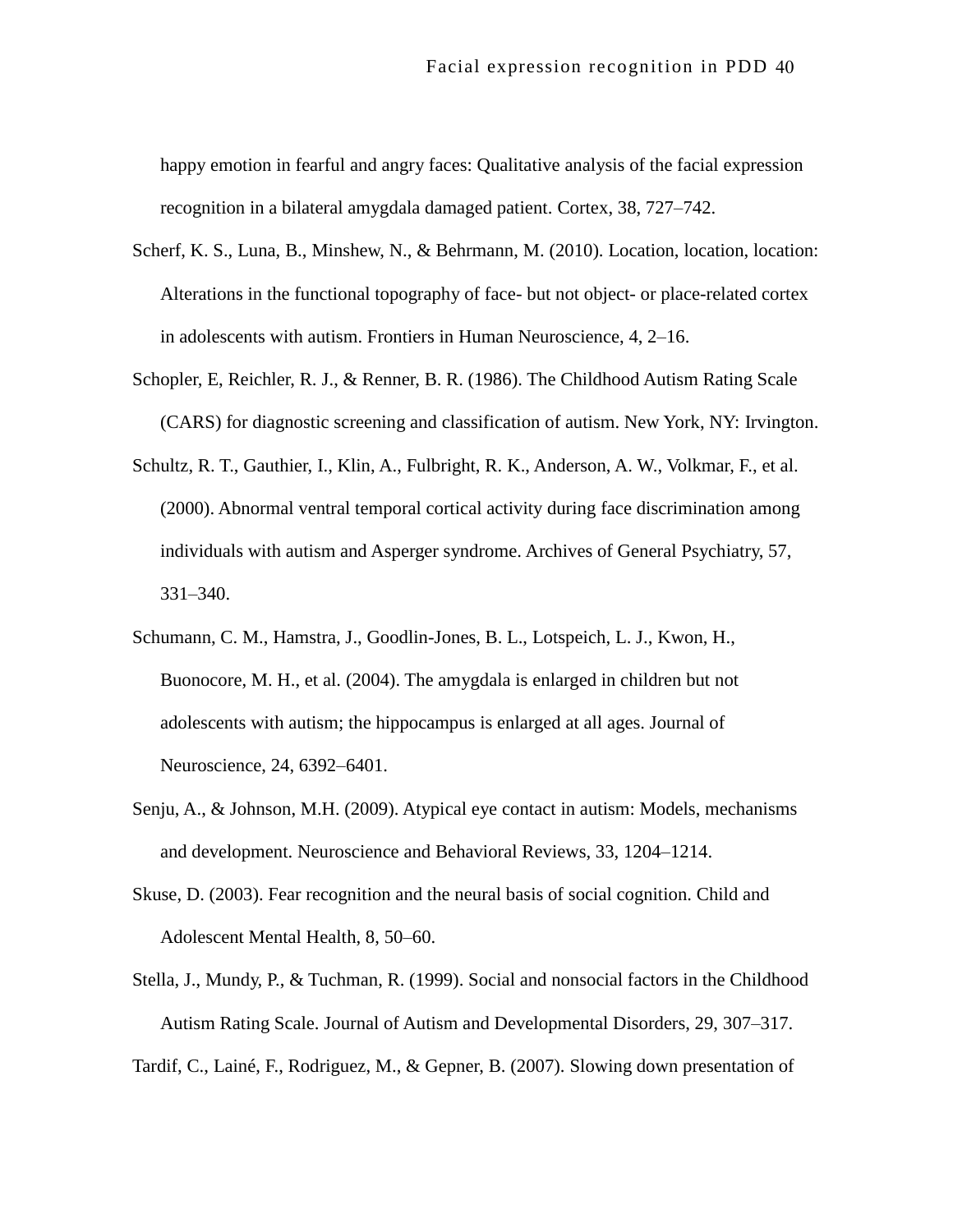happy emotion in fearful and angry faces: Qualitative analysis of the facial expression recognition in a bilateral amygdala damaged patient. Cortex, 38, 727–742.

- Scherf, K. S., Luna, B., Minshew, N., & Behrmann, M. (2010). Location, location, location: Alterations in the functional topography of face- but not object- or place-related cortex in adolescents with autism. Frontiers in Human Neuroscience, 4, 2–16.
- Schopler, E, Reichler, R. J., & Renner, B. R. (1986). The Childhood Autism Rating Scale (CARS) for diagnostic screening and classification of autism. New York, NY: Irvington.
- Schultz, R. T., Gauthier, I., Klin, A., Fulbright, R. K., Anderson, A. W., Volkmar, F., et al. (2000). Abnormal ventral temporal cortical activity during face discrimination among individuals with autism and Asperger syndrome. Archives of General Psychiatry, 57, 331–340.
- Schumann, C. M., Hamstra, J., Goodlin-Jones, B. L., Lotspeich, L. J., Kwon, H., Buonocore, M. H., et al. (2004). The amygdala is enlarged in children but not adolescents with autism; the hippocampus is enlarged at all ages. Journal of Neuroscience, 24, 6392–6401.
- Senju, A., & Johnson, M.H. (2009). Atypical eye contact in autism: Models, mechanisms and development. Neuroscience and Behavioral Reviews, 33, 1204–1214.
- Skuse, D. (2003). Fear recognition and the neural basis of social cognition. Child and Adolescent Mental Health, 8, 50–60.
- Stella, J., Mundy, P., & Tuchman, R. (1999). Social and nonsocial factors in the Childhood Autism Rating Scale. Journal of Autism and Developmental Disorders, 29, 307–317.

Tardif, C., Lainé, F., Rodriguez, M., & Gepner, B. (2007). Slowing down presentation of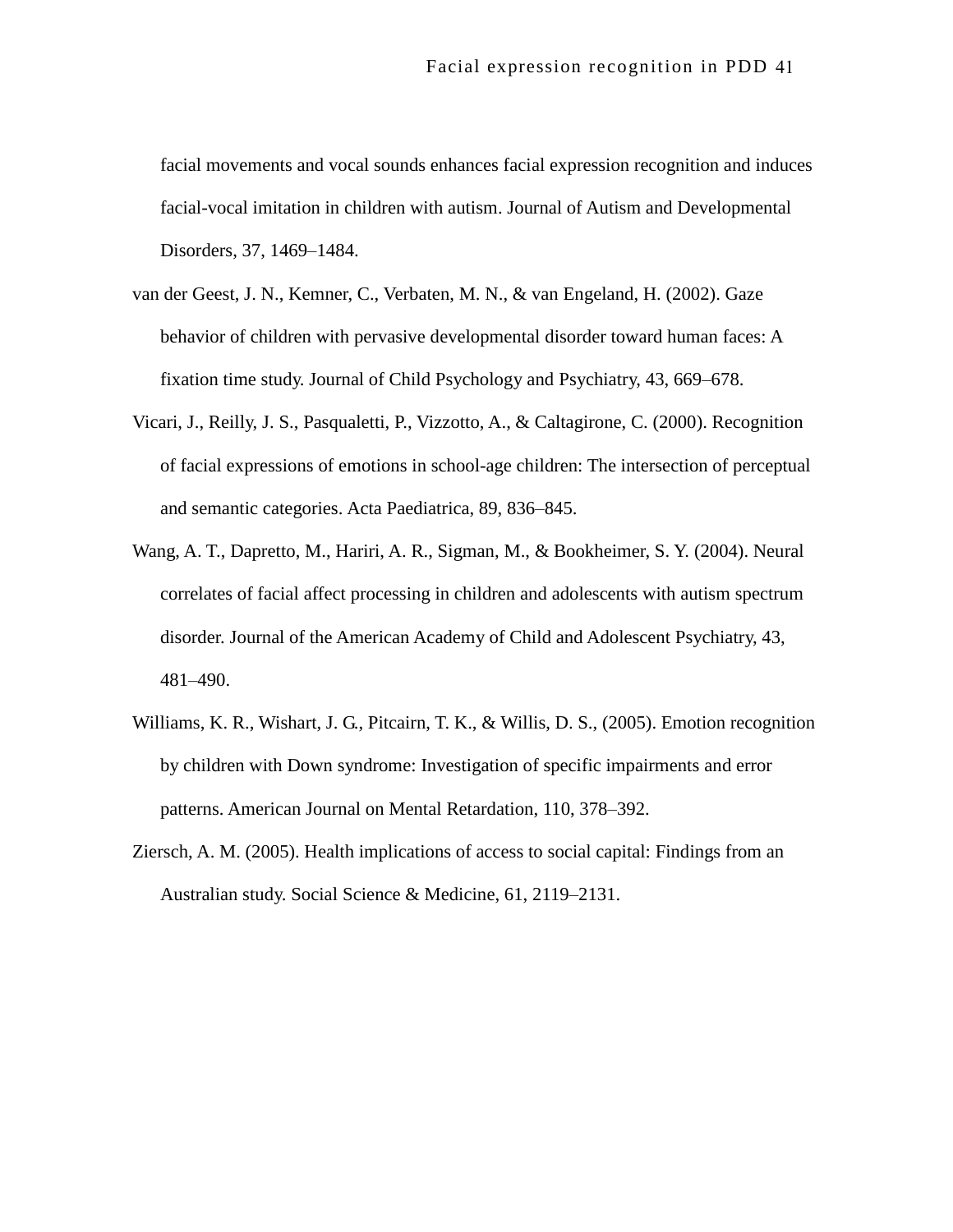facial movements and vocal sounds enhances facial expression recognition and induces facial-vocal imitation in children with autism. Journal of Autism and Developmental Disorders, 37, 1469–1484.

- van der Geest, J. N., Kemner, C., Verbaten, M. N., & van Engeland, H. (2002). Gaze behavior of children with pervasive developmental disorder toward human faces: A fixation time study. Journal of Child Psychology and Psychiatry, 43, 669–678.
- Vicari, J., Reilly, J. S., Pasqualetti, P., Vizzotto, A., & Caltagirone, C. (2000). Recognition of facial expressions of emotions in school-age children: The intersection of perceptual and semantic categories. Acta Paediatrica, 89, 836–845.
- Wang, A. T., Dapretto, M., Hariri, A. R., Sigman, M., & Bookheimer, S. Y. (2004). Neural correlates of facial affect processing in children and adolescents with autism spectrum disorder. Journal of the American Academy of Child and Adolescent Psychiatry, 43, 481–490.
- Williams, K. R., Wishart, J. G., Pitcairn, T. K., & Willis, D. S., (2005). Emotion recognition by children with Down syndrome: Investigation of specific impairments and error patterns. American Journal on Mental Retardation, 110, 378–392.
- Ziersch, A. M. (2005). Health implications of access to social capital: Findings from an Australian study. Social Science & Medicine, 61, 2119–2131.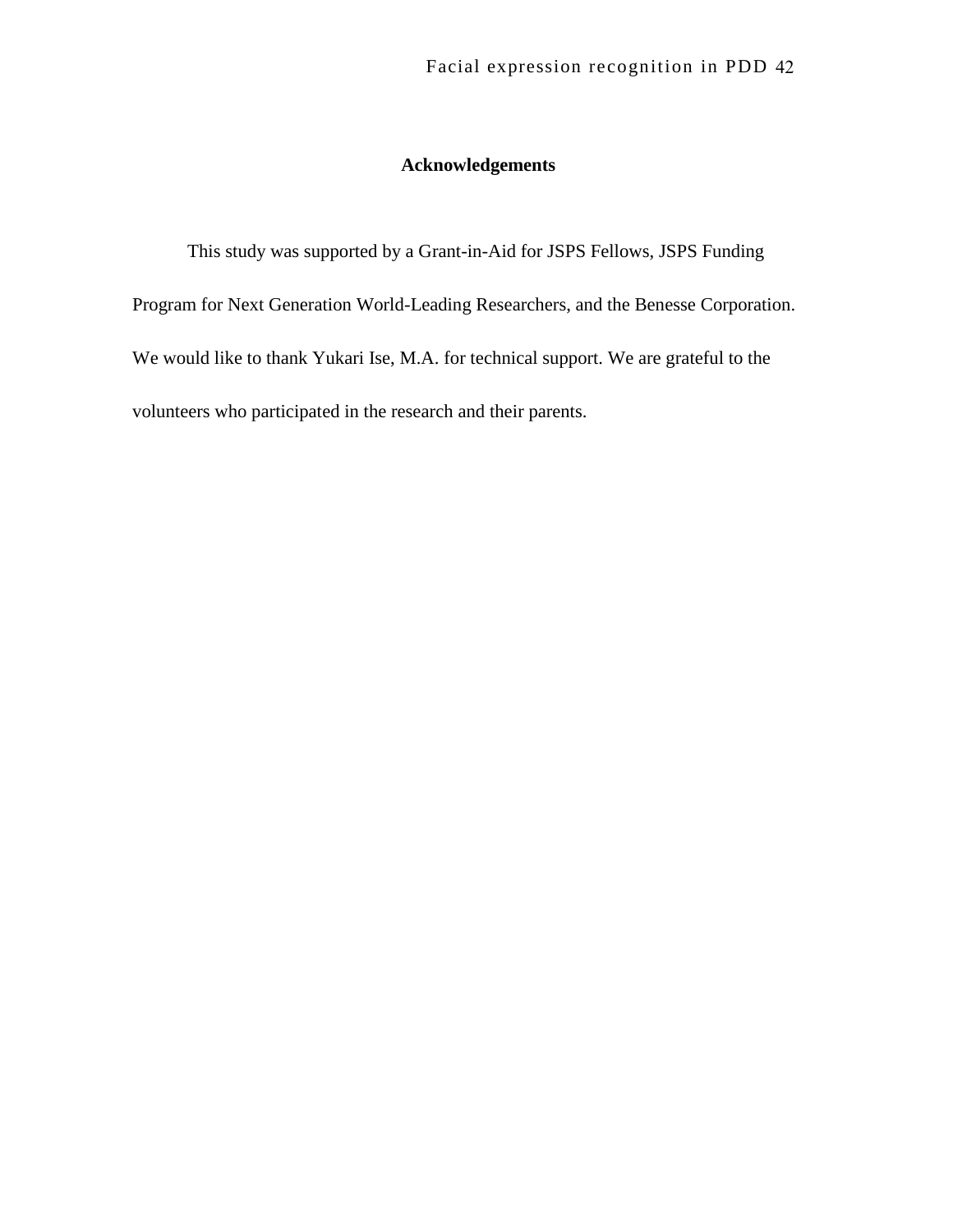## **Acknowledgements**

This study was supported by a Grant-in-Aid for JSPS Fellows, JSPS Funding Program for Next Generation World-Leading Researchers, and the Benesse Corporation. We would like to thank Yukari Ise, M.A. for technical support. We are grateful to the volunteers who participated in the research and their parents.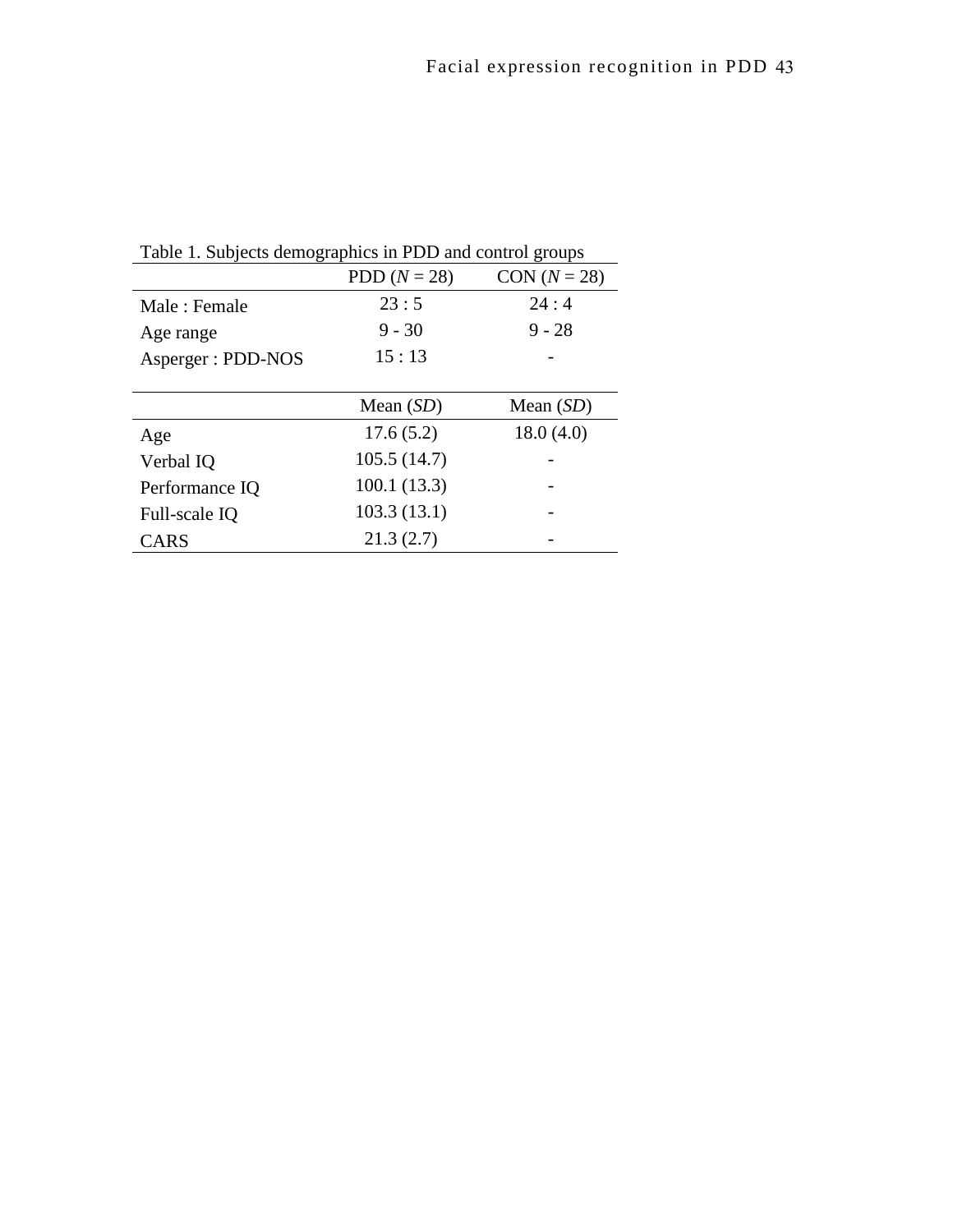| $\circ$           |                | o              |  |  |
|-------------------|----------------|----------------|--|--|
|                   | PDD $(N = 28)$ | $CON (N = 28)$ |  |  |
| Male: Female      | 23:5           | 24:4           |  |  |
| Age range         | $9 - 30$       | $9 - 28$       |  |  |
| Asperger: PDD-NOS | 15:13          |                |  |  |
|                   |                |                |  |  |
|                   | Mean $(SD)$    | Mean $(SD)$    |  |  |
| Age               | 17.6(5.2)      | 18.0(4.0)      |  |  |
| Verbal IQ         | 105.5(14.7)    |                |  |  |
| Performance IQ    | 100.1 (13.3)   |                |  |  |
| Full-scale IQ     | 103.3(13.1)    |                |  |  |
| <b>CARS</b>       | 21.3(2.7)      |                |  |  |

Table 1. Subjects demographics in PDD and control groups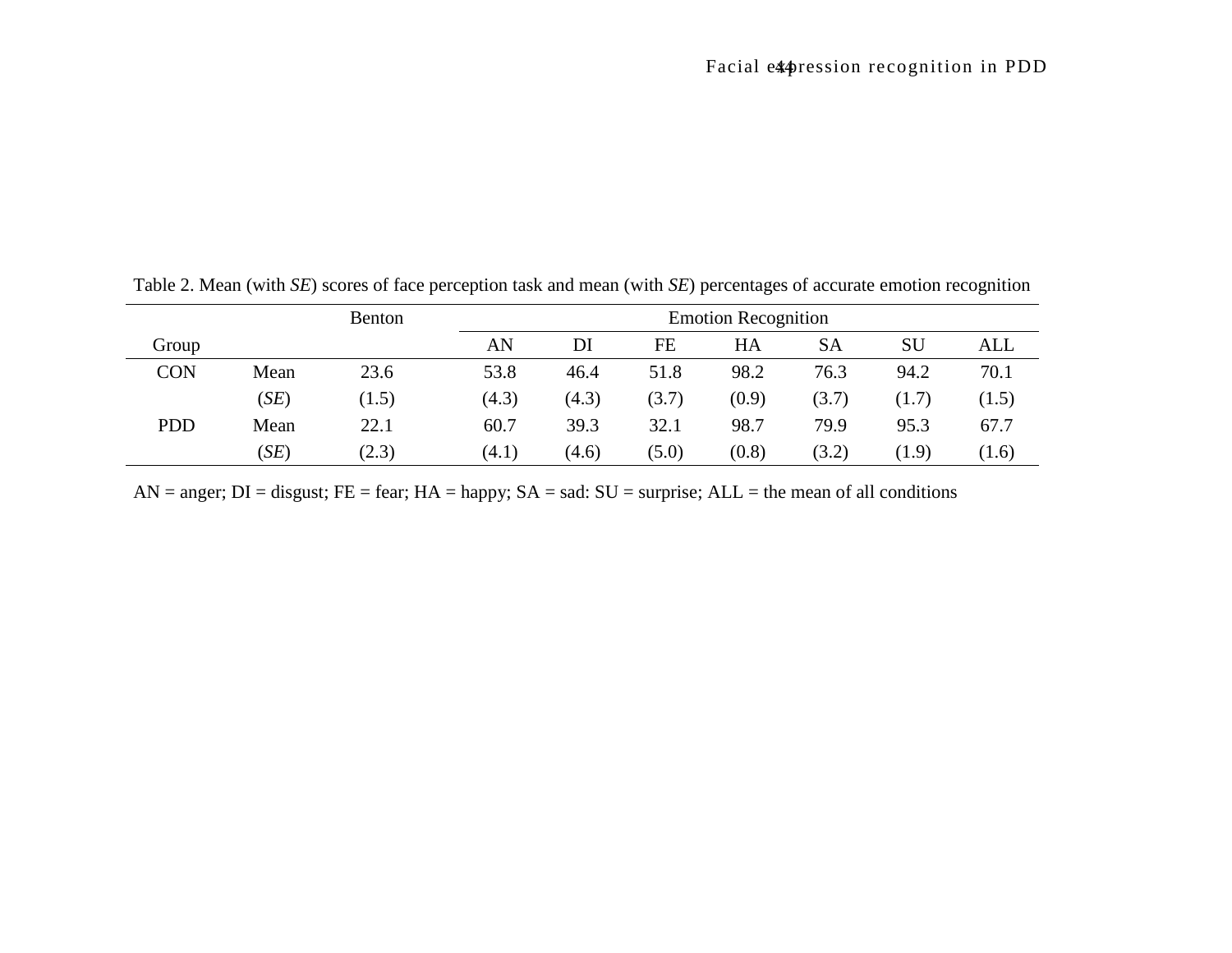|            |      | <b>Benton</b> |       | <b>Emotion Recognition</b> |       |       |       |       |       |  |
|------------|------|---------------|-------|----------------------------|-------|-------|-------|-------|-------|--|
| Group      |      |               | AN    | DI                         | FE    | HA    | SA    | SU    | ALL   |  |
| <b>CON</b> | Mean | 23.6          | 53.8  | 46.4                       | 51.8  | 98.2  | 76.3  | 94.2  | 70.1  |  |
|            | (SE) | (1.5)         | (4.3) | (4.3)                      | (3.7) | (0.9) | (3.7) | (1.7) | (1.5) |  |
| <b>PDD</b> | Mean | 22.1          | 60.7  | 39.3                       | 32.1  | 98.7  | 79.9  | 95.3  | 67.7  |  |
|            | (SE) | (2.3)         | (4.1) | (4.6)                      | (5.0) | (0.8) | (3.2) | (1.9) | (1.6) |  |

Table 2. Mean (with *SE*) scores of face perception task and mean (with *SE*) percentages of accurate emotion recognition

 $AN = anger; DI = disgust; FE = fear; HA = happy; SA = sad: SU = surprise; ALL = the mean of all conditions$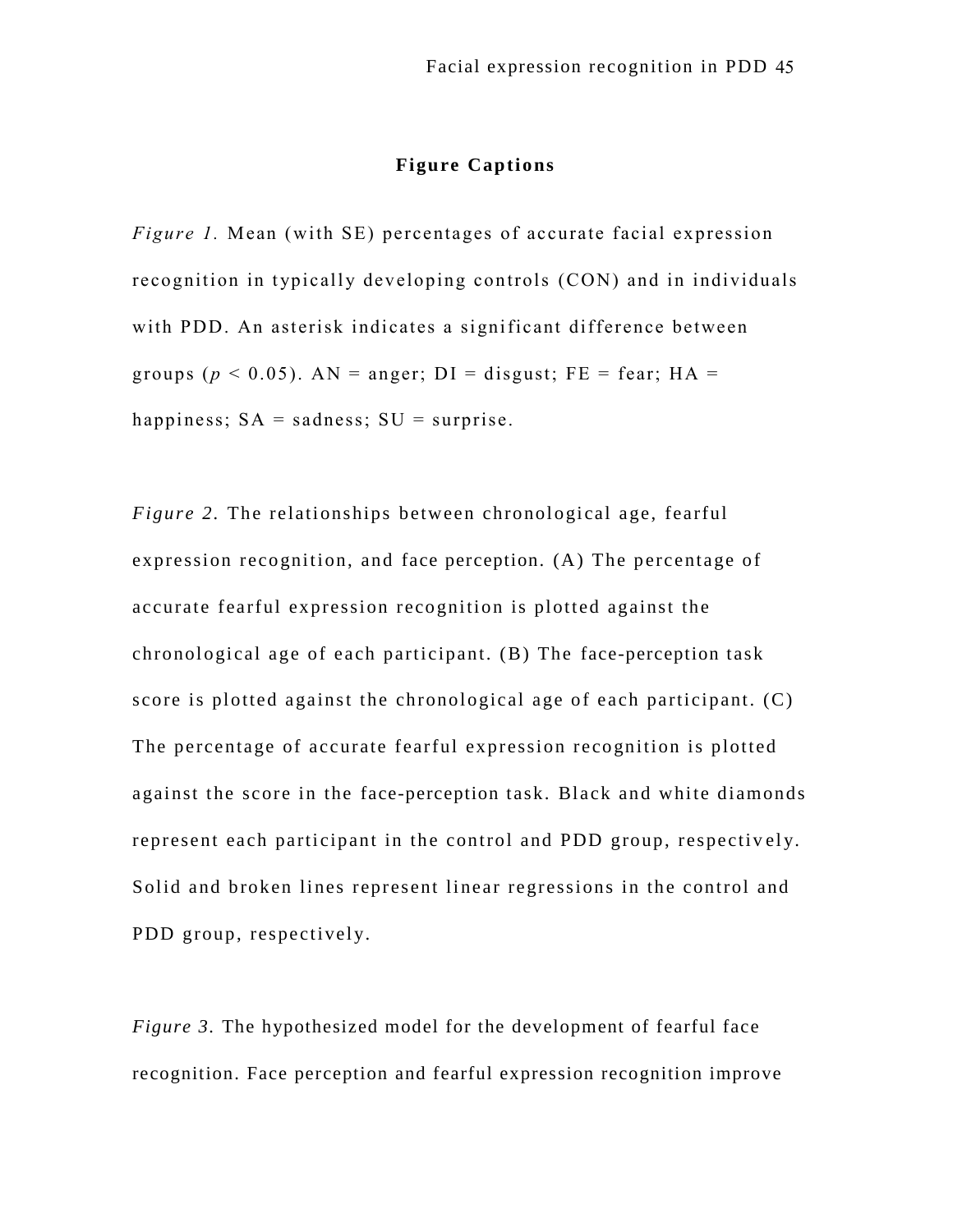## **Figure Captions**

*Figure 1.* Mean (with SE) percentages of accurate facial expression recognition in typically developing controls (CON) and in individuals with PDD. An asterisk indicates a significant difference between groups ( $p < 0.05$ ). AN = anger; DI = disgust; FE = fear; HA = happiness;  $SA =$  sadness;  $SU =$  surprise.

*Figure 2.* The relationships between chronological age, fearful expression recognition, and face perception. (A) The percentage of accurate fearful expression recognition is plotted against the chronological age of each participant. (B) The face-perception task score is plotted against the chronological age of each participant. (C) The percentage of accurate fearful expression recognition is plotted against the score in the face-perception task. Black and white diamonds represent each participant in the control and PDD group, respectively. Solid and broken lines represent linear regressions in the control and PDD group, respectively.

*Figure 3.* The hypothesized model for the development of fearful face recognition. Face perception and fearful expression recognition improve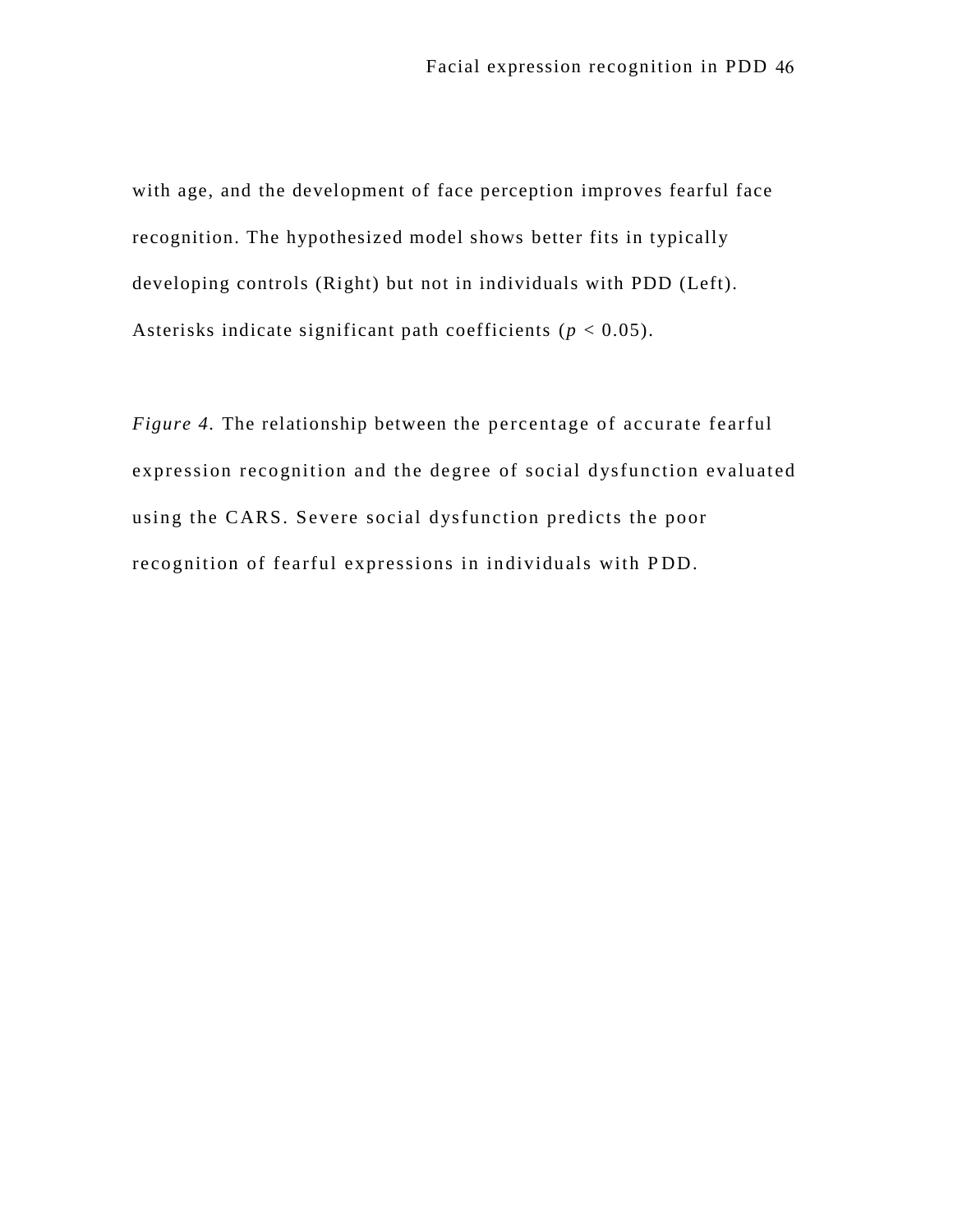with age, and the development of face perception improves fearful face recognition. The hypothesized model shows better fits in typically developing controls (Right) but not in individuals with PDD (Left). Asterisks indicate significant path coefficients (*p* < 0.05).

*Figure 4.* The relationship between the percentage of accurate fearful expression recognition and the degree of social dysfunction evaluated using the CARS. Severe social dysfunction predicts the poor recognition of fearful expressions in individuals with P DD.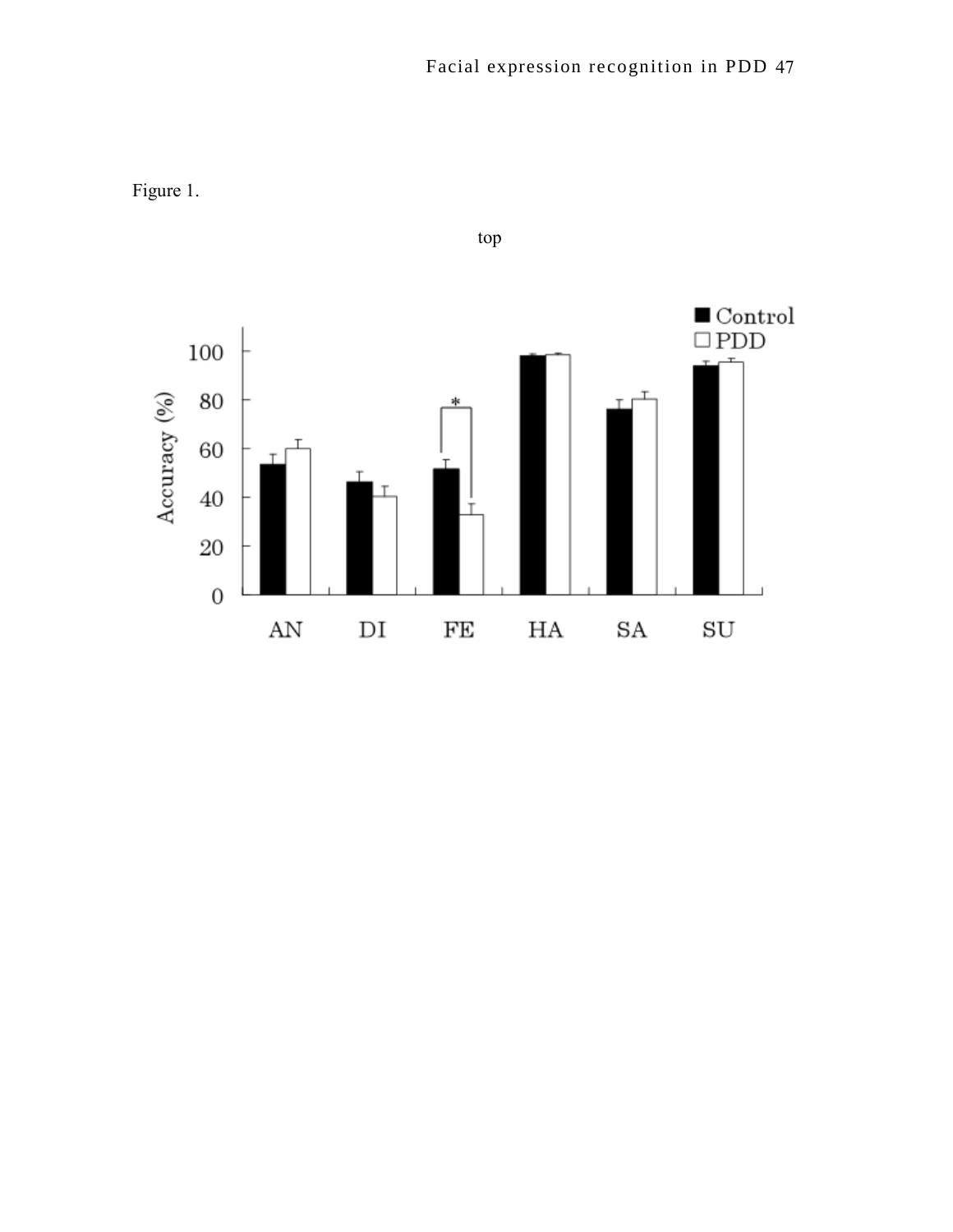

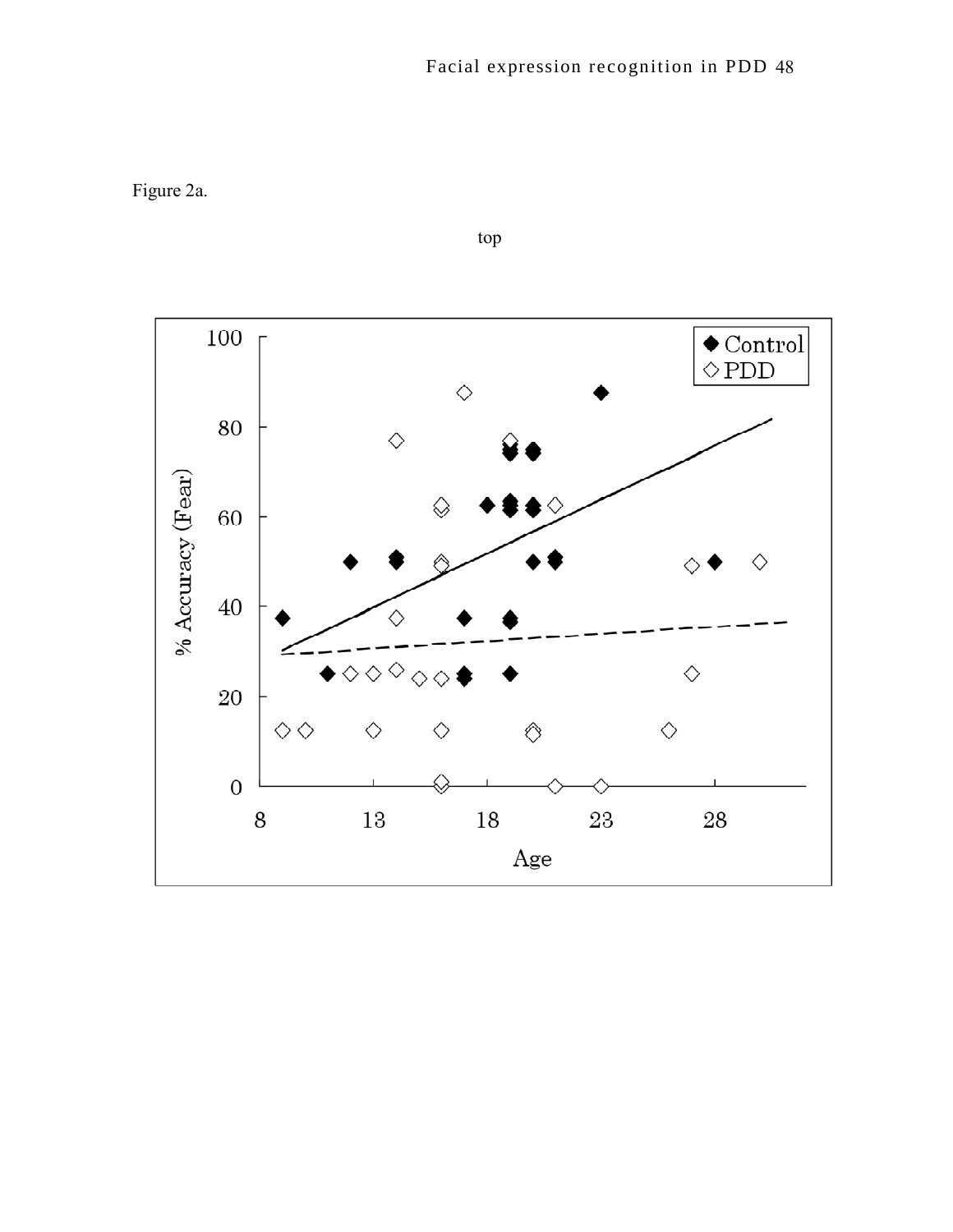Figure 2a.

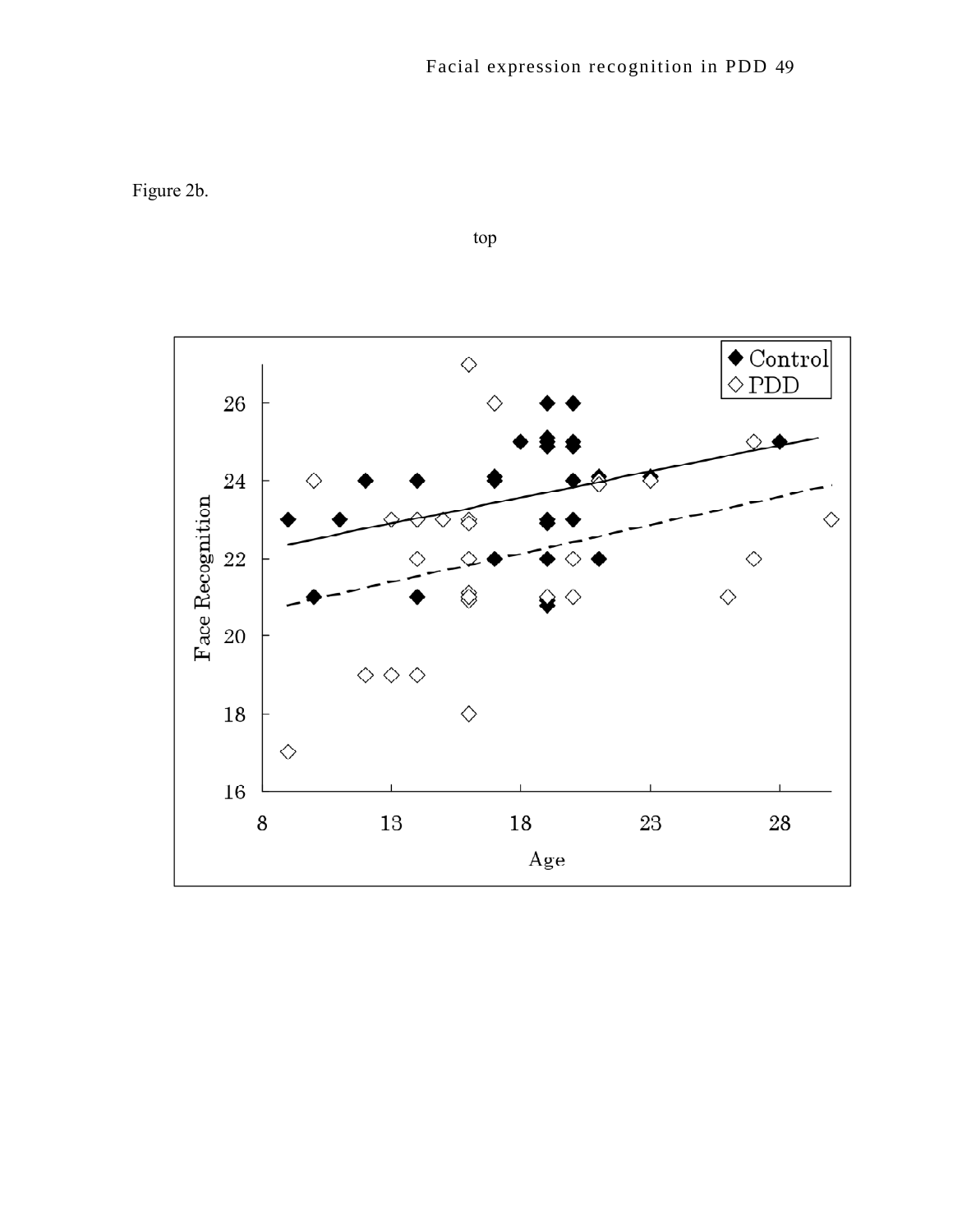Figure 2b.



top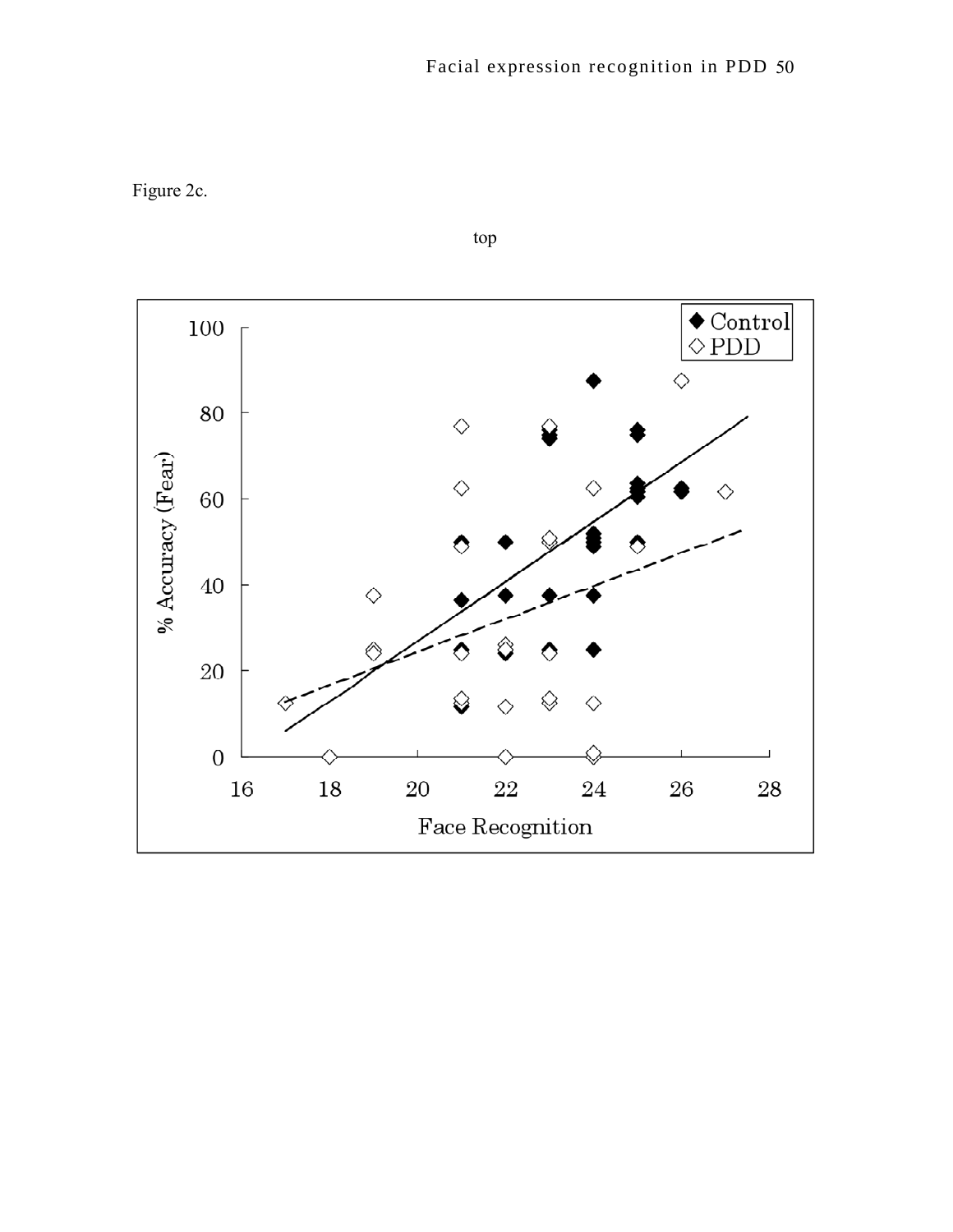Figure 2c.

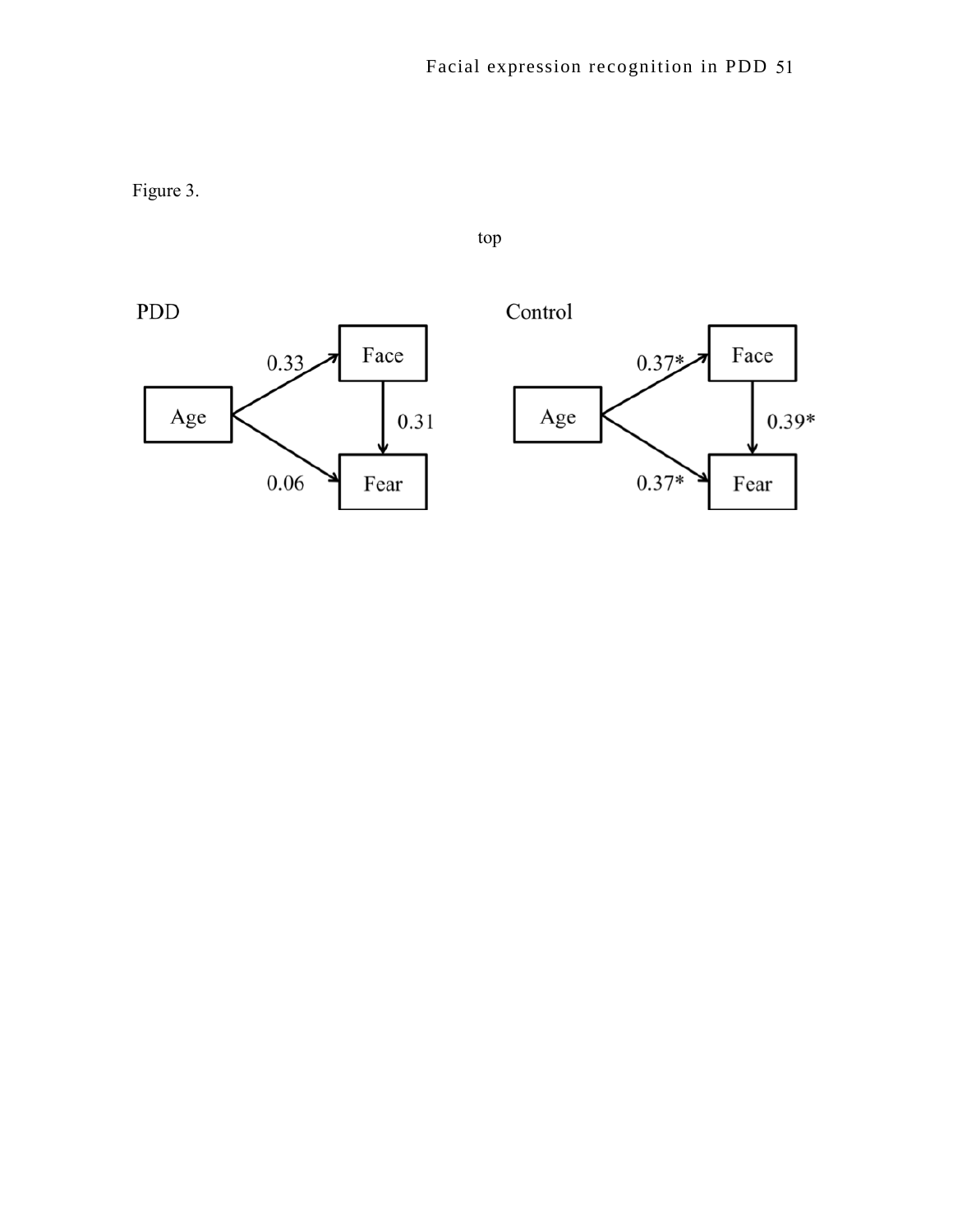Figure 3.